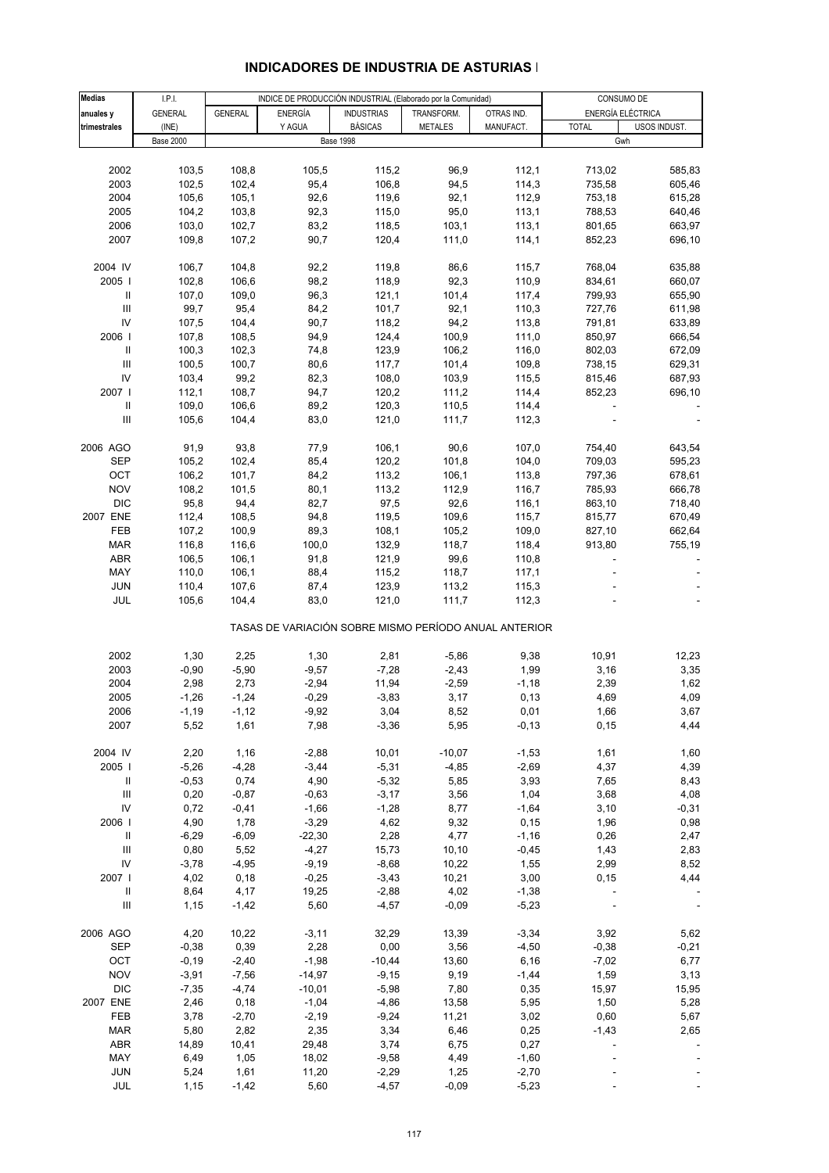| <b>Medias</b>                      | I.P.I.           |                |                | INDICE DE PRODUCCIÓN INDUSTRIAL (Elaborado por la Comunidad) |                |            |              | CONSUMO DE        |
|------------------------------------|------------------|----------------|----------------|--------------------------------------------------------------|----------------|------------|--------------|-------------------|
|                                    |                  |                |                |                                                              |                |            |              | ENERGÍA ELÉCTRICA |
| anuales y                          | <b>GENERAL</b>   | <b>GENERAL</b> | <b>ENERGÍA</b> | <b>INDUSTRIAS</b>                                            | TRANSFORM.     | OTRAS IND. |              |                   |
| trimestrales                       | (INE)            |                | Y AGUA         | <b>BÁSICAS</b>                                               | <b>METALES</b> | MANUFACT.  | <b>TOTAL</b> | USOS INDUST.      |
|                                    | <b>Base 2000</b> |                |                | <b>Base 1998</b>                                             |                |            |              | Gwh               |
|                                    |                  |                |                |                                                              |                |            |              |                   |
| 2002                               | 103,5            | 108,8          | 105,5          | 115,2                                                        | 96,9           | 112,1      | 713,02       | 585,83            |
| 2003                               | 102,5            | 102,4          | 95,4           | 106,8                                                        | 94,5           | 114,3      | 735,58       | 605,46            |
| 2004                               | 105,6            | 105,1          | 92,6           | 119,6                                                        | 92,1           | 112,9      | 753,18       | 615,28            |
|                                    |                  |                |                |                                                              |                |            |              |                   |
| 2005                               | 104,2            | 103,8          | 92,3           | 115,0                                                        | 95,0           | 113,1      | 788,53       | 640,46            |
| 2006                               | 103,0            | 102,7          | 83,2           | 118,5                                                        | 103,1          | 113,1      | 801,65       | 663,97            |
| 2007                               | 109,8            | 107,2          | 90,7           | 120,4                                                        | 111,0          | 114,1      | 852,23       | 696,10            |
|                                    |                  |                |                |                                                              |                |            |              |                   |
| 2004 IV                            | 106,7            | 104,8          | 92,2           | 119,8                                                        | 86,6           | 115,7      | 768,04       | 635,88            |
| 2005                               | 102,8            | 106,6          | 98,2           | 118,9                                                        | 92,3           | 110,9      | 834,61       | 660,07            |
|                                    |                  |                |                |                                                              |                |            |              |                   |
| Ш                                  | 107,0            | 109,0          | 96,3           | 121,1                                                        | 101,4          | 117,4      | 799,93       | 655,90            |
| $\ensuremath{\mathsf{III}}\xspace$ | 99,7             | 95,4           | 84,2           | 101,7                                                        | 92,1           | 110,3      | 727,76       | 611,98            |
| IV                                 | 107,5            | 104,4          | 90,7           | 118,2                                                        | 94,2           | 113,8      | 791,81       | 633,89            |
| 2006                               | 107,8            | 108,5          | 94,9           | 124,4                                                        | 100,9          | 111,0      | 850,97       | 666,54            |
| Ш                                  | 100,3            | 102,3          | 74,8           | 123,9                                                        | 106,2          | 116,0      | 802,03       | 672,09            |
| $\ensuremath{\mathsf{III}}\xspace$ | 100,5            | 100,7          | 80,6           | 117,7                                                        | 101,4          | 109,8      | 738,15       | 629,31            |
| IV                                 |                  | 99,2           |                |                                                              |                |            |              |                   |
|                                    | 103,4            |                | 82,3           | 108,0                                                        | 103,9          | 115,5      | 815,46       | 687,93            |
| 2007                               | 112,1            | 108,7          | 94,7           | 120,2                                                        | 111,2          | 114,4      | 852,23       | 696,10            |
| Ш                                  | 109,0            | 106,6          | 89,2           | 120,3                                                        | 110,5          | 114,4      |              |                   |
| III                                | 105,6            | 104,4          | 83,0           | 121,0                                                        | 111,7          | 112,3      |              |                   |
|                                    |                  |                |                |                                                              |                |            |              |                   |
| 2006 AGO                           | 91,9             | 93,8           | 77,9           | 106,1                                                        | 90,6           | 107,0      | 754,40       | 643,54            |
|                                    |                  |                |                |                                                              |                |            |              |                   |
| SEP                                | 105,2            | 102,4          | 85,4           | 120,2                                                        | 101,8          | 104,0      | 709,03       | 595,23            |
| OCT                                | 106,2            | 101,7          | 84,2           | 113,2                                                        | 106,1          | 113,8      | 797,36       | 678,61            |
| <b>NOV</b>                         | 108,2            | 101,5          | 80,1           | 113,2                                                        | 112,9          | 116,7      | 785,93       | 666,78            |
| <b>DIC</b>                         | 95,8             | 94,4           | 82,7           | 97,5                                                         | 92,6           | 116,1      | 863,10       | 718,40            |
| 2007 ENE                           | 112,4            | 108,5          | 94,8           | 119,5                                                        | 109,6          | 115,7      | 815,77       | 670,49            |
|                                    |                  |                |                |                                                              |                |            |              |                   |
| FEB                                | 107,2            | 100,9          | 89,3           | 108,1                                                        | 105,2          | 109,0      | 827,10       | 662,64            |
| MAR                                | 116,8            | 116,6          | 100,0          | 132,9                                                        | 118,7          | 118,4      | 913,80       | 755,19            |
| ABR                                | 106,5            | 106,1          | 91,8           | 121,9                                                        | 99,6           | 110,8      |              |                   |
| MAY                                | 110,0            | 106,1          | 88,4           | 115,2                                                        | 118,7          | 117,1      |              |                   |
| <b>JUN</b>                         | 110,4            | 107,6          | 87,4           | 123,9                                                        | 113,2          | 115,3      |              |                   |
| JUL                                | 105,6            | 104,4          | 83,0           | 121,0                                                        | 111,7          | 112,3      |              |                   |
|                                    |                  |                |                |                                                              |                |            |              |                   |
|                                    |                  |                |                | TASAS DE VARIACIÓN SOBRE MISMO PERÍODO ANUAL ANTERIOR        |                |            |              |                   |
|                                    |                  |                |                |                                                              |                |            |              |                   |
| 2002                               | 1,30             | 2,25           | 1,30           | 2,81                                                         | $-5,86$        | 9,38       | 10,91        | 12,23             |
| 2003                               | $-0,90$          | $-5,90$        | $-9,57$        | $-7,28$                                                      | $-2,43$        | 1,99       | 3,16         | 3,35              |
| 2004                               | 2,98             | 2,73           | $-2,94$        | 11,94                                                        | $-2,59$        | $-1,18$    | 2,39         | 1,62              |
| 2005                               | $-1,26$          | $-1,24$        | $-0,29$        | $-3,83$                                                      | 3,17           | 0, 13      | 4,69         | 4,09              |
| 2006                               | -1,19            | $-1,12$        | $-9,92$        | 3,04                                                         | 8,52           | 0,01       | 1,66         | 3,67              |
| 2007                               | 5,52             | 1,61           | 7,98           | $-3,36$                                                      | 5,95           | $-0,13$    | 0, 15        | 4,44              |
|                                    |                  |                |                |                                                              |                |            |              |                   |
|                                    |                  |                |                |                                                              |                |            |              |                   |
| 2004 IV                            | 2,20             | 1,16           | $-2,88$        | 10,01                                                        | $-10,07$       | $-1,53$    | 1,61         | 1,60              |
| 2005                               | $-5,26$          | $-4,28$        | $-3,44$        | $-5,31$                                                      | $-4,85$        | $-2,69$    | 4,37         | 4,39              |
| Ш                                  | $-0,53$          | 0,74           | 4,90           | $-5,32$                                                      | 5,85           | 3,93       | 7,65         | 8,43              |
| $\ensuremath{\mathsf{III}}\xspace$ | 0,20             | $-0,87$        | $-0,63$        | $-3,17$                                                      | 3,56           | 1,04       | 3,68         | 4,08              |
| IV                                 | 0,72             | $-0,41$        | $-1,66$        | $-1,28$                                                      | 8,77           | $-1,64$    | 3,10         | $-0,31$           |
| 2006                               | 4,90             | 1,78           | $-3,29$        | 4,62                                                         | 9,32           | 0, 15      | 1,96         | 0,98              |
|                                    |                  |                |                |                                                              |                |            |              |                   |
| Ш                                  | $-6,29$          | $-6,09$        | $-22,30$       | 2,28                                                         | 4,77           | $-1,16$    | 0,26         | 2,47              |
| III                                | 0,80             | 5,52           | $-4,27$        | 15,73                                                        | 10, 10         | $-0,45$    | 1,43         | 2,83              |
| ${\sf IV}$                         | $-3,78$          | $-4,95$        | $-9,19$        | $-8,68$                                                      | 10,22          | 1,55       | 2,99         | 8,52              |
| 2007                               | 4,02             | 0,18           | $-0,25$        | $-3,43$                                                      | 10,21          | 3,00       | 0, 15        | 4,44              |
| Ш                                  | 8,64             | 4,17           | 19,25          | $-2,88$                                                      | 4,02           | $-1,38$    |              |                   |
| $\ensuremath{\mathsf{III}}\xspace$ | 1,15             | $-1,42$        | 5,60           | $-4,57$                                                      | $-0,09$        | $-5,23$    |              |                   |
|                                    |                  |                |                |                                                              |                |            |              |                   |
|                                    |                  |                |                |                                                              |                |            |              |                   |
| 2006 AGO                           | 4,20             | 10,22          | $-3,11$        | 32,29                                                        | 13,39          | $-3,34$    | 3,92         | 5,62              |
| <b>SEP</b>                         | $-0,38$          | 0,39           | 2,28           | 0,00                                                         | 3,56           | $-4,50$    | $-0,38$      | $-0,21$           |
| OCT                                | $-0,19$          | $-2,40$        | $-1,98$        | $-10,44$                                                     | 13,60          | 6, 16      | $-7,02$      | 6,77              |
| <b>NOV</b>                         | $-3,91$          | $-7,56$        | $-14,97$       | $-9,15$                                                      | 9,19           | $-1,44$    | 1,59         | 3,13              |
| <b>DIC</b>                         | $-7,35$          | $-4,74$        | $-10,01$       | $-5,98$                                                      | 7,80           | 0,35       | 15,97        | 15,95             |
| 2007 ENE                           |                  |                |                |                                                              |                |            |              |                   |
|                                    | 2,46             | 0,18           | $-1,04$        | $-4,86$                                                      | 13,58          | 5,95       | 1,50         | 5,28              |
| FEB                                | 3,78             | $-2,70$        | $-2,19$        | $-9,24$                                                      | 11,21          | 3,02       | 0,60         | 5,67              |
| MAR                                | 5,80             | 2,82           | 2,35           | 3,34                                                         | 6,46           | 0,25       | $-1,43$      | 2,65              |
| ABR                                | 14,89            | 10,41          | 29,48          | 3,74                                                         | 6,75           | 0,27       |              |                   |
| MAY                                | 6,49             | 1,05           | 18,02          | $-9,58$                                                      | 4,49           | $-1,60$    |              |                   |
| <b>JUN</b>                         | 5,24             | 1,61           | 11,20          | $-2,29$                                                      | 1,25           | $-2,70$    |              |                   |
| JUL                                | 1,15             | $-1,42$        | 5,60           | $-4,57$                                                      | $-0,09$        | $-5,23$    |              |                   |
|                                    |                  |                |                |                                                              |                |            |              |                   |

#### **INDICADORES DE INDUSTRIA DE ASTURIAS I**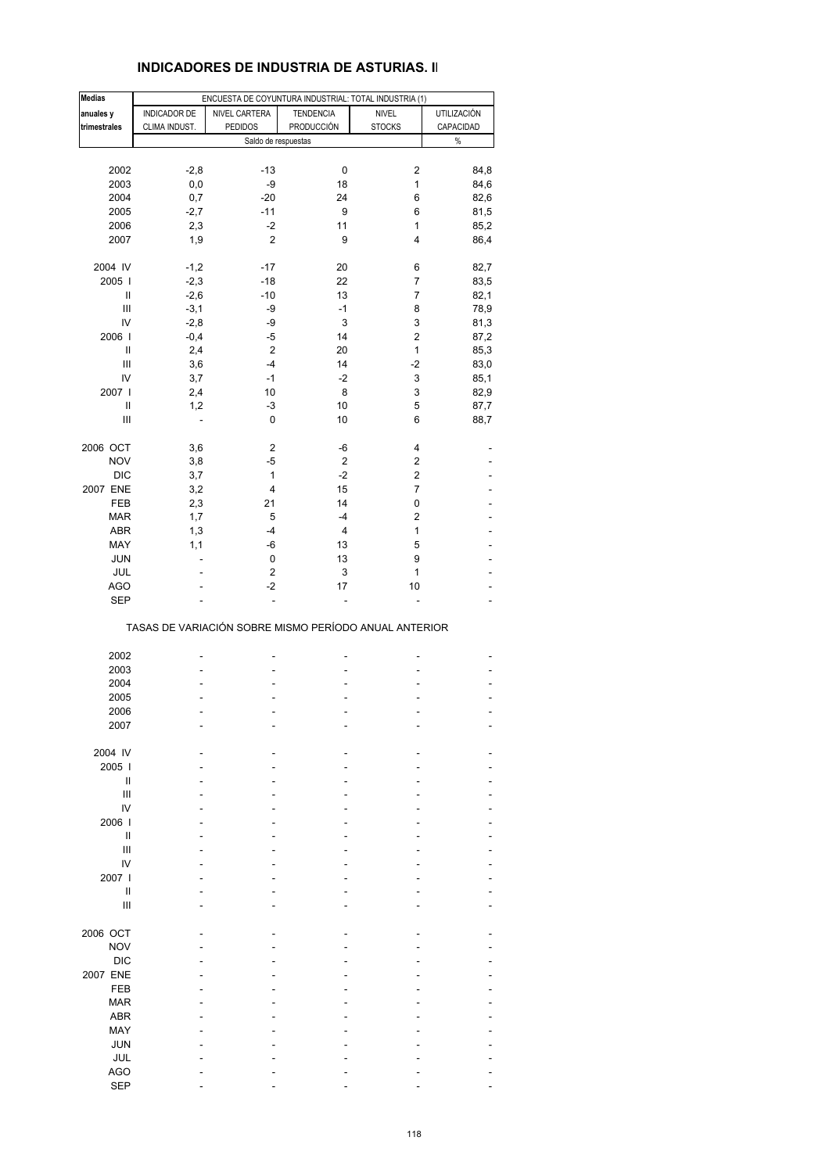#### **INDICADORES DE INDUSTRIA DE ASTURIAS. II**

| <b>Medias</b>                      |               | ENCUESTA DE COYUNTURA INDUSTRIAL: TOTAL INDUSTRIA (1) |                         |                |             |
|------------------------------------|---------------|-------------------------------------------------------|-------------------------|----------------|-------------|
| anuales y                          | INDICADOR DE  | NIVEL CARTERA                                         | <b>TENDENCIA</b>        | <b>NIVEL</b>   | UTILIZACIÓN |
| trimestrales                       | CLIMA INDUST. | <b>PEDIDOS</b>                                        | PRODUCCIÓN              | <b>STOCKS</b>  | CAPACIDAD   |
|                                    |               | Saldo de respuestas                                   |                         |                | $\%$        |
|                                    |               |                                                       |                         |                |             |
| 2002                               |               | $-13$                                                 | 0                       | 2              | 84,8        |
|                                    | $-2,8$        |                                                       |                         |                |             |
| 2003                               | 0,0           | -9                                                    | 18                      | 1              | 84,6        |
| 2004                               | 0,7           | $-20$                                                 | 24                      | 6              | 82,6        |
| 2005                               | $-2,7$        | $-11$                                                 | 9                       | 6              | 81,5        |
| 2006                               | 2,3           | $-2$                                                  | 11                      | 1              | 85,2        |
| 2007                               | 1,9           | 2                                                     | 9                       | 4              | 86,4        |
|                                    |               |                                                       |                         |                |             |
| 2004 IV                            | $-1,2$        | $-17$                                                 | 20                      | 6              | 82,7        |
| 2005                               | $-2,3$        | $-18$                                                 | 22                      | 7              | 83,5        |
| Ш                                  | $-2,6$        | $-10$                                                 | 13                      | $\overline{7}$ | 82,1        |
|                                    |               |                                                       |                         |                |             |
| $\ensuremath{\mathsf{III}}\xspace$ | $-3,1$        | -9                                                    | $-1$                    | 8              | 78,9        |
| IV                                 | $-2,8$        | -9                                                    | 3                       | 3              | 81,3        |
| 2006                               | $-0,4$        | -5                                                    | 14                      | $\mathbf 2$    | 87,2        |
| Ш                                  | 2,4           | $\overline{2}$                                        | 20                      | 1              | 85,3        |
| $\ensuremath{\mathsf{III}}\xspace$ | 3,6           | $-4$                                                  | 14                      | $-2$           | 83,0        |
| IV                                 | 3,7           | $-1$                                                  | $-2$                    | 3              | 85,1        |
| 2007 l                             | 2,4           | 10                                                    | 8                       | 3              | 82,9        |
|                                    |               |                                                       |                         |                |             |
| Ш                                  | 1,2           | -3                                                    | 10                      | 5              | 87,7        |
| $\ensuremath{\mathsf{III}}\xspace$ | ÷,            | 0                                                     | 10                      | 6              | 88,7        |
| 2006 OCT                           | 3,6           | $\overline{c}$                                        | -6                      | 4              |             |
|                                    |               |                                                       |                         |                |             |
| <b>NOV</b>                         | 3,8           | -5                                                    | $\overline{c}$          | 2              |             |
| <b>DIC</b>                         | 3,7           | 1                                                     | $-2$                    | 2              |             |
| 2007 ENE                           | 3,2           | 4                                                     | 15                      | $\overline{7}$ |             |
| FEB                                | 2,3           | 21                                                    | 14                      | 0              |             |
| <b>MAR</b>                         | 1,7           | 5                                                     | -4                      | 2              |             |
| ABR                                | 1,3           | $-4$                                                  | $\overline{\mathbf{4}}$ | $\mathbf{1}$   |             |
| MAY                                | 1,1           | -6                                                    | 13                      | 5              |             |
|                                    |               |                                                       |                         |                |             |
| <b>JUN</b>                         | ÷.            | 0                                                     | 13                      | 9              |             |
| JUL                                |               | 2                                                     | 3                       | 1              |             |
| <b>AGO</b>                         |               | $-2$                                                  | 17                      | 10             |             |
| <b>SEP</b>                         |               |                                                       |                         |                |             |
|                                    |               | TASAS DE VARIACIÓN SOBRE MISMO PERÍODO ANUAL ANTERIOR |                         |                |             |
|                                    |               |                                                       |                         |                |             |
| 2002                               |               |                                                       |                         |                |             |
| 2003                               |               | ٠                                                     |                         |                |             |
| 2004                               |               |                                                       |                         |                |             |
| 2005                               |               |                                                       |                         |                |             |
| 2006                               |               |                                                       |                         |                |             |
| 2007                               |               |                                                       |                         |                |             |
|                                    |               |                                                       |                         |                |             |
| 2004 IV                            |               |                                                       |                         |                |             |
| 2005                               |               |                                                       |                         |                |             |
|                                    |               |                                                       |                         |                |             |
| Ш                                  |               |                                                       |                         |                |             |
| III                                |               |                                                       |                         |                |             |
| IV                                 |               |                                                       |                         |                |             |
| 2006                               |               |                                                       |                         |                |             |
| $\mathbf{I}$                       |               |                                                       |                         |                |             |
| Ш                                  |               |                                                       |                         |                |             |
| IV                                 |               |                                                       |                         |                |             |
| 2007 l                             |               |                                                       |                         |                |             |
| Ш                                  |               |                                                       |                         |                |             |
| III                                |               |                                                       |                         |                |             |
|                                    |               |                                                       |                         |                |             |
| 2006 OCT                           |               |                                                       |                         |                |             |
| <b>NOV</b>                         |               |                                                       |                         |                |             |
|                                    |               |                                                       |                         |                |             |
| <b>DIC</b>                         |               |                                                       |                         |                |             |
| 2007 ENE                           |               |                                                       |                         |                |             |
| FEB                                |               |                                                       |                         |                |             |
| <b>MAR</b>                         |               |                                                       |                         |                |             |
| <b>ABR</b>                         |               |                                                       |                         |                |             |
| MAY                                |               |                                                       |                         |                |             |
| <b>JUN</b>                         |               |                                                       |                         |                |             |
|                                    |               |                                                       |                         |                |             |
| JUL                                |               |                                                       |                         |                |             |
| <b>AGO</b>                         |               |                                                       |                         |                |             |
| <b>SEP</b>                         |               |                                                       |                         |                |             |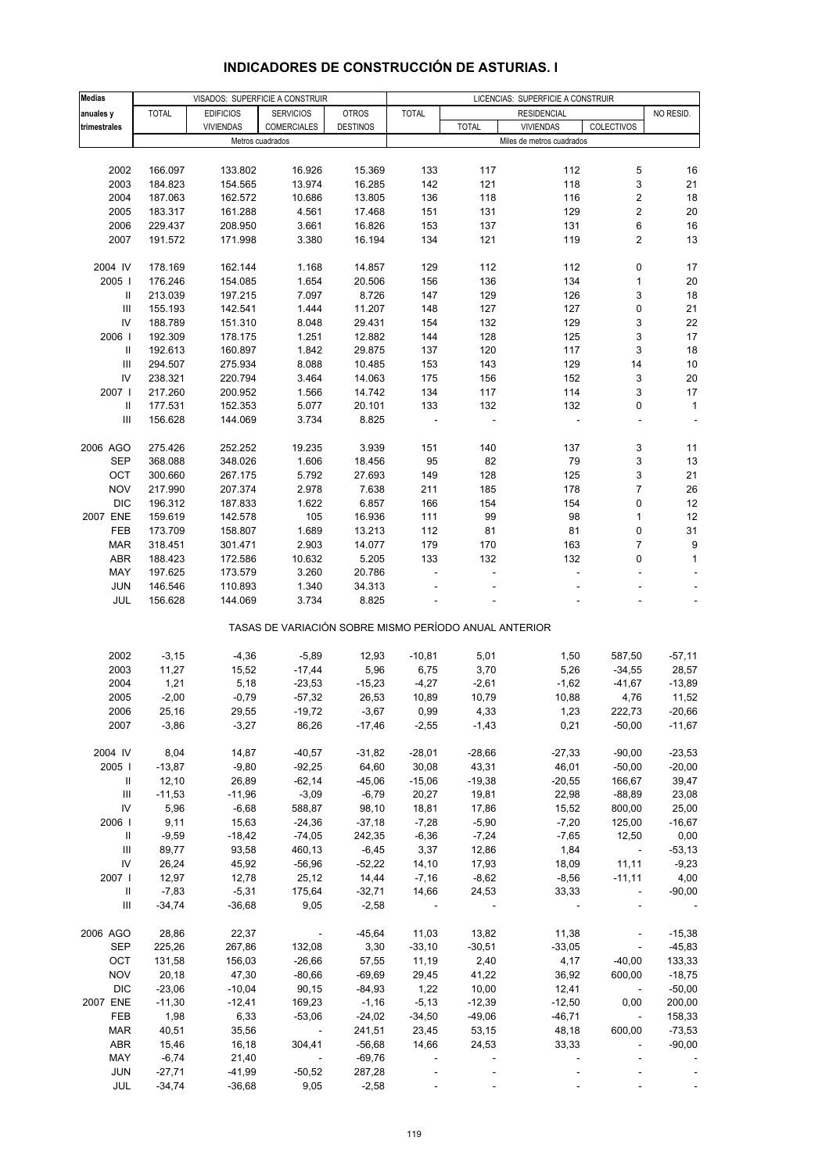| <b>Medias</b> |              | VISADOS: SUPERFICIE A CONSTRUIR |                                                       |                 | LICENCIAS: SUPERFICIE A CONSTRUIR |                          |                           |                          |              |
|---------------|--------------|---------------------------------|-------------------------------------------------------|-----------------|-----------------------------------|--------------------------|---------------------------|--------------------------|--------------|
| anuales y     | <b>TOTAL</b> | <b>EDIFICIOS</b>                | <b>SERVICIOS</b>                                      | <b>OTROS</b>    | <b>TOTAL</b>                      |                          | <b>RESIDENCIAL</b>        |                          | NO RESID.    |
| trimestrales  |              | <b>VIVIENDAS</b>                | COMERCIALES                                           | <b>DESTINOS</b> |                                   | <b>TOTAL</b>             | <b>VIVIENDAS</b>          | COLECTIVOS               |              |
|               |              | Metros cuadrados                |                                                       |                 |                                   |                          | Miles de metros cuadrados |                          |              |
|               |              |                                 |                                                       |                 |                                   |                          |                           |                          |              |
| 2002          | 166.097      | 133.802                         | 16.926                                                | 15.369          | 133                               | 117                      | 112                       | 5                        | 16           |
| 2003          | 184.823      | 154.565                         | 13.974                                                | 16.285          | 142                               | 121                      | 118                       | 3                        | 21           |
| 2004          | 187.063      | 162.572                         | 10.686                                                | 13.805          | 136                               | 118                      | 116                       | 2                        | 18           |
| 2005          | 183.317      | 161.288                         | 4.561                                                 | 17.468          | 151                               | 131                      | 129                       | 2                        | 20           |
| 2006          | 229.437      | 208.950                         | 3.661                                                 | 16.826          | 153                               | 137                      | 131                       | 6                        | 16           |
|               |              |                                 |                                                       |                 |                                   |                          |                           |                          | 13           |
| 2007          | 191.572      | 171.998                         | 3.380                                                 | 16.194          | 134                               | 121                      | 119                       | 2                        |              |
| 2004 IV       | 178.169      | 162.144                         | 1.168                                                 | 14.857          | 129                               | 112                      | 112                       | 0                        | 17           |
| 2005          | 176.246      | 154.085                         | 1.654                                                 | 20.506          | 156                               | 136                      | 134                       | 1                        | 20           |
| Ш             | 213.039      | 197.215                         | 7.097                                                 | 8.726           | 147                               | 129                      | 126                       | 3                        | 18           |
| Ш             | 155.193      | 142.541                         | 1.444                                                 | 11.207          | 148                               | 127                      | 127                       | 0                        | 21           |
| IV            | 188.789      | 151.310                         | 8.048                                                 | 29.431          | 154                               | 132                      | 129                       | 3                        | 22           |
| 2006          | 192.309      | 178.175                         | 1.251                                                 | 12.882          | 144                               | 128                      | 125                       | 3                        | 17           |
| Ш             | 192.613      | 160.897                         | 1.842                                                 | 29.875          | 137                               | 120                      | 117                       | 3                        | 18           |
|               |              |                                 |                                                       |                 |                                   |                          |                           |                          |              |
| Ш             | 294.507      | 275.934                         | 8.088                                                 | 10.485          | 153                               | 143                      | 129                       | 14                       | 10           |
| IV            | 238.321      | 220.794                         | 3.464                                                 | 14.063          | 175                               | 156                      | 152                       | 3                        | 20           |
| 2007          | 217.260      | 200.952                         | 1.566                                                 | 14.742          | 134                               | 117                      | 114                       | 3                        | 17           |
| Ш             | 177.531      | 152.353                         | 5.077                                                 | 20.101          | 133                               | 132                      | 132                       | 0                        | $\mathbf{1}$ |
| Ш             | 156.628      | 144.069                         | 3.734                                                 | 8.825           |                                   |                          |                           |                          |              |
|               |              |                                 |                                                       |                 |                                   |                          |                           |                          |              |
| 2006 AGO      | 275.426      | 252.252                         | 19.235                                                | 3.939           | 151                               | 140                      | 137                       | 3                        | 11           |
| SEP           | 368.088      | 348.026                         | 1.606                                                 | 18.456          | 95                                | 82                       | 79                        | 3                        | 13           |
| OCT           | 300.660      | 267.175                         | 5.792                                                 | 27.693          | 149                               | 128                      | 125                       | 3                        | 21           |
| <b>NOV</b>    | 217.990      | 207.374                         | 2.978                                                 | 7.638           | 211                               | 185                      | 178                       | 7                        | 26           |
| <b>DIC</b>    | 196.312      | 187.833                         | 1.622                                                 | 6.857           | 166                               | 154                      | 154                       | 0                        | 12           |
| 2007 ENE      | 159.619      | 142.578                         | 105                                                   | 16.936          | 111                               | 99                       | 98                        | 1                        | 12           |
| FEB           | 173.709      | 158.807                         | 1.689                                                 | 13.213          | 112                               | 81                       | 81                        | 0                        | 31           |
| <b>MAR</b>    | 318.451      | 301.471                         | 2.903                                                 | 14.077          | 179                               | 170                      | 163                       | $\overline{7}$           | 9            |
| <b>ABR</b>    | 188.423      | 172.586                         | 10.632                                                | 5.205           | 133                               | 132                      | 132                       | 0                        | $\mathbf{1}$ |
| MAY           | 197.625      | 173.579                         | 3.260                                                 | 20.786          | ÷,                                |                          |                           | ÷                        |              |
| <b>JUN</b>    | 146.546      | 110.893                         | 1.340                                                 | 34.313          |                                   |                          |                           | ÷.                       |              |
| JUL           | 156.628      | 144.069                         | 3.734                                                 | 8.825           |                                   |                          |                           |                          | ÷,           |
|               |              |                                 | TASAS DE VARIACIÓN SOBRE MISMO PERÍODO ANUAL ANTERIOR |                 |                                   |                          |                           |                          |              |
|               |              |                                 |                                                       |                 |                                   |                          |                           |                          |              |
| 2002          | $-3,15$      | $-4,36$                         | $-5,89$                                               | 12,93           | $-10,81$                          | 5,01                     | 1,50                      | 587,50                   | $-57,11$     |
| 2003          | 11,27        | 15,52                           | $-17,44$                                              | 5,96            | 6,75                              | 3,70                     | 5,26                      | $-34,55$                 | 28,57        |
| 2004          | 1,21         | 5,18                            | $-23,53$                                              | $-15,23$        | $-4,27$                           | $-2,61$                  | $-1,62$                   | $-41,67$                 | $-13,89$     |
| 2005          | $-2,00$      | $-0,79$                         | $-57,32$                                              | 26,53           | 10,89                             | 10,79                    | 10,88                     | 4,76                     | 11,52        |
| 2006          | 25,16        | 29,55                           | $-19,72$                                              | $-3,67$         | 0,99                              | 4,33                     | 1,23                      | 222,73                   | -20,66       |
| 2007          | $-3,86$      | $-3,27$                         | 86,26                                                 | $-17,46$        | -2,55                             | $-1,43$                  | 0,21                      | $-50,00$                 | $-11,67$     |
| 2004 IV       | 8,04         | 14,87                           | $-40,57$                                              | $-31,82$        | $-28,01$                          | $-28,66$                 | $-27,33$                  | $-90,00$                 | $-23,53$     |
| 2005          | $-13,87$     | $-9,80$                         | $-92,25$                                              | 64,60           | 30,08                             | 43,31                    | 46,01                     | $-50,00$                 | $-20,00$     |
| Ш             | 12,10        | 26,89                           | $-62,14$                                              | $-45,06$        | $-15,06$                          | $-19,38$                 | $-20,55$                  | 166,67                   | 39,47        |
| Ш             | $-11,53$     | $-11,96$                        | $-3,09$                                               | $-6,79$         | 20,27                             | 19,81                    | 22,98                     | $-88,89$                 | 23,08        |
| IV            | 5,96         | $-6,68$                         | 588,87                                                | 98,10           | 18,81                             | 17,86                    | 15,52                     | 800,00                   | 25,00        |
| 2006          | 9,11         | 15,63                           | $-24,36$                                              | $-37,18$        | $-7,28$                           | $-5,90$                  | $-7,20$                   | 125,00                   | $-16,67$     |
| Ш             | $-9,59$      | $-18,42$                        | $-74,05$                                              | 242,35          | $-6,36$                           | $-7,24$                  | $-7,65$                   | 12,50                    | 0,00         |
| Ш             | 89,77        | 93,58                           | 460,13                                                | $-6,45$         | 3,37                              | 12,86                    | 1,84                      | $\sim$ $-$               | $-53,13$     |
| ${\sf IV}$    | 26,24        | 45,92                           | $-56,96$                                              | $-52,22$        | 14, 10                            | 17,93                    | 18,09                     | 11,11                    | $-9,23$      |
| 2007          | 12,97        | 12,78                           |                                                       |                 |                                   |                          |                           |                          |              |
|               |              |                                 | 25,12                                                 | 14,44           | $-7,16$                           | $-8,62$                  | $-8,56$                   | $-11,11$                 | 4,00         |
| Ш             | $-7,83$      | $-5,31$                         | 175,64                                                | $-32,71$        | 14,66                             | 24,53                    | 33,33                     | $\mathbb{Z}^2$           | $-90,00$     |
| Ш             | $-34,74$     | $-36,68$                        | 9,05                                                  | $-2,58$         | $\blacksquare$                    |                          |                           |                          |              |
| 2006 AGO      | 28,86        | 22,37                           | $\overline{\phantom{a}}$                              | $-45,64$        | 11,03                             | 13,82                    | 11,38                     |                          | $-15,38$     |
| <b>SEP</b>    | 225,26       | 267,86                          | 132,08                                                | 3,30            | $-33,10$                          | $-30,51$                 | $-33,05$                  | $\blacksquare$           | $-45,83$     |
| OCT           | 131,58       | 156,03                          | $-26,66$                                              | 57,55           | 11,19                             | 2,40                     | 4,17                      | $-40,00$                 | 133,33       |
| <b>NOV</b>    | 20,18        | 47,30                           | $-80,66$                                              | $-69,69$        | 29,45                             | 41,22                    | 36,92                     | 600,00                   | $-18,75$     |
| <b>DIC</b>    | $-23,06$     | $-10,04$                        | 90,15                                                 | $-84,93$        | 1,22                              | 10,00                    | 12,41                     |                          | $-50,00$     |
| 2007 ENE      | $-11,30$     | $-12,41$                        | 169,23                                                | $-1,16$         | $-5,13$                           | $-12,39$                 | $-12,50$                  | 0,00                     | 200,00       |
| FEB           | 1,98         | 6,33                            | $-53,06$                                              | $-24,02$        | $-34,50$                          | $-49,06$                 | $-46,71$                  | $\sim$                   | 158,33       |
| <b>MAR</b>    | 40,51        | 35,56                           | $\sim 100$ km s $^{-1}$                               | 241,51          | 23,45                             | 53,15                    | 48,18                     | 600,00                   | $-73,53$     |
| ABR           | 15,46        | 16,18                           | 304,41                                                | $-56,68$        | 14,66                             | 24,53                    | 33,33                     | $\overline{\phantom{a}}$ | $-90,00$     |
| MAY           | $-6,74$      | 21,40                           | $\blacksquare$                                        | $-69,76$        | $\overline{\phantom{a}}$          |                          |                           | $\blacksquare$           |              |
| <b>JUN</b>    | $-27,71$     | $-41,99$                        | $-50,52$                                              | 287,28          | $\overline{\phantom{a}}$          |                          |                           |                          |              |
| JUL           | $-34,74$     | $-36,68$                        | 9,05                                                  | $-2,58$         | $\overline{\phantom{a}}$          | $\overline{\phantom{a}}$ |                           |                          |              |

# **INDICADORES DE CONSTRUCCIÓN DE ASTURIAS. I**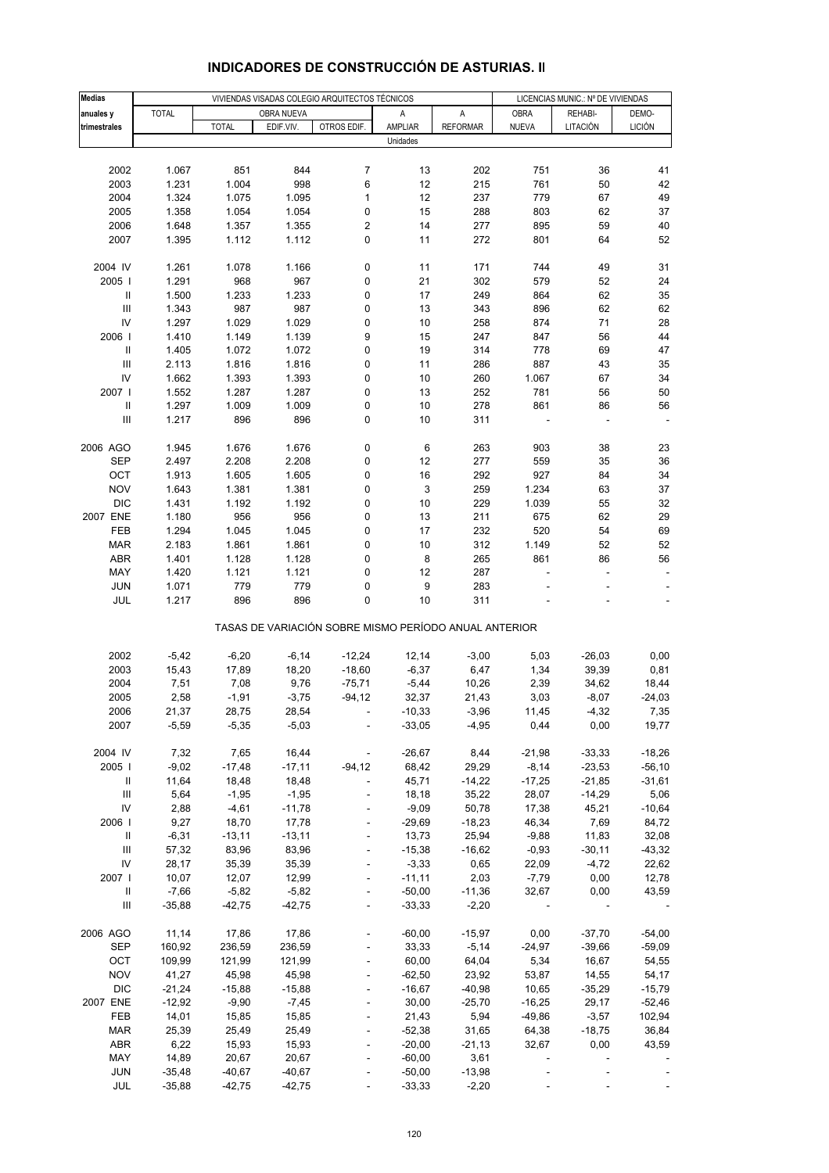| <b>Medias</b>                      |              |              | VIVIENDAS VISADAS COLEGIO ARQUITECTOS TÉCNICOS |                          |                                                       | LICENCIAS MUNIC.: Nº DE VIVIENDAS |              |          |               |
|------------------------------------|--------------|--------------|------------------------------------------------|--------------------------|-------------------------------------------------------|-----------------------------------|--------------|----------|---------------|
| anuales y                          | <b>TOTAL</b> |              | <b>OBRA NUEVA</b>                              |                          | Α                                                     | A                                 | <b>OBRA</b>  | REHABI-  | DEMO-         |
| trimestrales                       |              | <b>TOTAL</b> | EDIF.VIV.                                      | OTROS EDIF.              | AMPLIAR                                               | <b>REFORMAR</b>                   | <b>NUEVA</b> | LITACIÓN | <b>LICIÓN</b> |
|                                    |              |              |                                                |                          | Unidades                                              |                                   |              |          |               |
|                                    |              |              |                                                |                          |                                                       |                                   |              |          |               |
|                                    |              |              |                                                |                          |                                                       |                                   |              |          | 41            |
| 2002                               | 1.067        | 851          | 844                                            | $\overline{7}$           | 13                                                    | 202                               | 751          | 36       |               |
| 2003                               | 1.231        | 1.004        | 998                                            | 6                        | 12                                                    | 215                               | 761          | 50       | 42            |
| 2004                               | 1.324        | 1.075        | 1.095                                          | 1                        | 12                                                    | 237                               | 779          | 67       | 49            |
| 2005                               | 1.358        | 1.054        | 1.054                                          | 0                        | 15                                                    | 288                               | 803          | 62       | 37            |
| 2006                               | 1.648        | 1.357        | 1.355                                          | 2                        | 14                                                    | 277                               | 895          | 59       | 40            |
| 2007                               | 1.395        | 1.112        | 1.112                                          | 0                        | 11                                                    | 272                               | 801          | 64       | 52            |
|                                    |              |              |                                                |                          |                                                       |                                   |              |          |               |
| 2004 IV                            | 1.261        | 1.078        | 1.166                                          | 0                        | 11                                                    | 171                               | 744          | 49       | 31            |
| 2005                               | 1.291        | 968          | 967                                            | 0                        | 21                                                    | 302                               | 579          | 52       | 24            |
| $\mathbf{I}$                       | 1.500        | 1.233        | 1.233                                          | 0                        | 17                                                    | 249                               | 864          | 62       | 35            |
| $\ensuremath{\mathsf{III}}\xspace$ | 1.343        | 987          | 987                                            | 0                        | 13                                                    | 343                               | 896          | 62       | 62            |
| IV                                 | 1.297        | 1.029        | 1.029                                          | 0                        | 10                                                    | 258                               | 874          | 71       | 28            |
| 2006                               | 1.410        | 1.149        | 1.139                                          | 9                        | 15                                                    | 247                               | 847          | 56       | 44            |
| $\,$ II                            | 1.405        | 1.072        | 1.072                                          | 0                        | 19                                                    | 314                               | 778          | 69       | 47            |
| $\ensuremath{\mathsf{III}}\xspace$ | 2.113        | 1.816        | 1.816                                          | 0                        | 11                                                    | 286                               | 887          | 43       | 35            |
| IV                                 | 1.662        | 1.393        | 1.393                                          | 0                        | 10                                                    | 260                               | 1.067        | 67       | 34            |
| 2007                               | 1.552        | 1.287        | 1.287                                          | 0                        | 13                                                    | 252                               | 781          | 56       | 50            |
| Ш                                  | 1.297        | 1.009        | 1.009                                          | 0                        | 10                                                    | 278                               | 861          | 86       | 56            |
| $\ensuremath{\mathsf{III}}\xspace$ | 1.217        | 896          | 896                                            | 0                        | 10                                                    | 311                               |              |          |               |
|                                    |              |              |                                                |                          |                                                       |                                   |              |          |               |
| 2006 AGO                           | 1.945        | 1.676        | 1.676                                          | 0                        | 6                                                     | 263                               | 903          | 38       | 23            |
|                                    |              |              |                                                |                          | 12                                                    |                                   | 559          |          | 36            |
| SEP                                | 2.497        | 2.208        | 2.208                                          | 0                        |                                                       | 277                               |              | 35       |               |
| OCT                                | 1.913        | 1.605        | 1.605                                          | 0                        | 16                                                    | 292                               | 927          | 84       | 34            |
| <b>NOV</b>                         | 1.643        | 1.381        | 1.381                                          | 0                        | 3                                                     | 259                               | 1.234        | 63       | 37            |
| <b>DIC</b>                         | 1.431        | 1.192        | 1.192                                          | 0                        | 10                                                    | 229                               | 1.039        | 55       | 32            |
| 2007 ENE                           | 1.180        | 956          | 956                                            | 0                        | 13                                                    | 211                               | 675          | 62       | 29            |
| FEB                                | 1.294        | 1.045        | 1.045                                          | 0                        | 17                                                    | 232                               | 520          | 54       | 69            |
| MAR                                | 2.183        | 1.861        | 1.861                                          | 0                        | 10                                                    | 312                               | 1.149        | 52       | 52            |
| <b>ABR</b>                         | 1.401        | 1.128        | 1.128                                          | 0                        | 8                                                     | 265                               | 861          | 86       | 56            |
| MAY                                | 1.420        | 1.121        | 1.121                                          | 0                        | 12                                                    | 287                               |              | ٠        |               |
| <b>JUN</b>                         | 1.071        | 779          | 779                                            | 0                        | 9                                                     | 283                               |              |          |               |
| JUL                                | 1.217        | 896          | 896                                            | 0                        | 10                                                    | 311                               |              |          |               |
|                                    |              |              |                                                |                          | TASAS DE VARIACIÓN SOBRE MISMO PERÍODO ANUAL ANTERIOR |                                   |              |          |               |
| 2002                               | $-5,42$      | $-6,20$      | $-6,14$                                        | $-12,24$                 | 12,14                                                 | $-3,00$                           | 5,03         | $-26,03$ | 0,00          |
| 2003                               | 15,43        | 17,89        | 18,20                                          | $-18,60$                 | $-6,37$                                               |                                   | 1,34         | 39,39    | 0,81          |
| 2004                               |              |              |                                                |                          |                                                       | 6,47                              |              |          |               |
|                                    | 7,51         | 7,08         | 9,76                                           | $-75,71$                 | $-5,44$<br>32,37                                      | 10,26                             | 2,39         | 34,62    | 18,44         |
| 2005                               | 2,58         | $-1,91$      | $-3,75$                                        | $-94, 12$                |                                                       | 21,43                             | 3,03         | $-8,07$  | $-24,03$      |
| 2006                               | 21,37        | 28,75        | 28,54                                          |                          | $-10,33$                                              | $-3,96$                           | 11,45        | $-4,32$  | 7,35          |
| 2007                               | $-5,59$      | $-5,35$      | $-5,03$                                        |                          | $-33,05$                                              | $-4,95$                           | 0,44         | 0,00     | 19,77         |
|                                    |              |              |                                                |                          |                                                       |                                   |              |          |               |
| 2004 IV                            | 7,32         | 7,65         | 16,44                                          | $\overline{\phantom{a}}$ | $-26,67$                                              | 8,44                              | $-21,98$     | $-33,33$ | $-18,26$      |
| 2005                               | $-9,02$      | $-17,48$     | $-17,11$                                       | $-94, 12$                | 68,42                                                 | 29,29                             | $-8,14$      | $-23,53$ | $-56, 10$     |
| Ш                                  | 11,64        | 18,48        | 18,48                                          | $\frac{1}{2}$            | 45,71                                                 | $-14,22$                          | $-17,25$     | $-21,85$ | $-31,61$      |
| $\ensuremath{\mathsf{III}}\xspace$ | 5,64         | $-1,95$      | $-1,95$                                        | $\blacksquare$           | 18,18                                                 | 35,22                             | 28,07        | $-14,29$ | 5,06          |
| IV                                 | 2,88         | $-4,61$      | $-11,78$                                       |                          | $-9,09$                                               | 50,78                             | 17,38        | 45,21    | $-10,64$      |
| 2006                               | 9,27         | 18,70        | 17,78                                          |                          | $-29,69$                                              | $-18,23$                          | 46,34        | 7,69     | 84,72         |
| Ш                                  | $-6,31$      | $-13,11$     | $-13,11$                                       | $\blacksquare$           | 13,73                                                 | 25,94                             | $-9,88$      | 11,83    | 32,08         |
| Ш                                  | 57,32        | 83,96        | 83,96                                          |                          | $-15,38$                                              | $-16,62$                          | $-0,93$      | $-30,11$ | $-43,32$      |
| IV                                 | 28,17        | 35,39        | 35,39                                          |                          | $-3,33$                                               | 0,65                              | 22,09        | $-4,72$  | 22,62         |
| 2007                               | 10,07        | 12,07        | 12,99                                          | $\blacksquare$           | $-11,11$                                              | 2,03                              | $-7,79$      | 0,00     | 12,78         |
| Ш                                  | $-7,66$      | $-5,82$      | $-5,82$                                        |                          | $-50,00$                                              | $-11,36$                          | 32,67        | 0,00     | 43,59         |
| $\ensuremath{\mathsf{III}}\xspace$ | $-35,88$     | $-42,75$     | $-42,75$                                       |                          | $-33,33$                                              | $-2,20$                           |              |          |               |
|                                    |              |              |                                                |                          |                                                       |                                   |              |          |               |
| 2006 AGO                           | 11,14        | 17,86        | 17,86                                          |                          | $-60,00$                                              | $-15,97$                          | 0,00         | $-37,70$ | $-54,00$      |
| <b>SEP</b>                         | 160,92       | 236,59       | 236,59                                         |                          | 33,33                                                 | $-5,14$                           | $-24,97$     | $-39,66$ | $-59,09$      |
| OCT                                | 109,99       | 121,99       | 121,99                                         | $\frac{1}{2}$            | 60,00                                                 | 64,04                             | 5,34         | 16,67    | 54,55         |
| <b>NOV</b>                         | 41,27        | 45,98        | 45,98                                          |                          | $-62,50$                                              | 23,92                             | 53,87        | 14,55    | 54,17         |
| <b>DIC</b>                         | $-21,24$     | $-15,88$     | $-15,88$                                       |                          | $-16,67$                                              | $-40,98$                          | 10,65        | $-35,29$ | $-15,79$      |
| 2007 ENE                           | $-12,92$     | $-9,90$      | $-7,45$                                        |                          | 30,00                                                 | $-25,70$                          | $-16,25$     | 29,17    | $-52,46$      |
| FEB                                | 14,01        | 15,85        | 15,85                                          |                          | 21,43                                                 | 5,94                              | $-49,86$     | $-3,57$  | 102,94        |
| MAR                                | 25,39        | 25,49        | 25,49                                          |                          | $-52,38$                                              | 31,65                             | 64,38        | $-18,75$ | 36,84         |
| <b>ABR</b>                         | 6,22         | 15,93        | 15,93                                          | $\frac{1}{2}$            | $-20,00$                                              | $-21,13$                          | 32,67        | 0,00     | 43,59         |
| MAY                                | 14,89        | 20,67        | 20,67                                          |                          | $-60,00$                                              | 3,61                              |              |          |               |
| <b>JUN</b>                         | $-35,48$     | $-40,67$     | $-40,67$                                       |                          | $-50,00$                                              | $-13,98$                          |              |          |               |
| JUL                                | $-35,88$     | $-42,75$     | $-42,75$                                       | $\blacksquare$           | $-33,33$                                              | $-2,20$                           |              |          |               |

## **INDICADORES DE CONSTRUCCIÓN DE ASTURIAS. II**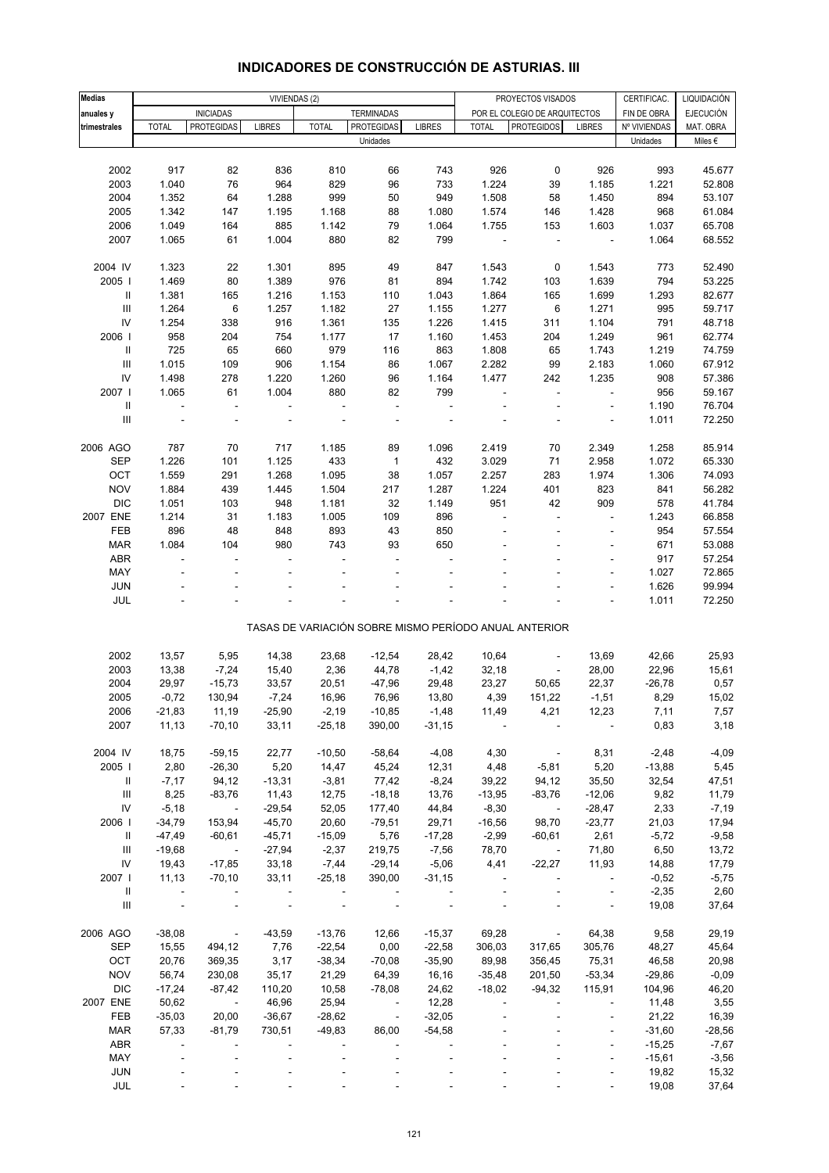| <b>Medias</b>                      | VIVIENDAS (2)            |                          |                          |                |                          |               |                          | PROYECTOS VISADOS                                     |                          | CERTIFICAC.  | LIQUIDACIÓN      |
|------------------------------------|--------------------------|--------------------------|--------------------------|----------------|--------------------------|---------------|--------------------------|-------------------------------------------------------|--------------------------|--------------|------------------|
| anuales y                          |                          | <b>INICIADAS</b>         |                          |                | <b>TERMINADAS</b>        |               |                          | POR EL COLEGIO DE ARQUITECTOS                         |                          | FIN DE OBRA  | <b>EJECUCIÓN</b> |
| trimestrales                       | <b>TOTAL</b>             | <b>PROTEGIDAS</b>        | <b>LIBRES</b>            | <b>TOTAL</b>   | <b>PROTEGIDAS</b>        | <b>LIBRES</b> | <b>TOTAL</b>             | <b>PROTEGIDOS</b>                                     | <b>LIBRES</b>            | Nº VIVIENDAS | MAT. OBRA        |
|                                    |                          |                          |                          |                | Unidades                 |               |                          |                                                       |                          | Unidades     | Miles $\epsilon$ |
|                                    |                          |                          |                          |                |                          |               |                          |                                                       |                          |              |                  |
| 2002                               | 917                      | 82                       | 836                      | 810            | 66                       | 743           | 926                      | 0                                                     | 926                      | 993          | 45.677           |
| 2003                               | 1.040                    | 76                       | 964                      | 829            | 96                       | 733           | 1.224                    | 39                                                    | 1.185                    | 1.221        | 52.808           |
| 2004                               | 1.352                    | 64                       | 1.288                    | 999            | 50                       | 949           | 1.508                    | 58                                                    | 1.450                    | 894          | 53.107           |
| 2005                               | 1.342                    | 147                      | 1.195                    | 1.168          | 88                       | 1.080         | 1.574                    | 146                                                   | 1.428                    | 968          | 61.084           |
| 2006                               | 1.049                    | 164                      | 885                      | 1.142          | 79                       | 1.064         | 1.755                    | 153                                                   | 1.603                    | 1.037        | 65.708           |
| 2007                               | 1.065                    | 61                       | 1.004                    | 880            | 82                       | 799           | $\overline{\phantom{a}}$ | $\overline{a}$                                        | $\overline{\phantom{a}}$ | 1.064        | 68.552           |
|                                    |                          |                          |                          |                |                          |               |                          |                                                       |                          |              |                  |
| 2004 IV                            | 1.323                    | 22                       | 1.301                    | 895            | 49                       | 847           | 1.543                    | 0                                                     | 1.543                    | 773          | 52.490           |
| 2005                               | 1.469                    | 80                       | 1.389                    | 976            | 81                       | 894           | 1.742                    | 103                                                   | 1.639                    | 794          | 53.225           |
| Ш                                  | 1.381                    | 165                      | 1.216                    | 1.153          | 110                      | 1.043         | 1.864                    | 165                                                   | 1.699                    | 1.293        | 82.677           |
| $\ensuremath{\mathsf{III}}\xspace$ | 1.264                    | 6                        | 1.257                    | 1.182          | 27                       | 1.155         | 1.277                    | $\,6$                                                 | 1.271                    | 995          | 59.717           |
| IV                                 | 1.254                    | 338                      | 916                      | 1.361          | 135                      | 1.226         | 1.415                    | 311                                                   | 1.104                    | 791          | 48.718           |
| 2006                               | 958                      | 204                      | 754                      | 1.177          | 17                       | 1.160         | 1.453                    | 204                                                   | 1.249                    | 961          | 62.774           |
| $\mathbf{I}$                       | 725                      | 65                       | 660                      | 979            | 116                      | 863           | 1.808                    | 65                                                    | 1.743                    | 1.219        | 74.759           |
| $\ensuremath{\mathsf{III}}\xspace$ | 1.015                    | 109                      | 906                      | 1.154          | 86                       | 1.067         | 2.282                    | 99                                                    | 2.183                    | 1.060        | 67.912           |
| IV                                 | 1.498                    | 278                      | 1.220                    | 1.260          | 96                       | 1.164         | 1.477                    | 242                                                   | 1.235                    | 908          | 57.386           |
| 2007 l                             | 1.065                    | 61                       | 1.004                    | 880            | 82                       | 799           |                          | $\overline{a}$                                        | ÷.                       | 956          | 59.167           |
| $\sf II$                           | $\overline{a}$           | $\overline{\phantom{a}}$ | $\overline{\phantom{a}}$ | $\overline{a}$ | ÷,                       | ÷,            |                          |                                                       | ÷,                       | 1.190        | 76.704           |
| III                                |                          |                          |                          |                |                          |               |                          |                                                       | ÷,                       | 1.011        | 72.250           |
|                                    |                          |                          |                          |                |                          |               |                          |                                                       |                          |              |                  |
| 2006 AGO                           | 787                      | 70                       | 717                      | 1.185          | 89                       | 1.096         | 2.419                    | 70                                                    | 2.349                    | 1.258        | 85.914           |
| <b>SEP</b>                         | 1.226                    | 101                      | 1.125                    | 433            | $\mathbf{1}$             | 432           | 3.029                    | 71                                                    | 2.958                    | 1.072        | 65.330           |
| OCT                                | 1.559                    | 291                      | 1.268                    | 1.095          | 38                       | 1.057         | 2.257                    | 283                                                   | 1.974                    | 1.306        | 74.093           |
| <b>NOV</b>                         | 1.884                    | 439                      | 1.445                    | 1.504          | 217                      | 1.287         | 1.224                    | 401                                                   | 823                      | 841          | 56.282           |
| <b>DIC</b>                         | 1.051                    | 103                      | 948                      | 1.181          | 32                       | 1.149         | 951                      | 42                                                    | 909                      | 578          | 41.784           |
| 2007 ENE                           | 1.214                    | 31                       | 1.183                    | 1.005          | 109                      | 896           |                          | J.                                                    | ÷,                       | 1.243        | 66.858           |
| FEB                                | 896                      | 48                       | 848                      | 893            | 43                       | 850           |                          | ä,                                                    | $\overline{\phantom{a}}$ | 954          | 57.554           |
| <b>MAR</b>                         | 1.084                    | 104                      | 980                      | 743            | 93                       | 650           |                          |                                                       | ÷,                       | 671          | 53.088           |
| ABR                                |                          | L,                       |                          |                | ÷,                       |               |                          |                                                       | $\bar{a}$                | 917          | 57.254           |
| MAY                                |                          |                          |                          |                |                          |               |                          |                                                       | $\overline{\phantom{a}}$ | 1.027        | 72.865           |
| <b>JUN</b>                         |                          |                          |                          |                |                          |               |                          |                                                       | ÷.                       | 1.626        | 99.994           |
| JUL                                |                          |                          |                          |                |                          |               |                          |                                                       |                          | 1.011        | 72.250           |
|                                    |                          |                          |                          |                |                          |               |                          |                                                       |                          |              |                  |
|                                    |                          |                          |                          |                |                          |               |                          | TASAS DE VARIACIÓN SOBRE MISMO PERÍODO ANUAL ANTERIOR |                          |              |                  |
|                                    |                          |                          |                          |                |                          |               |                          |                                                       |                          |              |                  |
| 2002                               | 13,57                    | 5,95                     | 14,38                    | 23,68          | $-12,54$                 | 28,42         | 10,64                    | ÷                                                     | 13,69                    | 42,66        | 25,93            |
| 2003                               | 13,38                    | $-7,24$                  | 15,40                    | 2,36           | 44,78                    | $-1,42$       | 32,18                    | ÷                                                     | 28,00                    | 22,96        | 15,61            |
| 2004                               | 29,97                    | $-15,73$                 | 33,57                    | 20,51          | $-47,96$                 | 29,48         | 23,27                    | 50,65                                                 | 22,37                    | $-26,78$     | 0,57             |
| 2005                               | $-0,72$                  | 130,94                   | $-7,24$                  | 16,96          | 76,96                    | 13,80         | 4,39                     | 151,22                                                | $-1,51$                  | 8,29         | 15,02            |
| 2006                               | -21,83                   | 11,19                    | $-25,90$                 | $-2,19$        | $-10,85$                 | -1,48         | 11,49                    | 4,21                                                  | 12,23                    | 7,11         | 7,57             |
| 2007                               | 11,13                    | $-70,10$                 | 33,11                    | $-25,18$       | 390,00                   | $-31,15$      |                          |                                                       |                          | 0,83         | 3,18             |
|                                    |                          |                          |                          |                |                          |               |                          |                                                       |                          |              |                  |
| 2004 IV                            | 18,75                    | $-59,15$                 | 22,77                    | $-10,50$       | $-58,64$                 | $-4,08$       | 4,30                     | $\sim$                                                | 8,31                     | $-2,48$      | $-4,09$          |
| 2005                               | 2,80                     | $-26,30$                 | 5,20                     | 14,47          | 45,24                    | 12,31         | 4,48                     | $-5,81$                                               | 5,20                     | $-13,88$     | 5,45             |
| $\parallel$                        | $-7,17$                  | 94,12                    | $-13,31$                 | $-3,81$        | 77,42                    | $-8,24$       | 39,22                    | 94,12                                                 | 35,50                    | 32,54        | 47,51            |
| Ш                                  | 8,25                     | $-83,76$                 | 11,43                    | 12,75          | $-18,18$                 | 13,76         | $-13,95$                 | $-83,76$                                              | $-12,06$                 | 9,82         | 11,79            |
| ${\sf IV}$                         | $-5,18$                  | $\sim 100$ km s $^{-1}$  | $-29,54$                 | 52,05          | 177,40                   | 44,84         | $-8,30$                  | $\sim 100$                                            | $-28,47$                 | 2,33         | $-7,19$          |
| 2006                               | $-34,79$                 | 153,94                   | $-45,70$                 | 20,60          | $-79,51$                 | 29,71         | $-16,56$                 | 98,70                                                 | $-23,77$                 | 21,03        | 17,94            |
| Ш                                  | $-47,49$                 | $-60,61$                 | $-45,71$                 | $-15,09$       | 5,76                     | $-17,28$      | $-2,99$                  | $-60,61$                                              | 2,61                     | $-5,72$      | $-9,58$          |
| Ш                                  | $-19,68$                 | $\sim 100$               | $-27,94$                 | $-2,37$        | 219,75                   | $-7,56$       | 78,70                    | $\sim 100$ km s $^{-1}$                               | 71,80                    | 6,50         | 13,72            |
| IV                                 | 19,43                    | $-17,85$                 | 33,18                    | $-7,44$        | $-29,14$                 | $-5,06$       | 4,41                     | $-22,27$                                              | 11,93                    | 14,88        | 17,79            |
| 2007 l                             | 11,13                    | $-70,10$                 | 33,11                    | $-25,18$       | 390,00                   | $-31,15$      |                          |                                                       | $\overline{\phantom{a}}$ | $-0,52$      | $-5,75$          |
| $\mathbf{II}$                      | $\overline{\phantom{a}}$ |                          |                          |                |                          |               |                          |                                                       | $\overline{\phantom{a}}$ | $-2,35$      | 2,60             |
| $\mathbf{III}$                     | $\overline{\phantom{a}}$ |                          | $\overline{\phantom{a}}$ |                |                          |               |                          |                                                       | $\overline{\phantom{a}}$ | 19,08        | 37,64            |
|                                    |                          |                          |                          |                |                          |               |                          |                                                       |                          |              |                  |
| 2006 AGO                           | $-38,08$                 | $\sim 100$ km s $^{-1}$  | $-43,59$                 | $-13,76$       | 12,66                    | $-15,37$      | 69,28                    | $\overline{\phantom{a}}$                              | 64,38                    | 9,58         | 29,19            |
| <b>SEP</b>                         | 15,55                    | 494,12                   | 7,76                     | $-22,54$       | 0,00                     | $-22,58$      | 306,03                   | 317,65                                                | 305,76                   | 48,27        | 45,64            |
| OCT                                | 20,76                    | 369,35                   | 3,17                     | $-38,34$       | $-70,08$                 | $-35,90$      | 89,98                    | 356,45                                                | 75,31                    | 46,58        | 20,98            |
| <b>NOV</b>                         | 56,74                    | 230,08                   | 35,17                    | 21,29          | 64,39                    | 16,16         | $-35,48$                 | 201,50                                                | $-53,34$                 | $-29,86$     | $-0,09$          |
| <b>DIC</b>                         | $-17,24$                 | $-87,42$                 | 110,20                   | 10,58          | $-78,08$                 | 24,62         | $-18,02$                 | $-94,32$                                              | 115,91                   | 104,96       | 46,20            |
| 2007 ENE                           | 50,62                    | $\sim 100$ km s $^{-1}$  | 46,96                    | 25,94          | $\overline{\phantom{a}}$ | 12,28         |                          |                                                       |                          | 11,48        | 3,55             |
| FEB                                | $-35,03$                 | 20,00                    | $-36,67$                 | $-28,62$       | $\blacksquare$           | $-32,05$      |                          |                                                       | ÷,                       | 21,22        | 16,39            |
| <b>MAR</b>                         | 57,33                    | $-81,79$                 | 730,51                   | $-49,83$       | 86,00                    | $-54,58$      |                          |                                                       |                          | $-31,60$     | $-28,56$         |
| <b>ABR</b>                         |                          |                          |                          |                |                          |               |                          |                                                       |                          | $-15,25$     | $-7,67$          |
| MAY                                |                          |                          |                          |                |                          |               |                          |                                                       | ÷,                       | $-15,61$     | $-3,56$          |
| <b>JUN</b>                         |                          |                          |                          |                |                          |               |                          |                                                       |                          | 19,82        | 15,32            |
| JUL                                |                          |                          |                          |                |                          |               |                          |                                                       |                          | 19,08        | 37,64            |

# **INDICADORES DE CONSTRUCCIÓN DE ASTURIAS. III**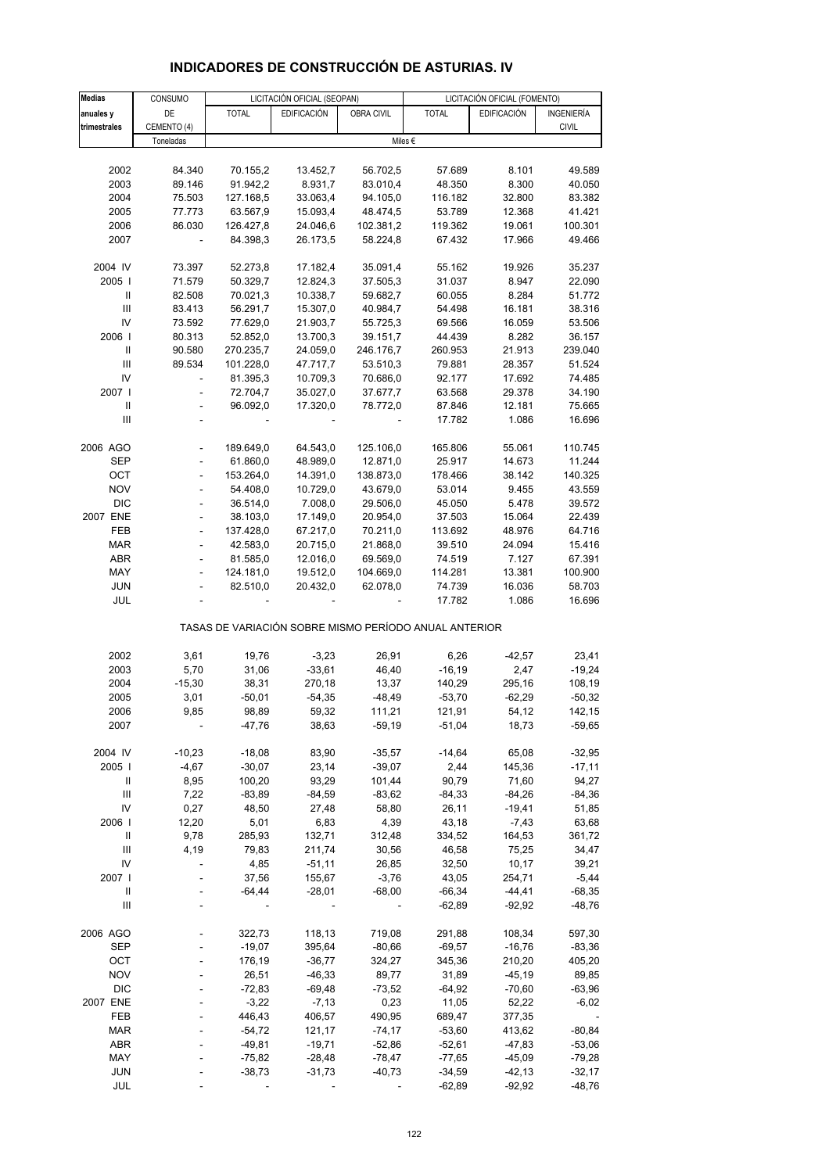| <b>Medias</b>  | CONSUMO                      |              | LICITACIÓN OFICIAL (SEOPAN) |            | LICITACIÓN OFICIAL (FOMENTO)                          |                    |              |  |
|----------------|------------------------------|--------------|-----------------------------|------------|-------------------------------------------------------|--------------------|--------------|--|
| anuales y      | DE                           | <b>TOTAL</b> | <b>EDIFICACIÓN</b>          | OBRA CIVIL | <b>TOTAL</b>                                          | <b>EDIFICACIÓN</b> | INGENIERÍA   |  |
|                |                              |              |                             |            |                                                       |                    |              |  |
| trimestrales   | CEMENTO (4)                  |              |                             |            |                                                       |                    | <b>CIVIL</b> |  |
|                | Toneladas                    |              |                             |            | Miles €                                               |                    |              |  |
|                |                              |              |                             |            |                                                       |                    |              |  |
| 2002           | 84.340                       | 70.155,2     | 13.452,7                    | 56.702,5   | 57.689                                                | 8.101              | 49.589       |  |
| 2003           | 89.146                       | 91.942,2     | 8.931,7                     | 83.010,4   | 48.350                                                | 8.300              | 40.050       |  |
| 2004           | 75.503                       | 127.168,5    | 33.063,4                    | 94.105,0   | 116.182                                               | 32.800             | 83.382       |  |
| 2005           | 77.773                       | 63.567,9     | 15.093,4                    | 48.474,5   | 53.789                                                | 12.368             | 41.421       |  |
| 2006           | 86.030                       | 126.427,8    | 24.046,6                    | 102.381,2  | 119.362                                               | 19.061             | 100.301      |  |
| 2007           | $\frac{1}{2}$                | 84.398,3     | 26.173,5                    | 58.224,8   | 67.432                                                | 17.966             | 49.466       |  |
|                |                              |              |                             |            |                                                       |                    |              |  |
| 2004 IV        | 73.397                       | 52.273,8     | 17.182,4                    | 35.091,4   | 55.162                                                | 19.926             | 35.237       |  |
| 2005           | 71.579                       | 50.329,7     | 12.824,3                    | 37.505,3   | 31.037                                                | 8.947              | 22.090       |  |
|                |                              |              |                             |            |                                                       |                    |              |  |
| Ш              | 82.508                       | 70.021,3     | 10.338,7                    | 59.682,7   | 60.055                                                | 8.284              | 51.772       |  |
| III            | 83.413                       | 56.291,7     | 15.307,0                    | 40.984,7   | 54.498                                                | 16.181             | 38.316       |  |
| IV             | 73.592                       | 77.629,0     | 21.903,7                    | 55.725,3   | 69.566                                                | 16.059             | 53.506       |  |
| 2006           | 80.313                       | 52.852,0     | 13.700,3                    | 39.151,7   | 44.439                                                | 8.282              | 36.157       |  |
| $\, \parallel$ | 90.580                       | 270.235,7    | 24.059,0                    | 246.176,7  | 260.953                                               | 21.913             | 239.040      |  |
| III            | 89.534                       | 101.228,0    | 47.717,7                    | 53.510,3   | 79.881                                                | 28.357             | 51.524       |  |
| IV             | L,                           | 81.395,3     | 10.709,3                    | 70.686,0   | 92.177                                                | 17.692             | 74.485       |  |
| 2007 l         |                              | 72.704,7     | 35.027,0                    | 37.677,7   | 63.568                                                | 29.378             | 34.190       |  |
| $\mathbf{I}$   |                              | 96.092,0     | 17.320,0                    | 78.772,0   | 87.846                                                | 12.181             | 75.665       |  |
| III            |                              |              |                             |            | 17.782                                                | 1.086              | 16.696       |  |
|                |                              |              |                             |            |                                                       |                    |              |  |
| 2006 AGO       |                              | 189.649,0    | 64.543,0                    | 125.106,0  | 165.806                                               | 55.061             | 110.745      |  |
| <b>SEP</b>     |                              | 61.860,0     | 48.989,0                    | 12.871,0   | 25.917                                                | 14.673             | 11.244       |  |
| OCT            | ÷,                           | 153.264,0    | 14.391,0                    | 138.873,0  | 178.466                                               | 38.142             | 140.325      |  |
| <b>NOV</b>     | $\overline{a}$               | 54.408,0     | 10.729,0                    | 43.679,0   | 53.014                                                | 9.455              | 43.559       |  |
|                |                              |              |                             |            |                                                       |                    |              |  |
| <b>DIC</b>     | ÷,                           | 36.514,0     | 7.008,0                     | 29.506,0   | 45.050                                                | 5.478              | 39.572       |  |
| 2007 ENE       | ÷,                           | 38.103,0     | 17.149,0                    | 20.954,0   | 37.503                                                | 15.064             | 22.439       |  |
| FEB            | $\qquad \qquad \blacksquare$ | 137.428,0    | 67.217,0                    | 70.211,0   | 113.692                                               | 48.976             | 64.716       |  |
| <b>MAR</b>     |                              | 42.583,0     | 20.715,0                    | 21.868,0   | 39.510                                                | 24.094             | 15.416       |  |
| <b>ABR</b>     | ÷,                           | 81.585,0     | 12.016,0                    | 69.569,0   | 74.519                                                | 7.127              | 67.391       |  |
| MAY            |                              | 124.181,0    | 19.512,0                    | 104.669,0  | 114.281                                               | 13.381             | 100.900      |  |
| <b>JUN</b>     |                              | 82.510,0     | 20.432,0                    | 62.078,0   | 74.739                                                | 16.036             | 58.703       |  |
| JUL            |                              |              |                             |            | 17.782                                                | 1.086              | 16.696       |  |
|                |                              |              |                             |            | TASAS DE VARIACIÓN SOBRE MISMO PERÍODO ANUAL ANTERIOR |                    |              |  |
| 2002           | 3,61                         | 19,76        | $-3,23$                     | 26,91      | 6,26                                                  | $-42,57$           | 23,41        |  |
| 2003           | 5,70                         | 31,06        | $-33,61$                    | 46,40      | $-16,19$                                              | 2,47               | $-19,24$     |  |
| 2004           | $-15,30$                     | 38,31        | 270,18                      | 13,37      | 140,29                                                | 295,16             | 108,19       |  |
|                |                              |              |                             |            |                                                       |                    |              |  |
| 2005           | 3,01                         | $-50,01$     | $-54,35$                    | $-48,49$   | $-53,70$                                              | $-62,29$           | $-50,32$     |  |
| 2006           | 9,85                         | 98,89        | 59,32                       | 111,21     | 121,91                                                | 54,12              | 142,15       |  |
| 2007           |                              | $-47,76$     | 38,63                       | $-59,19$   | $-51,04$                                              | 18,73              | $-59,65$     |  |
|                |                              |              |                             |            |                                                       |                    |              |  |
| 2004 IV        | $-10,23$                     | $-18,08$     | 83,90                       | $-35,57$   | $-14,64$                                              | 65,08              | $-32,95$     |  |
| 2005           | $-4,67$                      | $-30,07$     | 23,14                       | $-39,07$   | 2,44                                                  | 145,36             | $-17,11$     |  |
| Ш              | 8,95                         | 100,20       | 93,29                       | 101,44     | 90,79                                                 | 71,60              | 94,27        |  |
| Ш              | 7,22                         | $-83,89$     | $-84,59$                    | $-83,62$   | $-84,33$                                              | $-84,26$           | $-84,36$     |  |
| IV             | 0,27                         | 48,50        | 27,48                       | 58,80      | 26,11                                                 | $-19,41$           | 51,85        |  |
| 2006           | 12,20                        | 5,01         | 6,83                        | 4,39       | 43,18                                                 | $-7,43$            | 63,68        |  |
| Ш              | 9,78                         | 285,93       | 132,71                      | 312,48     | 334,52                                                | 164,53             | 361,72       |  |
| III            | 4,19                         | 79,83        | 211,74                      | 30,56      | 46,58                                                 | 75,25              | 34,47        |  |
| IV             |                              | 4,85         | $-51,11$                    | 26,85      | 32,50                                                 | 10,17              | 39,21        |  |
| 2007 l         |                              | 37,56        | 155,67                      | $-3,76$    | 43,05                                                 | 254,71             | $-5,44$      |  |
| Ш              |                              | $-64,44$     | $-28,01$                    | $-68,00$   | $-66,34$                                              | $-44, 41$          | $-68,35$     |  |
| Ш              |                              |              |                             |            | $-62,89$                                              | $-92,92$           | $-48,76$     |  |
| 2006 AGO       |                              |              | 118,13                      | 719,08     |                                                       | 108,34             | 597,30       |  |
|                |                              | 322,73       |                             |            | 291,88                                                |                    |              |  |
| <b>SEP</b>     |                              | $-19,07$     | 395,64                      | $-80,66$   | $-69,57$                                              | $-16,76$           | $-83,36$     |  |
| OCT            |                              | 176,19       | $-36,77$                    | 324,27     | 345,36                                                | 210,20             | 405,20       |  |
| <b>NOV</b>     |                              | 26,51        | $-46,33$                    | 89,77      | 31,89                                                 | $-45,19$           | 89,85        |  |
| <b>DIC</b>     |                              | $-72,83$     | $-69,48$                    | $-73,52$   | $-64,92$                                              | $-70,60$           | $-63,96$     |  |
| 2007 ENE       |                              | $-3,22$      | $-7,13$                     | 0,23       | 11,05                                                 | 52,22              | -6,02        |  |
| FEB            |                              | 446,43       | 406,57                      | 490,95     | 689,47                                                | 377,35             |              |  |
| <b>MAR</b>     |                              | $-54,72$     | 121,17                      | $-74,17$   | $-53,60$                                              | 413,62             | $-80, 84$    |  |
| <b>ABR</b>     |                              | $-49,81$     | $-19,71$                    | $-52,86$   | $-52,61$                                              | -47,83             | $-53,06$     |  |
| MAY            |                              | $-75,82$     | $-28,48$                    | $-78,47$   | $-77,65$                                              | $-45,09$           | $-79,28$     |  |
| <b>JUN</b>     |                              | $-38,73$     | $-31,73$                    | $-40,73$   | $-34,59$                                              | $-42, 13$          | $-32,17$     |  |
| JUL            |                              |              |                             |            | $-62,89$                                              | $-92,92$           | $-48,76$     |  |
|                |                              |              |                             |            |                                                       |                    |              |  |

# **INDICADORES DE CONSTRUCCIÓN DE ASTURIAS. IV**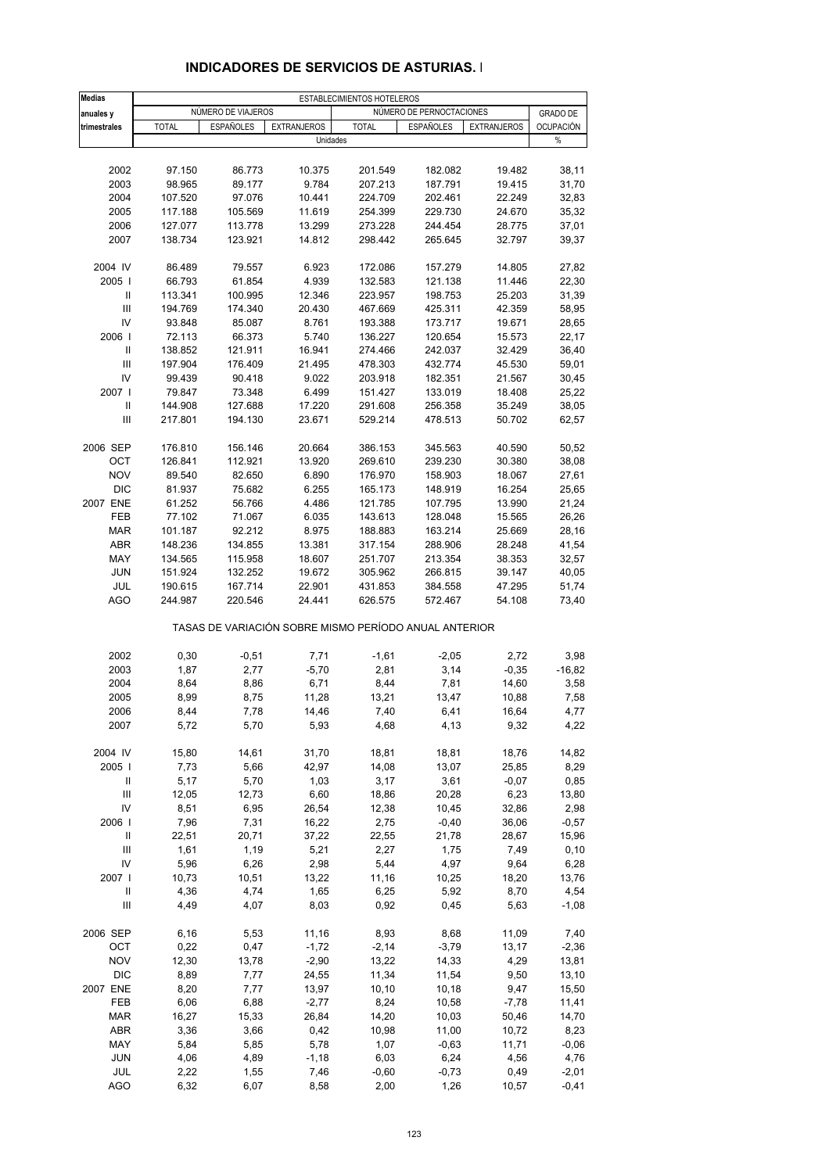| <b>Medias</b>                      | ESTABLECIMIENTOS HOTELEROS |                    |                    |                                                       |                          |                    |                  |  |
|------------------------------------|----------------------------|--------------------|--------------------|-------------------------------------------------------|--------------------------|--------------------|------------------|--|
| anuales y                          |                            | NÚMERO DE VIAJEROS |                    |                                                       | NÚMERO DE PERNOCTACIONES |                    | <b>GRADO DE</b>  |  |
| trimestrales                       | <b>TOTAL</b>               | <b>ESPAÑOLES</b>   | <b>EXTRANJEROS</b> | <b>TOTAL</b>                                          | <b>ESPAÑOLES</b>         | <b>EXTRANJEROS</b> | <b>OCUPACIÓN</b> |  |
|                                    |                            |                    | Unidades           |                                                       |                          |                    | %                |  |
|                                    |                            |                    |                    |                                                       |                          |                    |                  |  |
| 2002                               | 97.150                     | 86.773             | 10.375             | 201.549                                               | 182.082                  | 19.482             | 38,11            |  |
| 2003                               | 98.965                     | 89.177             | 9.784              | 207.213                                               | 187.791                  | 19.415             | 31,70            |  |
| 2004                               | 107.520                    | 97.076             | 10.441             | 224.709                                               | 202.461                  | 22.249             | 32,83            |  |
| 2005                               | 117.188                    | 105.569            | 11.619             | 254.399                                               | 229.730                  | 24.670             | 35,32            |  |
| 2006                               | 127.077                    | 113.778            | 13.299             | 273.228                                               | 244.454                  | 28.775             | 37,01            |  |
| 2007                               | 138.734                    | 123.921            | 14.812             | 298.442                                               | 265.645                  | 32.797             | 39,37            |  |
|                                    |                            |                    |                    |                                                       |                          |                    |                  |  |
| 2004 IV                            | 86.489                     | 79.557             | 6.923              | 172.086                                               | 157.279                  | 14.805             | 27,82            |  |
| 2005                               | 66.793                     | 61.854             | 4.939              | 132.583                                               | 121.138                  | 11.446             | 22,30            |  |
| Ш                                  | 113.341                    | 100.995            | 12.346             | 223.957                                               | 198.753                  | 25.203             | 31,39            |  |
| Ш                                  | 194.769                    | 174.340            | 20.430             | 467.669                                               | 425.311                  | 42.359             | 58,95            |  |
| IV                                 | 93.848                     | 85.087             | 8.761              | 193.388                                               | 173.717                  | 19.671             | 28,65            |  |
| 2006                               | 72.113                     | 66.373             | 5.740              | 136.227                                               | 120.654                  | 15.573             | 22,17            |  |
| Ш                                  | 138.852                    | 121.911            | 16.941             | 274.466                                               | 242.037                  | 32.429             | 36,40            |  |
| Ш                                  | 197.904                    | 176.409            | 21.495             | 478.303                                               | 432.774                  | 45.530             | 59,01            |  |
| IV                                 | 99.439                     | 90.418             | 9.022              | 203.918                                               | 182.351                  | 21.567             | 30,45            |  |
| 2007 l                             | 79.847                     | 73.348             | 6.499              | 151.427                                               | 133.019                  | 18.408             | 25,22            |  |
| Ш                                  | 144.908                    | 127.688            | 17.220             | 291.608                                               | 256.358                  | 35.249             | 38,05            |  |
| $\ensuremath{\mathsf{III}}\xspace$ | 217.801                    | 194.130            | 23.671             | 529.214                                               | 478.513                  | 50.702             | 62,57            |  |
|                                    |                            |                    |                    |                                                       |                          |                    |                  |  |
| 2006 SEP                           | 176.810                    | 156.146            | 20.664             | 386.153                                               | 345.563                  | 40.590             | 50,52            |  |
| OCT                                | 126.841                    | 112.921            | 13.920             | 269.610                                               | 239.230                  | 30.380             | 38,08            |  |
| <b>NOV</b>                         | 89.540                     | 82.650             | 6.890              | 176.970                                               | 158.903                  | 18.067             | 27,61            |  |
| <b>DIC</b>                         | 81.937                     | 75.682             | 6.255              | 165.173                                               | 148.919                  | 16.254             | 25,65            |  |
| 2007 ENE                           | 61.252                     | 56.766             | 4.486              | 121.785                                               | 107.795                  | 13.990             | 21,24            |  |
| FEB                                | 77.102                     | 71.067             | 6.035              | 143.613                                               | 128.048                  | 15.565             | 26,26            |  |
| <b>MAR</b>                         | 101.187                    | 92.212             | 8.975              | 188.883                                               | 163.214                  | 25.669             | 28,16            |  |
| <b>ABR</b>                         | 148.236                    | 134.855            | 13.381             | 317.154                                               | 288.906                  | 28.248             | 41,54            |  |
| MAY                                | 134.565                    | 115.958            | 18.607             | 251.707                                               | 213.354                  | 38.353             | 32,57            |  |
| <b>JUN</b>                         | 151.924                    | 132.252            | 19.672             | 305.962                                               | 266.815                  | 39.147             | 40,05            |  |
| JUL                                | 190.615                    | 167.714            | 22.901             | 431.853                                               | 384.558                  | 47.295             | 51,74            |  |
| AGO                                | 244.987                    | 220.546            | 24.441             | 626.575                                               | 572.467                  | 54.108             | 73,40            |  |
|                                    |                            |                    |                    |                                                       |                          |                    |                  |  |
|                                    |                            |                    |                    | TASAS DE VARIACIÓN SOBRE MISMO PERÍODO ANUAL ANTERIOR |                          |                    |                  |  |
| 2002                               | 0,30                       | $-0,51$            | 7,71               | $-1,61$                                               | $-2,05$                  | 2,72               | 3,98             |  |
| 2003                               | 1,87                       | 2,77               | $-5,70$            | 2,81                                                  | 3,14                     | $-0,35$            | $-16,82$         |  |
| 2004                               | 8,64                       | 8,86               | 6,71               | 8,44                                                  | 7,81                     | 14,60              | 3,58             |  |
| 2005                               | 8,99                       | 8,75               | 11,28              | 13,21                                                 | 13,47                    | 10,88              | 7,58             |  |
| 2006                               | 8,44                       | 7,78               | 14,46              | 7,40                                                  | 6,41                     | 16,64              | 4,77             |  |
| 2007                               | 5,72                       | 5,70               | 5,93               | 4,68                                                  | 4,13                     | 9,32               | 4,22             |  |
|                                    |                            |                    |                    |                                                       |                          |                    |                  |  |
| 2004 IV                            | 15,80                      | 14,61              | 31,70              | 18,81                                                 | 18,81                    | 18,76              | 14,82            |  |
| 2005                               | 7,73                       | 5,66               | 42,97              | 14,08                                                 | 13,07                    | 25,85              | 8,29             |  |
| Ш                                  | 5,17                       | 5,70               | 1,03               | 3,17                                                  | 3,61                     | $-0,07$            | 0,85             |  |
| Ш                                  | 12,05                      | 12,73              | 6,60               | 18,86                                                 | 20,28                    | 6,23               | 13,80            |  |
| IV                                 | 8,51                       | 6,95               | 26,54              | 12,38                                                 | 10,45                    | 32,86              | 2,98             |  |
| 2006                               | 7,96                       | 7,31               | 16,22              | 2,75                                                  | $-0,40$                  | 36,06              | $-0,57$          |  |
| Ш                                  | 22,51                      | 20,71              | 37,22              | 22,55                                                 | 21,78                    | 28,67              | 15,96            |  |
| $\ensuremath{\mathsf{III}}\xspace$ | 1,61                       | 1,19               | 5,21               | 2,27                                                  | 1,75                     | 7,49               | 0, 10            |  |
| IV                                 | 5,96                       | 6,26               | 2,98               | 5,44                                                  | 4,97                     | 9,64               | 6,28             |  |
| 2007 l                             | 10,73                      | 10,51              | 13,22              | 11,16                                                 | 10,25                    | 18,20              | 13,76            |  |
| Ш                                  | 4,36                       | 4,74               | 1,65               | 6,25                                                  | 5,92                     | 8,70               | 4,54             |  |
| Ш                                  | 4,49                       | 4,07               | 8,03               | 0,92                                                  | 0,45                     | 5,63               | $-1,08$          |  |
| 2006 SEP                           | 6, 16                      | 5,53               | 11,16              | 8,93                                                  |                          | 11,09              | 7,40             |  |
| OCT                                | 0,22                       | 0,47               | $-1,72$            | $-2,14$                                               | 8,68<br>$-3,79$          | 13,17              | $-2,36$          |  |
| <b>NOV</b>                         | 12,30                      | 13,78              | $-2,90$            | 13,22                                                 | 14,33                    | 4,29               |                  |  |
|                                    |                            | 7,77               |                    |                                                       |                          |                    | 13,81            |  |
| <b>DIC</b>                         | 8,89                       |                    | 24,55              | 11,34                                                 | 11,54                    | 9,50               | 13,10            |  |
| 2007 ENE                           | 8,20                       | 7,77               | 13,97              | 10, 10                                                | 10,18                    | 9,47               | 15,50            |  |
| FEB                                | 6,06                       | 6,88               | $-2,77$            | 8,24                                                  | 10,58                    | $-7,78$            | 11,41            |  |
| <b>MAR</b>                         | 16,27                      | 15,33              | 26,84              | 14,20                                                 | 10,03                    | 50,46              | 14,70            |  |
| <b>ABR</b>                         | 3,36                       | 3,66               | 0,42               | 10,98                                                 | 11,00                    | 10,72              | 8,23             |  |
| MAY                                | 5,84                       | 5,85               | 5,78               | 1,07                                                  | $-0,63$                  | 11,71              | $-0,06$          |  |
| <b>JUN</b><br>JUL                  | 4,06<br>2,22               | 4,89               | $-1,18$<br>7,46    | 6,03<br>$-0,60$                                       | 6,24<br>$-0,73$          | 4,56<br>0,49       | 4,76<br>$-2,01$  |  |
| <b>AGO</b>                         | 6,32                       | 1,55<br>6,07       | 8,58               | 2,00                                                  | 1,26                     | 10,57              | $-0,41$          |  |
|                                    |                            |                    |                    |                                                       |                          |                    |                  |  |

#### **INDICADORES DE SERVICIOS DE ASTURIAS. I**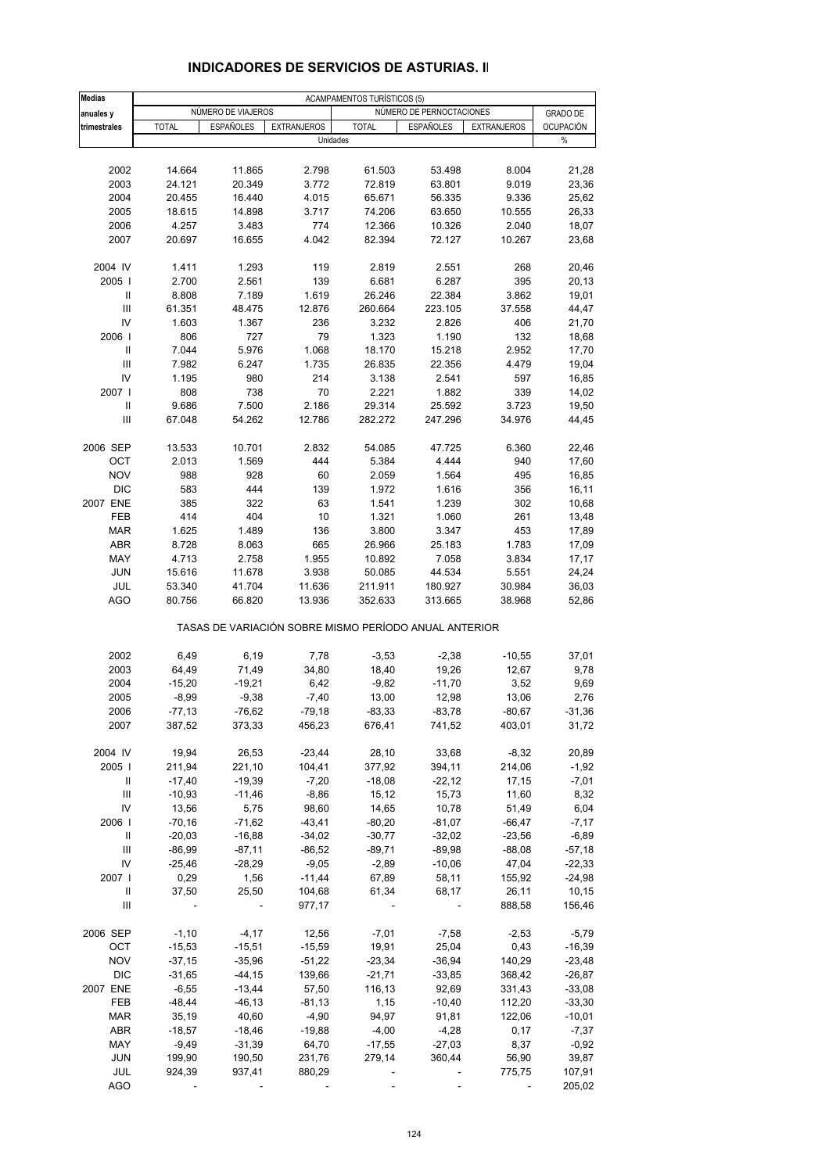| <b>Medias</b> | <b>ACAMPAMENTOS TURÍSTICOS (5)</b> |                          |                    |                                                       |                          |                    |                  |  |  |
|---------------|------------------------------------|--------------------------|--------------------|-------------------------------------------------------|--------------------------|--------------------|------------------|--|--|
| anuales y     |                                    | NÚMERO DE VIAJEROS       |                    |                                                       | NÚMERO DE PERNOCTACIONES |                    | <b>GRADO DE</b>  |  |  |
|               |                                    |                          |                    |                                                       |                          |                    | <b>OCUPACIÓN</b> |  |  |
| trimestrales  | <b>TOTAL</b>                       | <b>ESPAÑOLES</b>         | <b>EXTRANJEROS</b> | <b>TOTAL</b><br>Unidades                              | <b>ESPAÑOLES</b>         | <b>EXTRANJEROS</b> | %                |  |  |
|               |                                    |                          |                    |                                                       |                          |                    |                  |  |  |
|               |                                    |                          |                    |                                                       |                          |                    |                  |  |  |
| 2002          | 14.664                             | 11.865                   | 2.798              | 61.503                                                | 53.498                   | 8.004              | 21,28            |  |  |
| 2003          | 24.121                             | 20.349                   | 3.772              | 72.819                                                | 63.801                   | 9.019              | 23,36            |  |  |
| 2004          | 20.455                             | 16.440                   | 4.015              | 65.671                                                | 56.335                   | 9.336              | 25,62            |  |  |
| 2005          | 18.615                             | 14.898                   | 3.717              | 74.206                                                | 63.650                   | 10.555             | 26,33            |  |  |
| 2006          | 4.257                              | 3.483                    | 774                | 12.366                                                | 10.326                   | 2.040              | 18,07            |  |  |
| 2007          | 20.697                             | 16.655                   | 4.042              | 82.394                                                | 72.127                   | 10.267             | 23,68            |  |  |
|               |                                    |                          |                    |                                                       |                          |                    |                  |  |  |
| 2004 IV       | 1.411                              | 1.293                    | 119                | 2.819                                                 | 2.551                    | 268                | 20,46            |  |  |
| 2005          | 2.700                              | 2.561                    | 139                | 6.681                                                 | 6.287                    | 395                | 20,13            |  |  |
| $\mathbf{I}$  | 8.808                              | 7.189                    | 1.619              | 26.246                                                | 22.384                   | 3.862              | 19,01            |  |  |
| III           | 61.351                             | 48.475                   | 12.876             | 260.664                                               | 223.105                  | 37.558             | 44,47            |  |  |
| IV            | 1.603                              | 1.367                    | 236                | 3.232                                                 | 2.826                    | 406                | 21,70            |  |  |
| 2006          | 806                                | 727                      | 79                 | 1.323                                                 | 1.190                    | 132                | 18,68            |  |  |
| Ш             | 7.044                              | 5.976                    | 1.068              | 18.170                                                | 15.218                   | 2.952              | 17,70            |  |  |
| Ш             | 7.982                              | 6.247                    | 1.735              | 26.835                                                | 22.356                   | 4.479              | 19,04            |  |  |
| IV            | 1.195                              | 980                      | 214                | 3.138                                                 | 2.541                    | 597                | 16,85            |  |  |
| 2007          | 808                                | 738                      | 70                 | 2.221                                                 | 1.882                    | 339                | 14,02            |  |  |
| Ш             | 9.686                              | 7.500                    | 2.186              | 29.314                                                | 25.592                   | 3.723              | 19,50            |  |  |
| Ш             | 67.048                             | 54.262                   | 12.786             | 282.272                                               | 247.296                  | 34.976             | 44,45            |  |  |
|               |                                    |                          |                    |                                                       |                          |                    |                  |  |  |
| 2006 SEP      | 13.533                             | 10.701                   | 2.832              | 54.085                                                | 47.725                   | 6.360              | 22,46            |  |  |
| OCT           | 2.013                              | 1.569                    | 444                | 5.384                                                 | 4.444                    | 940                | 17,60            |  |  |
|               |                                    |                          |                    |                                                       |                          |                    |                  |  |  |
| <b>NOV</b>    | 988                                | 928                      | 60                 | 2.059                                                 | 1.564                    | 495                | 16,85            |  |  |
| <b>DIC</b>    | 583                                | 444                      | 139                | 1.972                                                 | 1.616                    | 356                | 16,11            |  |  |
| 2007 ENE      | 385                                | 322                      | 63                 | 1.541                                                 | 1.239                    | 302                | 10,68            |  |  |
| FEB           | 414                                | 404                      | 10                 | 1.321                                                 | 1.060                    | 261                | 13,48            |  |  |
| <b>MAR</b>    | 1.625                              | 1.489                    | 136                | 3.800                                                 | 3.347                    | 453                | 17,89            |  |  |
| ABR           | 8.728                              | 8.063                    | 665                | 26.966                                                | 25.183                   | 1.783              | 17,09            |  |  |
| MAY           | 4.713                              | 2.758                    | 1.955              | 10.892                                                | 7.058                    | 3.834              | 17,17            |  |  |
| JUN           | 15.616                             | 11.678                   | 3.938              | 50.085                                                | 44.534                   | 5.551              | 24,24            |  |  |
| JUL           | 53.340                             | 41.704                   | 11.636             | 211.911                                               | 180.927                  | 30.984             | 36,03            |  |  |
| <b>AGO</b>    | 80.756                             | 66.820                   | 13.936             | 352.633                                               | 313.665                  | 38.968             | 52,86            |  |  |
|               |                                    |                          |                    | TASAS DE VARIACIÓN SOBRE MISMO PERÍODO ANUAL ANTERIOR |                          |                    |                  |  |  |
| 2002          | 6,49                               | 6, 19                    | 7,78               | $-3,53$                                               | $-2,38$                  | $-10,55$           | 37,01            |  |  |
| 2003          | 64,49                              | 71,49                    | 34,80              | 18,40                                                 | 19,26                    | 12,67              | 9,78             |  |  |
| 2004          | $-15,20$                           | $-19,21$                 | 6,42               | $-9,82$                                               | $-11,70$                 | 3,52               | 9,69             |  |  |
| 2005          | $-8,99$                            | $-9,38$                  | $-7,40$            | 13,00                                                 | 12,98                    | 13,06              | 2,76             |  |  |
| 2006          | $-77,13$                           | -76,62                   | -79,18             | $-83,33$                                              | $-83,78$                 | $-80,67$           | $-31,36$         |  |  |
| 2007          | 387,52                             | 373,33                   | 456,23             | 676,41                                                | 741,52                   | 403,01             | 31,72            |  |  |
|               |                                    |                          |                    |                                                       |                          |                    |                  |  |  |
| 2004 IV       | 19,94                              | 26,53                    | $-23,44$           | 28,10                                                 | 33,68                    | $-8,32$            | 20,89            |  |  |
| 2005          | 211,94                             | 221,10                   | 104,41             | 377,92                                                | 394,11                   | 214,06             | $-1,92$          |  |  |
| Ш             | $-17,40$                           | $-19,39$                 | $-7,20$            | $-18,08$                                              | $-22,12$                 | 17,15              | $-7,01$          |  |  |
| III           | $-10,93$                           | $-11,46$                 | $-8,86$            | 15,12                                                 | 15,73                    | 11,60              | 8,32             |  |  |
| IV            | 13,56                              | 5,75                     | 98,60              | 14,65                                                 | 10,78                    | 51,49              | 6,04             |  |  |
| 2006          | $-70,16$                           | $-71,62$                 | $-43,41$           | $-80,20$                                              | $-81,07$                 | $-66,47$           | $-7,17$          |  |  |
| Ш             | $-20,03$                           | $-16,88$                 | $-34,02$           | $-30,77$                                              | $-32,02$                 | $-23,56$           | $-6,89$          |  |  |
|               |                                    | $-87,11$                 |                    | $-89,71$                                              |                          |                    | $-57,18$         |  |  |
| Ш             | $-86,99$                           |                          | $-86,52$           |                                                       | $-89,98$                 | $-88,08$           |                  |  |  |
| IV            | $-25,46$                           | $-28,29$                 | $-9,05$            | $-2,89$                                               | $-10,06$                 | 47,04              | $-22,33$         |  |  |
| 2007          | 0,29                               | 1,56                     | $-11,44$           | 67,89                                                 | 58,11                    | 155,92             | $-24,98$         |  |  |
| Ш             | 37,50                              | 25,50                    | 104,68             | 61,34                                                 | 68,17                    | 26,11              | 10, 15           |  |  |
| Ш             | $\overline{\phantom{a}}$           | $\overline{\phantom{a}}$ | 977,17             | $\overline{\phantom{a}}$                              | $\overline{\phantom{a}}$ | 888,58             | 156,46           |  |  |
| 2006 SEP      | $-1,10$                            | $-4, 17$                 | 12,56              | $-7,01$                                               | $-7,58$                  | $-2,53$            | $-5,79$          |  |  |
| OCT           | $-15,53$                           | $-15,51$                 | $-15,59$           | 19,91                                                 | 25,04                    | 0,43               | $-16,39$         |  |  |
| <b>NOV</b>    | $-37,15$                           | $-35,96$                 | $-51,22$           | $-23,34$                                              | $-36,94$                 | 140,29             | $-23,48$         |  |  |
| <b>DIC</b>    | $-31,65$                           | $-44,15$                 | 139,66             | $-21,71$                                              | $-33,85$                 | 368,42             | $-26,87$         |  |  |
| 2007 ENE      | $-6,55$                            | $-13,44$                 | 57,50              | 116,13                                                | 92,69                    | 331,43             | $-33,08$         |  |  |
| <b>FEB</b>    | $-48,44$                           | $-46, 13$                | $-81,13$           | 1,15                                                  | $-10,40$                 | 112,20             | $-33,30$         |  |  |
| <b>MAR</b>    | 35,19                              | 40,60                    | $-4,90$            | 94,97                                                 | 91,81                    | 122,06             | $-10,01$         |  |  |
| ABR           | $-18,57$                           | $-18,46$                 | $-19,88$           | $-4,00$                                               | $-4,28$                  | 0,17               | $-7,37$          |  |  |
| MAY           | -9,49                              | $-31,39$                 | 64,70              | $-17,55$                                              | $-27,03$                 | 8,37               | $-0,92$          |  |  |
| <b>JUN</b>    | 199,90                             | 190,50                   | 231,76             | 279,14                                                | 360,44                   | 56,90              | 39,87            |  |  |
| JUL           | 924,39                             | 937,41                   | 880,29             |                                                       |                          | 775,75             | 107,91           |  |  |
| <b>AGO</b>    |                                    |                          |                    |                                                       |                          | $\blacksquare$     | 205,02           |  |  |

#### **INDICADORES DE SERVICIOS DE ASTURIAS. II**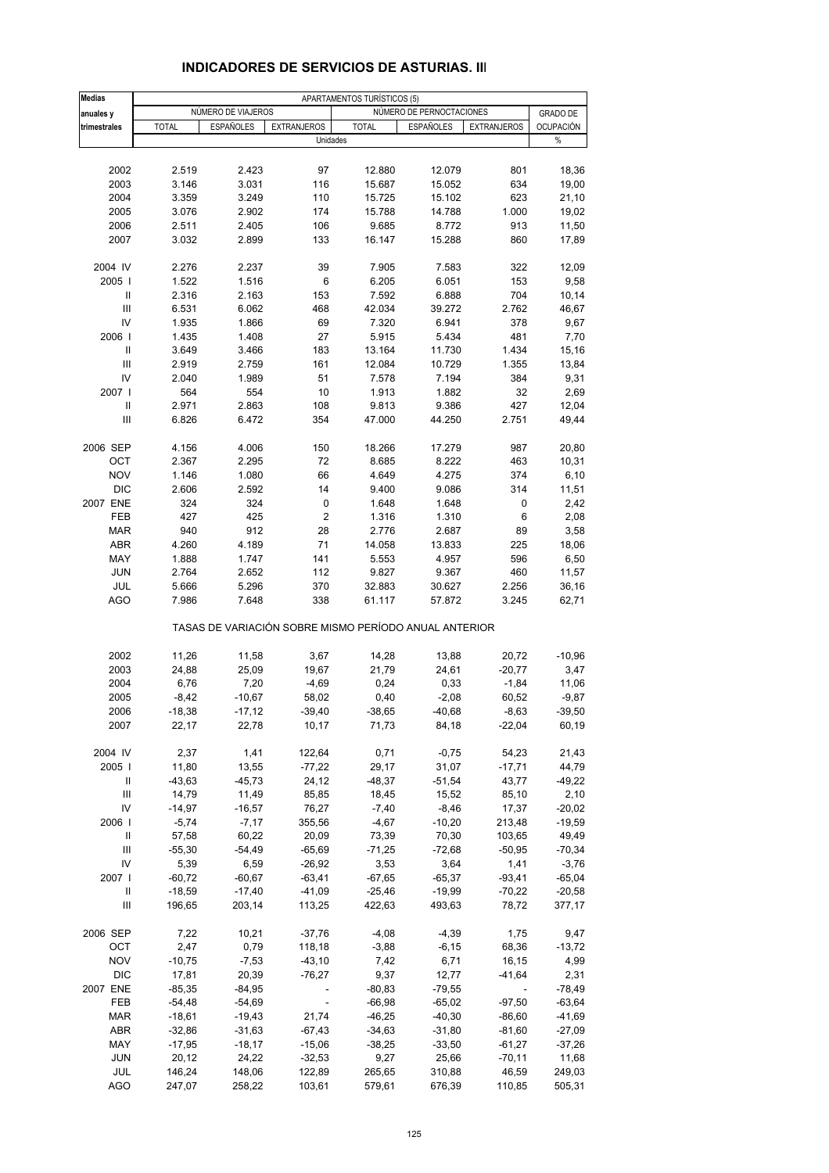| <b>Medias</b> | APARTAMENTOS TURÍSTICOS (5) |                    |                                                       |              |                          |                    |                   |  |
|---------------|-----------------------------|--------------------|-------------------------------------------------------|--------------|--------------------------|--------------------|-------------------|--|
| anuales y     |                             | NÚMERO DE VIAJEROS |                                                       |              | NÚMERO DE PERNOCTACIONES |                    | <b>GRADO DE</b>   |  |
| trimestrales  | <b>TOTAL</b>                | <b>ESPAÑOLES</b>   | <b>EXTRANJEROS</b>                                    | <b>TOTAL</b> | <b>ESPAÑOLES</b>         | <b>EXTRANJEROS</b> | <b>OCUPACIÓN</b>  |  |
|               |                             |                    | Unidades                                              |              |                          |                    | %                 |  |
|               |                             |                    |                                                       |              |                          |                    |                   |  |
| 2002          | 2.519                       | 2.423              | 97                                                    | 12.880       | 12.079                   | 801                | 18,36             |  |
| 2003          | 3.146                       | 3.031              | 116                                                   | 15.687       | 15.052                   | 634                | 19,00             |  |
| 2004          | 3.359                       | 3.249              | 110                                                   | 15.725       | 15.102                   | 623                | 21,10             |  |
| 2005          | 3.076                       | 2.902              | 174                                                   | 15.788       | 14.788                   | 1.000              | 19,02             |  |
| 2006          | 2.511                       | 2.405              | 106                                                   | 9.685        | 8.772                    | 913                | 11,50             |  |
| 2007          | 3.032                       | 2.899              | 133                                                   | 16.147       | 15.288                   | 860                | 17,89             |  |
|               |                             |                    |                                                       |              |                          |                    |                   |  |
| 2004 IV       | 2.276                       | 2.237              | 39                                                    | 7.905        | 7.583                    | 322                | 12,09             |  |
| 2005          | 1.522                       | 1.516              | 6                                                     | 6.205        | 6.051                    | 153                | 9,58              |  |
| Ш             | 2.316                       | 2.163              | 153                                                   | 7.592        | 6.888                    | 704                | 10,14             |  |
| III           | 6.531                       | 6.062              | 468                                                   | 42.034       | 39.272                   | 2.762              | 46,67             |  |
| IV            | 1.935                       | 1.866              | 69                                                    | 7.320        | 6.941                    | 378                | 9,67              |  |
| 2006          | 1.435                       | 1.408              | 27                                                    | 5.915        | 5.434                    | 481                | 7,70              |  |
| Ш             | 3.649                       | 3.466              | 183                                                   | 13.164       | 11.730                   | 1.434              | 15,16             |  |
| Ш             | 2.919                       | 2.759              | 161                                                   | 12.084       | 10.729                   | 1.355              | 13,84             |  |
| IV            | 2.040                       | 1.989              | 51                                                    | 7.578        | 7.194                    | 384                | 9,31              |  |
| 2007 l        | 564                         | 554                | 10                                                    | 1.913        | 1.882                    | 32                 | 2,69              |  |
| Ш             | 2.971                       | 2.863              | 108                                                   | 9.813        | 9.386                    | 427                | 12,04             |  |
| III           | 6.826                       | 6.472              | 354                                                   | 47.000       | 44.250                   | 2.751              | 49,44             |  |
|               |                             |                    |                                                       |              |                          |                    |                   |  |
| 2006 SEP      | 4.156                       | 4.006              | 150                                                   | 18.266       | 17.279                   | 987                | 20,80             |  |
| OCT           | 2.367                       | 2.295              | 72                                                    | 8.685        | 8.222                    | 463                | 10,31             |  |
| <b>NOV</b>    | 1.146                       | 1.080              | 66                                                    | 4.649        | 4.275                    | 374                | 6,10              |  |
| <b>DIC</b>    | 2.606                       | 2.592              | 14                                                    | 9.400        | 9.086                    | 314                | 11,51             |  |
| 2007 ENE      | 324                         | 324                | 0                                                     | 1.648        | 1.648                    | 0                  | 2,42              |  |
| FEB           | 427                         | 425                | $\overline{2}$                                        | 1.316        | 1.310                    | 6                  | 2,08              |  |
| <b>MAR</b>    | 940                         | 912                | 28                                                    | 2.776        | 2.687                    | 89                 | 3,58              |  |
| ABR           | 4.260                       | 4.189              | 71                                                    | 14.058       | 13.833                   | 225                | 18,06             |  |
| MAY           | 1.888                       | 1.747              | 141                                                   | 5.553        | 4.957                    | 596                | 6,50              |  |
| JUN           | 2.764                       | 2.652              | 112                                                   | 9.827        | 9.367                    | 460                | 11,57             |  |
| JUL           | 5.666                       | 5.296              | 370                                                   | 32.883       | 30.627                   | 2.256              | 36,16             |  |
| <b>AGO</b>    | 7.986                       | 7.648              | 338                                                   | 61.117       | 57.872                   | 3.245              | 62,71             |  |
|               |                             |                    | TASAS DE VARIACIÓN SOBRE MISMO PERÍODO ANUAL ANTERIOR |              |                          |                    |                   |  |
|               |                             |                    |                                                       |              |                          |                    |                   |  |
| 2002          | 11,26                       | 11,58              | 3,67                                                  | 14,28        | 13,88                    | 20,72              | $-10,96$          |  |
| 2003          | 24,88                       | 25,09              | 19,67<br>$-4,69$                                      | 21,79        | 24,61                    | $-20,77$           | 3,47              |  |
| 2004          | 6,76                        | 7,20               |                                                       | 0,24         | 0,33                     | $-1,84$            | 11,06             |  |
| 2005<br>2006  | $-8,42$<br>$-18,38$         | $-10,67$           | 58,02                                                 | 0,40         | $-2,08$                  | 60,52              | $-9,87$           |  |
|               |                             | $-17,12$           | $-39,40$                                              | $-38,65$     | $-40,68$<br>84,18        | $-8,63$            | $-39,50$<br>60,19 |  |
| 2007          | 22,17                       | 22,78              | 10,17                                                 | 71,73        |                          | $-22,04$           |                   |  |
| 2004 IV       | 2,37                        | 1,41               | 122,64                                                | 0,71         | $-0,75$                  | 54,23              | 21,43             |  |
| 2005          | 11,80                       | 13,55              | $-77,22$                                              | 29,17        | 31,07                    | $-17,71$           | 44,79             |  |
| Ш             | $-43,63$                    | $-45,73$           | 24,12                                                 | $-48,37$     | $-51,54$                 | 43,77              | $-49,22$          |  |
| Ш             | 14,79                       | 11,49              | 85,85                                                 | 18,45        | 15,52                    | 85,10              | 2,10              |  |
| IV            | $-14,97$                    | $-16,57$           | 76,27                                                 | $-7,40$      | $-8,46$                  | 17,37              | $-20,02$          |  |
| 2006          | $-5,74$                     | $-7,17$            | 355,56                                                | $-4,67$      | $-10,20$                 | 213,48             | $-19,59$          |  |
| Ш             | 57,58                       | 60,22              | 20,09                                                 | 73,39        | 70,30                    | 103,65             | 49,49             |  |
| III           | $-55,30$                    | $-54,49$           | $-65,69$                                              | $-71,25$     | $-72,68$                 | $-50,95$           | $-70,34$          |  |
| IV            | 5,39                        | 6,59               | $-26,92$                                              | 3,53         | 3,64                     | 1,41               | $-3,76$           |  |
|               |                             |                    |                                                       |              |                          | $-93,41$           |                   |  |
| 2007          | $-60,72$                    | $-60,67$           | $-63,41$<br>$-41,09$                                  | $-67,65$     | $-65,37$                 |                    | $-65,04$          |  |
| Ш             | $-18,59$                    | $-17,40$           |                                                       | $-25,46$     | $-19,99$                 | $-70,22$           | $-20,58$          |  |
| Ш             | 196,65                      | 203,14             | 113,25                                                | 422,63       | 493,63                   | 78,72              | 377,17            |  |
| 2006 SEP      | 7,22                        | 10,21              | $-37,76$                                              | $-4,08$      | $-4,39$                  | 1,75               | 9,47              |  |
| OCT           | 2,47                        | 0,79               | 118,18                                                | $-3,88$      | $-6, 15$                 | 68,36              | $-13,72$          |  |
| <b>NOV</b>    | $-10,75$                    | $-7,53$            | $-43,10$                                              | 7,42         | 6,71                     | 16,15              | 4,99              |  |
| DIC           | 17,81                       | 20,39              | $-76,27$                                              | 9,37         | 12,77                    | $-41,64$           | 2,31              |  |
| 2007 ENE      | $-85,35$                    | $-84,95$           |                                                       | $-80,83$     | $-79,55$                 |                    | $-78,49$          |  |
| FEB           | $-54,48$                    | $-54,69$           | $\overline{\phantom{a}}$                              | $-66,98$     | $-65,02$                 | $-97,50$           | $-63,64$          |  |
| <b>MAR</b>    | $-18,61$                    | $-19,43$           | 21,74                                                 | $-46,25$     | $-40,30$                 | $-86,60$           | $-41,69$          |  |
| ABR           | $-32,86$                    | $-31,63$           | $-67,43$                                              | $-34,63$     | $-31,80$                 | $-81,60$           | $-27,09$          |  |
| MAY           | $-17,95$                    | $-18,17$           | $-15,06$                                              | $-38,25$     | $-33,50$                 | $-61,27$           | $-37,26$          |  |
| <b>JUN</b>    | 20,12                       | 24,22              | $-32,53$                                              | 9,27         | 25,66                    | $-70,11$           | 11,68             |  |
| JUL           | 146,24                      | 148,06             | 122,89                                                | 265,65       | 310,88                   | 46,59              | 249,03            |  |
| <b>AGO</b>    | 247,07                      | 258,22             | 103,61                                                | 579,61       | 676,39                   | 110,85             | 505,31            |  |
|               |                             |                    |                                                       |              |                          |                    |                   |  |

#### **INDICADORES DE SERVICIOS DE ASTURIAS. III**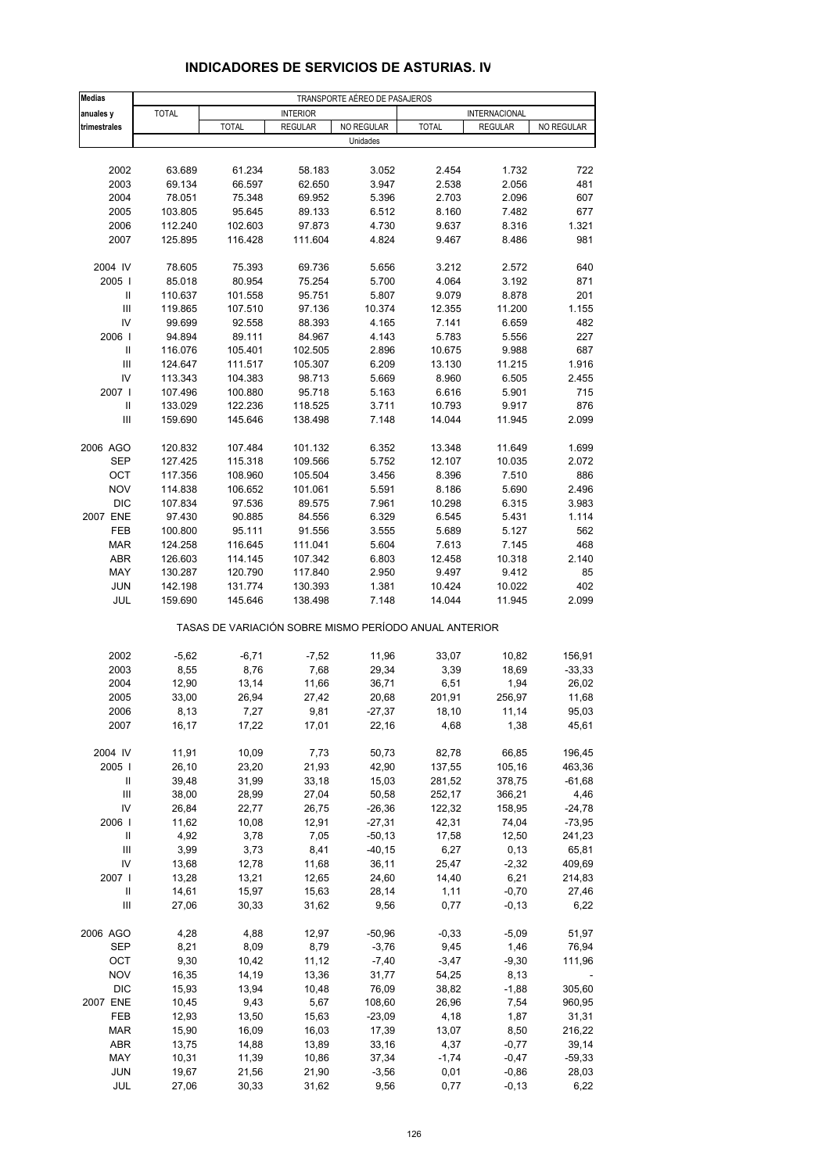| <b>Medias</b>                                      |                |                                                       |                 | TRANSPORTE AÉREO DE PASAJEROS |                 |                 |                  |
|----------------------------------------------------|----------------|-------------------------------------------------------|-----------------|-------------------------------|-----------------|-----------------|------------------|
| anuales y                                          | <b>TOTAL</b>   |                                                       | <b>INTERIOR</b> |                               |                 | INTERNACIONAL   |                  |
| trimestrales                                       |                | <b>TOTAL</b>                                          | <b>REGULAR</b>  | NO REGULAR                    | <b>TOTAL</b>    | <b>REGULAR</b>  | NO REGULAR       |
|                                                    |                |                                                       |                 | Unidades                      |                 |                 |                  |
|                                                    |                |                                                       |                 |                               |                 |                 |                  |
| 2002                                               | 63.689         | 61.234                                                | 58.183          | 3.052                         | 2.454           | 1.732           | 722              |
| 2003                                               | 69.134         | 66.597                                                | 62.650          | 3.947                         | 2.538           | 2.056           | 481              |
| 2004                                               | 78.051         | 75.348                                                | 69.952          | 5.396                         | 2.703           | 2.096           | 607              |
| 2005                                               | 103.805        | 95.645                                                | 89.133          | 6.512                         | 8.160           | 7.482           | 677              |
| 2006                                               | 112.240        | 102.603                                               | 97.873          | 4.730                         | 9.637           | 8.316           | 1.321            |
| 2007                                               | 125.895        | 116.428                                               | 111.604         | 4.824                         | 9.467           | 8.486           | 981              |
| 2004 IV                                            | 78.605         | 75.393                                                | 69.736          | 5.656                         | 3.212           | 2.572           | 640              |
| 2005                                               | 85.018         | 80.954                                                | 75.254          | 5.700                         | 4.064           | 3.192           | 871              |
| Ш                                                  | 110.637        | 101.558                                               | 95.751          | 5.807                         | 9.079           | 8.878           | 201              |
| III                                                | 119.865        | 107.510                                               | 97.136          | 10.374                        | 12.355          | 11.200          | 1.155            |
| IV                                                 | 99.699         | 92.558                                                | 88.393          | 4.165                         | 7.141           | 6.659           | 482              |
| 2006                                               | 94.894         | 89.111                                                | 84.967          | 4.143                         | 5.783           | 5.556           | 227              |
| Ш                                                  | 116.076        | 105.401                                               | 102.505         | 2.896                         | 10.675          | 9.988           | 687              |
| III                                                | 124.647        | 111.517                                               | 105.307         | 6.209                         | 13.130          | 11.215          | 1.916            |
| IV                                                 | 113.343        | 104.383                                               | 98.713          | 5.669                         | 8.960           | 6.505           | 2.455            |
| 2007 l                                             | 107.496        | 100.880                                               | 95.718          | 5.163                         | 6.616           | 5.901           | 715              |
| $\mathbf{I}$<br>$\ensuremath{\mathsf{III}}\xspace$ | 133.029        | 122.236                                               | 118.525         | 3.711                         | 10.793          | 9.917           | 876              |
|                                                    | 159.690        | 145.646                                               | 138.498         | 7.148                         | 14.044          | 11.945          | 2.099            |
| 2006 AGO                                           | 120.832        | 107.484                                               | 101.132         | 6.352                         | 13.348          | 11.649          | 1.699            |
| <b>SEP</b>                                         | 127.425        | 115.318                                               | 109.566         | 5.752                         | 12.107          | 10.035          | 2.072            |
| OCT                                                | 117.356        | 108.960                                               | 105.504         | 3.456                         | 8.396           | 7.510           | 886              |
| <b>NOV</b>                                         | 114.838        | 106.652                                               | 101.061         | 5.591                         | 8.186           | 5.690           | 2.496            |
| <b>DIC</b>                                         | 107.834        | 97.536                                                | 89.575          | 7.961                         | 10.298          | 6.315           | 3.983            |
| 2007 ENE                                           | 97.430         | 90.885                                                | 84.556          | 6.329                         | 6.545           | 5.431           | 1.114            |
| FEB                                                | 100.800        | 95.111                                                | 91.556          | 3.555                         | 5.689           | 5.127           | 562              |
| <b>MAR</b>                                         | 124.258        | 116.645                                               | 111.041         | 5.604                         | 7.613           | 7.145           | 468              |
| <b>ABR</b>                                         | 126.603        | 114.145                                               | 107.342         | 6.803                         | 12.458          | 10.318          | 2.140            |
| MAY                                                | 130.287        | 120.790                                               | 117.840         | 2.950                         | 9.497           | 9.412           | 85               |
| <b>JUN</b>                                         | 142.198        | 131.774                                               | 130.393         | 1.381                         | 10.424          | 10.022          | 402<br>2.099     |
| JUL                                                | 159.690        | 145.646                                               | 138.498         | 7.148                         | 14.044          | 11.945          |                  |
|                                                    |                | TASAS DE VARIACIÓN SOBRE MISMO PERÍODO ANUAL ANTERIOR |                 |                               |                 |                 |                  |
| 2002                                               | $-5,62$        | $-6,71$                                               | $-7,52$         | 11,96                         | 33,07           | 10,82           | 156,91           |
| 2003                                               | 8,55           | 8,76                                                  | 7,68            | 29,34                         | 3,39            | 18,69           | $-33,33$         |
| 2004                                               | 12,90          | 13,14                                                 | 11,66           | 36,71                         | 6,51            | 1,94            | 26,02            |
| 2005                                               | 33,00          | 26,94                                                 | 27,42           | 20,68                         | 201,91          | 256,97          | 11,68            |
| 2006                                               | 8,13           | 7,27                                                  | 9,81            | $-27,37$                      | 18,10           | 11,14           | 95,03            |
| 2007                                               | 16,17          | 17,22                                                 | 17,01           | 22,16                         | 4,68            | 1,38            | 45,61            |
| 2004 IV                                            |                |                                                       |                 | 50,73                         |                 |                 | 196,45           |
| 2005                                               | 11,91<br>26,10 | 10,09<br>23,20                                        | 7,73<br>21,93   | 42,90                         | 82,78<br>137,55 | 66,85<br>105,16 | 463,36           |
| Ш                                                  | 39,48          | 31,99                                                 | 33,18           | 15,03                         | 281,52          | 378,75          | $-61,68$         |
| Ш                                                  | 38,00          | 28,99                                                 | 27,04           | 50,58                         | 252,17          | 366,21          | 4,46             |
| IV                                                 | 26,84          | 22,77                                                 | 26,75           | $-26,36$                      | 122,32          | 158,95          | $-24,78$         |
| 2006                                               | 11,62          | 10,08                                                 | 12,91           | $-27,31$                      | 42,31           | 74,04           | $-73,95$         |
| Ш                                                  | 4,92           | 3,78                                                  | 7,05            | $-50,13$                      | 17,58           | 12,50           | 241,23           |
| $\ensuremath{\mathsf{III}}\xspace$                 | 3,99           | 3,73                                                  | 8,41            | $-40, 15$                     | 6,27            | 0,13            | 65,81            |
| IV                                                 | 13,68          | 12,78                                                 | 11,68           | 36,11                         | 25,47           | $-2,32$         | 409,69           |
| 2007 l                                             | 13,28          | 13,21                                                 | 12,65           | 24,60                         | 14,40           | 6,21            | 214,83           |
| Ш                                                  | 14,61          | 15,97                                                 | 15,63           | 28,14                         | 1,11            | $-0,70$         | 27,46            |
| $\ensuremath{\mathsf{III}}\xspace$                 | 27,06          | 30,33                                                 | 31,62           | 9,56                          | 0,77            | $-0, 13$        | 6,22             |
| 2006 AGO                                           | 4,28           | 4,88                                                  | 12,97           | $-50,96$                      | $-0,33$         | $-5,09$         | 51,97            |
| SEP                                                | 8,21           | 8,09                                                  | 8,79            | $-3,76$                       | 9,45            | 1,46            | 76,94            |
| OCT                                                | 9,30           | 10,42                                                 | 11,12           | $-7,40$                       | $-3,47$         | $-9,30$         | 111,96           |
| <b>NOV</b>                                         | 16,35          | 14,19                                                 | 13,36           | 31,77                         | 54,25           | 8,13            |                  |
| <b>DIC</b><br>2007 ENE                             | 15,93<br>10,45 | 13,94<br>9,43                                         | 10,48<br>5,67   | 76,09<br>108,60               | 38,82<br>26,96  | $-1,88$<br>7,54 | 305,60<br>960,95 |
| FEB                                                | 12,93          | 13,50                                                 | 15,63           | $-23,09$                      | 4,18            | 1,87            | 31,31            |
| <b>MAR</b>                                         | 15,90          | 16,09                                                 | 16,03           | 17,39                         | 13,07           | 8,50            | 216,22           |
| <b>ABR</b>                                         | 13,75          | 14,88                                                 | 13,89           | 33,16                         | 4,37            | $-0,77$         | 39,14            |
| MAY                                                | 10,31          | 11,39                                                 | 10,86           | 37,34                         | $-1,74$         | $-0,47$         | $-59,33$         |
| <b>JUN</b>                                         | 19,67          | 21,56                                                 | 21,90           | $-3,56$                       | 0,01            | $-0,86$         | 28,03            |
| JUL                                                | 27,06          | 30,33                                                 | 31,62           | 9,56                          | 0,77            | $-0, 13$        | 6,22             |

## **INDICADORES DE SERVICIOS DE ASTURIAS. IV**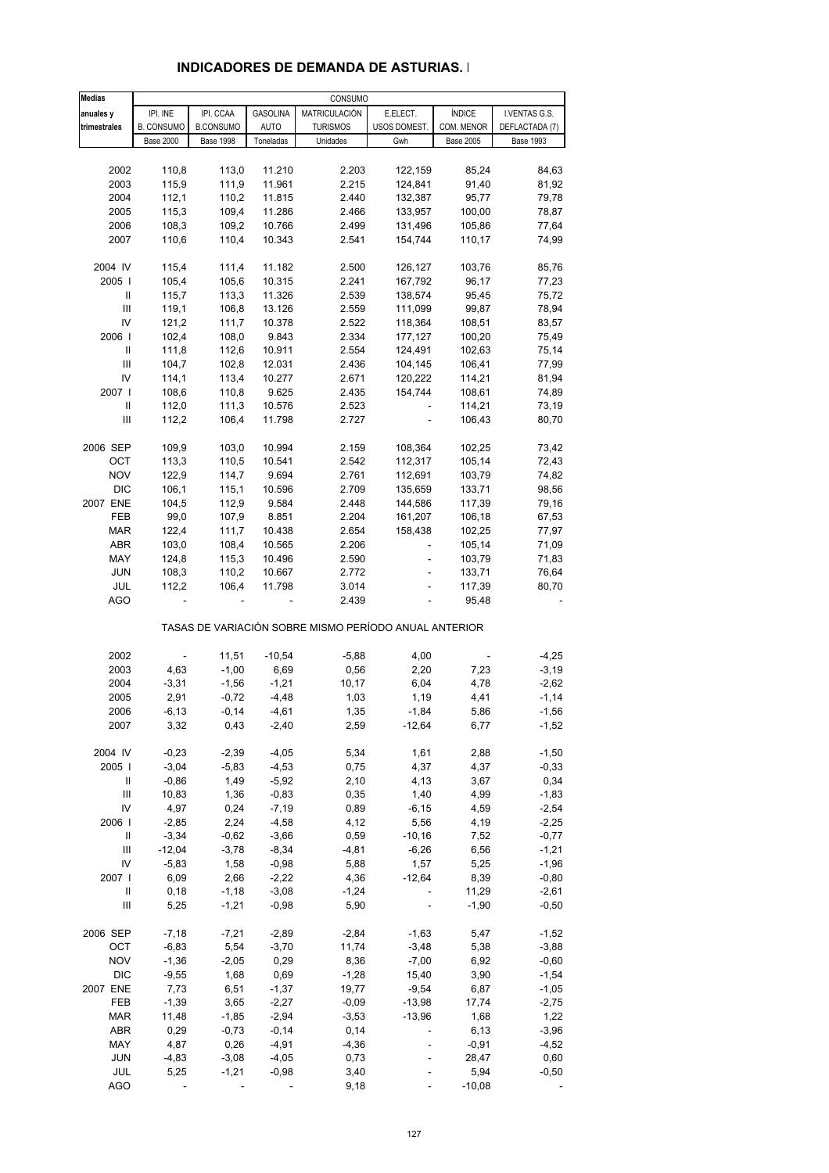| <b>Medias</b>                      |                          |                  |                  | CONSUMO                                               |                          |                  |                  |
|------------------------------------|--------------------------|------------------|------------------|-------------------------------------------------------|--------------------------|------------------|------------------|
| anuales y                          | IPI. INE                 | IPI. CCAA        | <b>GASOLINA</b>  | MATRICULACIÓN                                         | E.ELECT.                 | <b>ÍNDICE</b>    | I.VENTAS G.S.    |
| trimestrales                       | <b>B. CONSUMO</b>        | <b>B.CONSUMO</b> | <b>AUTO</b>      | <b>TURISMOS</b>                                       | USOS DOMEST.             | COM. MENOR       | DEFLACTADA (7)   |
|                                    | <b>Base 2000</b>         | <b>Base 1998</b> | Toneladas        | Unidades                                              | Gwh                      | <b>Base 2005</b> | <b>Base 1993</b> |
|                                    |                          |                  |                  |                                                       |                          |                  |                  |
| 2002                               | 110,8                    | 113,0            | 11.210           | 2.203                                                 | 122,159                  | 85,24            | 84,63            |
| 2003                               | 115,9                    | 111,9            | 11.961           | 2.215                                                 | 124,841                  | 91,40            | 81,92            |
| 2004                               | 112,1                    | 110,2            | 11.815           | 2.440                                                 | 132,387                  | 95,77            | 79,78            |
| 2005                               | 115,3                    | 109,4            | 11.286           | 2.466                                                 | 133,957                  | 100,00           | 78,87            |
| 2006                               | 108,3                    | 109,2            | 10.766           | 2.499                                                 | 131,496                  | 105,86           | 77,64            |
| 2007                               | 110,6                    | 110,4            | 10.343           | 2.541                                                 | 154,744                  | 110,17           | 74,99            |
|                                    |                          |                  |                  |                                                       |                          |                  |                  |
| 2004 IV                            | 115,4                    | 111,4            | 11.182           | 2.500                                                 | 126,127                  | 103,76           | 85,76            |
| 2005                               | 105,4                    | 105,6            | 10.315           | 2.241                                                 | 167,792                  | 96,17            | 77,23            |
| Ш                                  | 115,7                    | 113,3            | 11.326           | 2.539                                                 | 138,574                  | 95,45            | 75,72            |
| $\ensuremath{\mathsf{III}}\xspace$ | 119,1                    | 106,8            | 13.126           | 2.559                                                 | 111,099                  | 99,87            | 78,94            |
| IV                                 | 121,2                    | 111,7            | 10.378           | 2.522                                                 | 118,364                  | 108,51           | 83,57            |
| 2006                               | 102,4                    | 108,0            | 9.843            | 2.334                                                 | 177,127                  | 100,20           | 75,49            |
| Ш                                  | 111,8                    | 112,6            | 10.911           | 2.554                                                 | 124,491                  | 102,63           | 75,14            |
| Ш                                  | 104,7                    | 102,8            | 12.031           | 2.436                                                 | 104,145                  | 106,41           | 77,99            |
| IV                                 | 114,1                    | 113,4            | 10.277           | 2.671                                                 | 120,222                  | 114,21           | 81,94            |
| 2007                               | 108,6                    | 110,8            | 9.625            | 2.435                                                 | 154,744                  | 108,61           | 74,89            |
| Ш                                  | 112,0                    | 111,3            | 10.576           | 2.523                                                 |                          | 114,21           | 73,19            |
| $\ensuremath{\mathsf{III}}\xspace$ | 112,2                    | 106,4            | 11.798           | 2.727                                                 |                          | 106,43           | 80,70            |
|                                    |                          |                  |                  |                                                       |                          |                  |                  |
| 2006 SEP                           | 109,9                    | 103,0            | 10.994           | 2.159                                                 | 108,364                  | 102,25           | 73,42            |
| OCT                                | 113,3                    | 110,5            | 10.541           | 2.542                                                 | 112,317                  | 105,14           | 72,43            |
| <b>NOV</b>                         | 122,9                    | 114,7            | 9.694            | 2.761                                                 | 112,691                  | 103,79           | 74,82            |
| <b>DIC</b>                         | 106,1                    | 115,1            | 10.596           | 2.709                                                 | 135,659                  | 133,71           | 98,56            |
| 2007 ENE                           | 104,5                    | 112,9            | 9.584            | 2.448                                                 | 144,586                  | 117,39           | 79,16            |
| FEB                                | 99,0                     | 107,9            | 8.851            | 2.204                                                 | 161,207                  | 106,18           | 67,53            |
| <b>MAR</b>                         | 122,4                    | 111,7            | 10.438           | 2.654                                                 | 158,438                  | 102,25           | 77,97            |
| ABR                                | 103,0                    | 108,4            | 10.565           | 2.206                                                 |                          | 105,14           | 71,09            |
| MAY                                | 124,8                    | 115,3            | 10.496           | 2.590                                                 | ÷,                       | 103,79           | 71,83            |
| JUN                                | 108,3                    | 110,2            | 10.667           | 2.772                                                 |                          | 133,71           | 76,64            |
| JUL                                | 112,2                    | 106,4            | 11.798           | 3.014                                                 |                          | 117,39           | 80,70            |
| AGO                                | $\overline{\phantom{a}}$ |                  |                  | 2.439                                                 |                          | 95,48            |                  |
|                                    |                          |                  |                  | TASAS DE VARIACIÓN SOBRE MISMO PERÍODO ANUAL ANTERIOR |                          |                  |                  |
| 2002                               | $\blacksquare$           | 11,51            |                  | $-5,88$                                               | 4,00                     |                  | $-4,25$          |
| 2003                               | 4,63                     | $-1,00$          | $-10,54$<br>6,69 | 0,56                                                  | 2,20                     | 7,23             | $-3,19$          |
|                                    |                          | $-1,56$          | $-1,21$          |                                                       |                          |                  |                  |
| 2004                               | $-3,31$                  |                  |                  | 10,17                                                 | 6,04                     | 4,78             | $-2,62$          |
| 2005                               | 2,91                     | $-0,72$          | $-4,48$          | 1,03                                                  | 1,19                     | 4,41             | $-1,14$          |
| 2006                               | $-6,13$                  | $-0,14$          | $-4,61$          | 1,35                                                  | $-1,84$                  | 5,86             | $-1,56$          |
| 2007                               | 3,32                     | 0,43             | $-2,40$          | 2,59                                                  | $-12,64$                 | 6,77             | $-1,52$          |
| 2004 IV                            | $-0,23$                  | $-2,39$          | $-4,05$          | 5,34                                                  | 1,61                     | 2,88             | $-1,50$          |
| 2005                               | $-3,04$                  | $-5,83$          | $-4,53$          | 0,75                                                  | 4,37                     | 4,37             | $-0,33$          |
| Ш                                  | $-0,86$                  | 1,49             | $-5,92$          | 2,10                                                  | 4,13                     | 3,67             | 0,34             |
| Ш                                  | 10,83                    | 1,36             | $-0,83$          | 0,35                                                  | 1,40                     | 4,99             | $-1,83$          |
| IV                                 | 4,97                     | 0,24             | $-7,19$          | 0,89                                                  | $-6, 15$                 | 4,59             | $-2,54$          |
| 2006                               | $-2,85$                  | 2,24             | $-4,58$          | 4,12                                                  | 5,56                     | 4,19             | $-2,25$          |
| Ш                                  | $-3,34$                  | $-0,62$          | $-3,66$          | 0,59                                                  | $-10,16$                 | 7,52             | $-0,77$          |
| Ш                                  | $-12,04$                 | $-3,78$          | $-8,34$          | $-4,81$                                               | $-6,26$                  | 6,56             | $-1,21$          |
| IV                                 | $-5,83$                  | 1,58             | $-0,98$          | 5,88                                                  | 1,57                     | 5,25             | $-1,96$          |
| 2007 l                             | 6,09                     | 2,66             | $-2,22$          | 4,36                                                  | $-12,64$                 | 8,39             | $-0,80$          |
| Ш                                  | 0, 18                    | $-1,18$          | $-3,08$          | $-1,24$                                               |                          | 11,29            | $-2,61$          |
| Ш                                  | 5,25                     | $-1,21$          | $-0,98$          | 5,90                                                  |                          | $-1,90$          | $-0,50$          |
|                                    |                          |                  |                  |                                                       |                          |                  |                  |
| 2006 SEP                           | $-7,18$                  | $-7,21$          | $-2,89$          | $-2,84$                                               | $-1,63$                  | 5,47             | $-1,52$          |
| OCT                                | $-6,83$                  | 5,54             | $-3,70$          | 11,74                                                 | $-3,48$                  | 5,38             | $-3,88$          |
| <b>NOV</b>                         | $-1,36$                  | $-2,05$          | 0,29             | 8,36                                                  | $-7,00$                  | 6,92             | $-0,60$          |
| <b>DIC</b>                         | $-9,55$                  | 1,68             | 0,69             | $-1,28$                                               | 15,40                    | 3,90             | $-1,54$          |
| 2007 ENE                           | 7,73                     | 6,51             | $-1,37$          | 19,77                                                 | $-9,54$                  | 6,87             | $-1,05$          |
| FEB                                | $-1,39$                  | 3,65             | $-2,27$          | $-0,09$                                               | $-13,98$                 | 17,74            | $-2,75$          |
| <b>MAR</b>                         | 11,48                    | $-1,85$          | $-2,94$          | $-3,53$                                               | $-13,96$                 | 1,68             | 1,22             |
| ABR                                | 0,29                     | $-0,73$          | $-0,14$          | 0,14                                                  | $\overline{\phantom{a}}$ | 6,13             | $-3,96$          |
| MAY                                | 4,87                     | 0,26             | $-4,91$          | $-4,36$                                               |                          | $-0,91$          | $-4,52$          |
| <b>JUN</b>                         | $-4,83$                  | $-3,08$          | $-4,05$          | 0,73                                                  |                          | 28,47            | 0,60             |
| JUL                                | 5,25                     | $-1,21$          | $-0,98$          | 3,40                                                  |                          | 5,94             | $-0,50$          |
| <b>AGO</b>                         |                          |                  |                  | 9,18                                                  |                          | $-10,08$         |                  |

#### **INDICADORES DE DEMANDA DE ASTURIAS. I**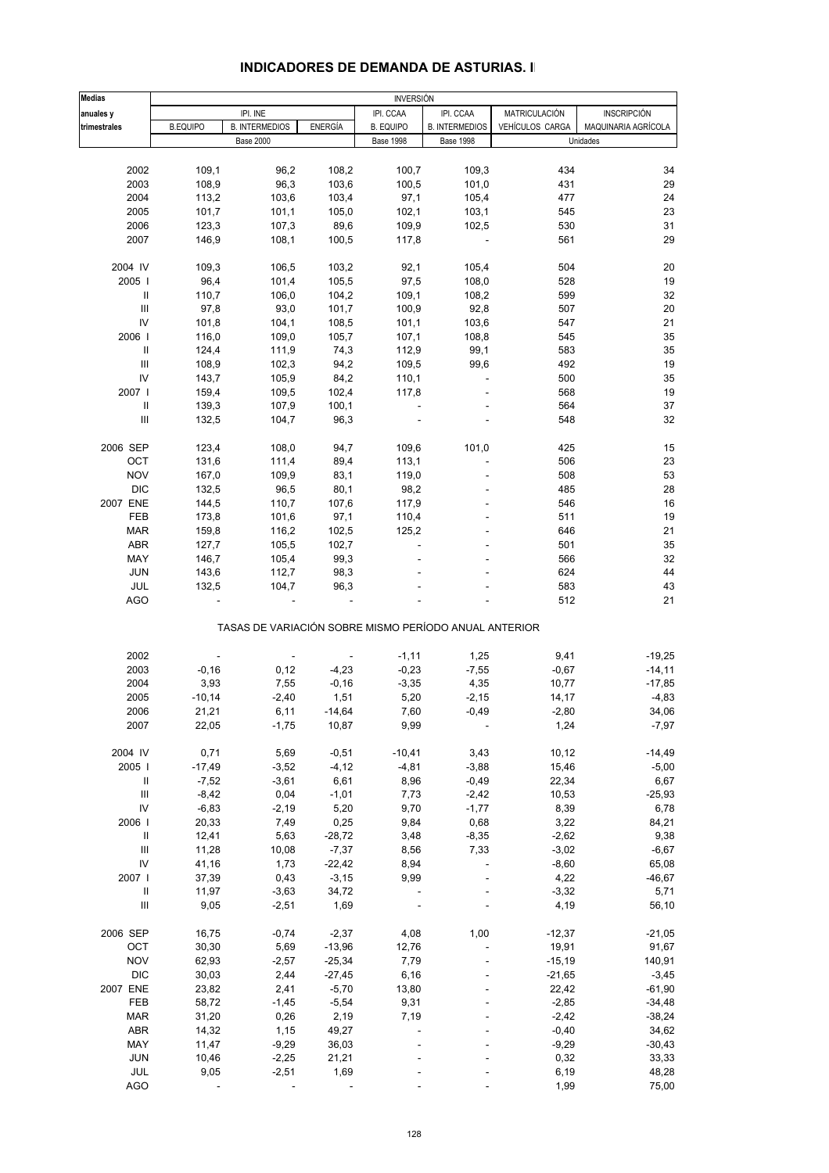| <b>Medias</b>                      |                 |                                                       |                | <b>INVERSIÓN</b> |                       |                 |                     |
|------------------------------------|-----------------|-------------------------------------------------------|----------------|------------------|-----------------------|-----------------|---------------------|
| anuales y                          |                 | IPI. INE                                              |                | IPI. CCAA        | IPI. CCAA             | MATRICULACIÓN   | <b>INSCRIPCIÓN</b>  |
| trimestrales                       | <b>B.EQUIPO</b> | <b>B. INTERMEDIOS</b>                                 | <b>ENERGÍA</b> | <b>B. EQUIPO</b> | <b>B. INTERMEDIOS</b> | VEHÍCULOS CARGA | MAQUINARIA AGRÍCOLA |
|                                    |                 | <b>Base 2000</b>                                      |                | <b>Base 1998</b> | <b>Base 1998</b>      |                 | Unidades            |
|                                    |                 |                                                       |                |                  |                       |                 |                     |
| 2002                               | 109,1           | 96,2                                                  | 108,2          | 100,7            | 109,3                 | 434             | 34                  |
| 2003                               | 108,9           | 96,3                                                  | 103,6          | 100,5            | 101,0                 | 431             | 29                  |
| 2004                               | 113,2           | 103,6                                                 | 103,4          | 97,1             | 105,4                 | 477             | 24                  |
| 2005                               | 101,7           | 101,1                                                 | 105,0          | 102,1            | 103,1                 | 545             | 23                  |
| 2006                               | 123,3           | 107,3                                                 | 89,6           | 109,9            | 102,5                 | 530             | 31                  |
| 2007                               | 146,9           | 108,1                                                 | 100,5          | 117,8            |                       | 561             | 29                  |
|                                    |                 |                                                       |                |                  |                       |                 |                     |
| 2004 IV                            | 109,3           | 106,5                                                 | 103,2          | 92,1             | 105,4                 | 504             | 20                  |
| 2005                               | 96,4            | 101,4                                                 | 105,5          | 97,5             | 108,0                 | 528             | 19                  |
| $\mathbf{II}$                      | 110,7           | 106,0                                                 | 104,2          | 109,1            | 108,2                 | 599             | 32                  |
| $\mathbf{III}$                     | 97,8            | 93,0                                                  | 101,7          | 100,9            | 92,8                  | 507             | 20                  |
| IV                                 | 101,8           | 104,1                                                 | 108,5          | 101,1            | 103,6                 | 547             | 21                  |
| 2006                               | 116,0           | 109,0                                                 | 105,7          | 107,1            | 108,8                 | 545             | 35                  |
| $\, \, \mathrm{II}$                | 124,4           | 111,9                                                 | 74,3           | 112,9            | 99,1                  | 583             | 35                  |
| Ш                                  | 108,9           | 102,3                                                 | 94,2           | 109,5            | 99,6                  | 492             | 19                  |
| IV                                 | 143,7           | 105,9                                                 | 84,2           | 110,1            |                       | 500             | 35                  |
| 2007 l                             | 159,4           | 109,5                                                 | 102,4          | 117,8            |                       | 568             | 19                  |
| $\mathbf{II}$                      | 139,3           | 107,9                                                 | 100,1          |                  |                       | 564             | 37                  |
| $\ensuremath{\mathsf{III}}\xspace$ |                 |                                                       |                |                  |                       | 548             | 32                  |
|                                    | 132,5           | 104,7                                                 | 96,3           |                  |                       |                 |                     |
| 2006 SEP                           | 123,4           | 108,0                                                 | 94,7           | 109,6            | 101,0                 | 425             | 15                  |
| OCT                                | 131,6           | 111,4                                                 | 89,4           | 113,1            |                       | 506             | 23                  |
| <b>NOV</b>                         | 167,0           | 109,9                                                 | 83,1           | 119,0            |                       | 508             | 53                  |
| <b>DIC</b>                         | 132,5           | 96,5                                                  | 80,1           | 98,2             |                       | 485             | 28                  |
| 2007 ENE                           | 144,5           | 110,7                                                 | 107,6          | 117,9            |                       | 546             | 16                  |
| FEB                                | 173,8           | 101,6                                                 | 97,1           | 110,4            |                       | 511             | 19                  |
| <b>MAR</b>                         | 159,8           | 116,2                                                 | 102,5          | 125,2            |                       | 646             | 21                  |
| <b>ABR</b>                         | 127,7           | 105,5                                                 | 102,7          |                  |                       | 501             | 35                  |
|                                    |                 |                                                       |                |                  |                       |                 |                     |
| MAY                                | 146,7           | 105,4                                                 | 99,3           |                  |                       | 566             | 32                  |
| <b>JUN</b>                         | 143,6           | 112,7                                                 | 98,3           |                  |                       | 624             | 44                  |
| JUL                                | 132,5           | 104,7                                                 | 96,3           |                  |                       | 583             | 43                  |
| <b>AGO</b>                         |                 |                                                       |                |                  |                       | 512             | 21                  |
|                                    |                 | TASAS DE VARIACIÓN SOBRE MISMO PERÍODO ANUAL ANTERIOR |                |                  |                       |                 |                     |
|                                    |                 |                                                       |                |                  |                       |                 |                     |
| 2002                               |                 |                                                       |                | $-1,11$          | 1,25                  | 9,41            | $-19,25$            |
| 2003                               | $-0,16$         | 0,12                                                  | $-4,23$        | $-0,23$          | $-7,55$               | $-0,67$         | $-14,11$            |
| 2004                               | 3,93            | 7,55                                                  | $-0,16$        | $-3,35$          | 4,35                  | 10,77           | $-17,85$            |
| 2005                               | $-10,14$        | $-2,40$                                               | 1,51           | 5,20             | $-2,15$               | 14,17           | $-4,83$             |
| 2006                               | 21,21           | 6,11                                                  | $-14,64$       | 7,60             | $-0,49$               | $-2,80$         | 34,06               |
| 2007                               | 22,05           | $-1,75$                                               | 10,87          | 9,99             |                       | 1,24            | $-7,97$             |
| 2004 IV                            | 0,71            | 5,69                                                  | $-0,51$        | $-10,41$         | 3,43                  | 10, 12          | $-14,49$            |
| 2005                               | $-17,49$        | $-3,52$                                               | $-4, 12$       | $-4,81$          | $-3,88$               | 15,46           | $-5,00$             |
| Ш                                  | $-7,52$         | $-3,61$                                               | 6,61           | 8,96             | $-0,49$               | 22,34           | 6,67                |
| III                                | $-8,42$         | 0,04                                                  | $-1,01$        | 7,73             | $-2,42$               | 10,53           | $-25,93$            |
| IV                                 | $-6,83$         | $-2,19$                                               | 5,20           | 9,70             | $-1,77$               | 8,39            | 6,78                |
| 2006                               | 20,33           | 7,49                                                  | 0,25           | 9,84             | 0,68                  | 3,22            | 84,21               |
| $\, \parallel$                     | 12,41           | 5,63                                                  | $-28,72$       | 3,48             | $-8,35$               | $-2,62$         | 9,38                |
| $\ensuremath{\mathsf{III}}\xspace$ | 11,28           | 10,08                                                 | $-7,37$        | 8,56             | 7,33                  | $-3,02$         | $-6,67$             |
| IV                                 | 41,16           | 1,73                                                  | $-22,42$       | 8,94             |                       | $-8,60$         | 65,08               |
| 2007 l                             | 37,39           | 0,43                                                  | $-3,15$        | 9,99             |                       | 4,22            | $-46,67$            |
| $\, \parallel$                     | 11,97           | $-3,63$                                               | 34,72          |                  |                       | $-3,32$         | 5,71                |
| $\ensuremath{\mathsf{III}}\xspace$ | 9,05            | $-2,51$                                               | 1,69           |                  |                       | 4,19            | 56,10               |
|                                    |                 |                                                       |                |                  |                       |                 |                     |
| 2006 SEP                           | 16,75           | $-0,74$                                               | $-2,37$        | 4,08             | 1,00                  | $-12,37$        | $-21,05$            |
| OCT                                | 30,30           | 5,69                                                  | $-13,96$       | 12,76            |                       | 19,91           | 91,67               |
| <b>NOV</b>                         | 62,93           | $-2,57$                                               | $-25,34$       | 7,79             |                       | $-15,19$        | 140,91              |
| <b>DIC</b>                         | 30,03           | 2,44                                                  | $-27,45$       | 6,16             |                       | $-21,65$        | $-3,45$             |
| 2007 ENE                           | 23,82           | 2,41                                                  | $-5,70$        | 13,80            |                       | 22,42           | $-61,90$            |
| FEB                                | 58,72           | $-1,45$                                               | $-5,54$        | 9,31             |                       | $-2,85$         | $-34,48$            |
| <b>MAR</b>                         | 31,20           | 0,26                                                  | 2,19           | 7,19             |                       | $-2,42$         | $-38,24$            |
| ABR                                | 14,32           | 1,15                                                  | 49,27          |                  |                       | $-0,40$         | 34,62               |
| MAY                                | 11,47           | $-9,29$                                               | 36,03          |                  |                       | $-9,29$         | $-30,43$            |
| <b>JUN</b>                         | 10,46           | $-2,25$                                               | 21,21          |                  |                       | 0,32            | 33,33               |
| JUL                                | 9,05            | $-2,51$                                               | 1,69           |                  |                       | 6,19            | 48,28               |

#### **INDICADORES DE DEMANDA DE ASTURIAS. II**

AGO - - - - - 1,99 75,00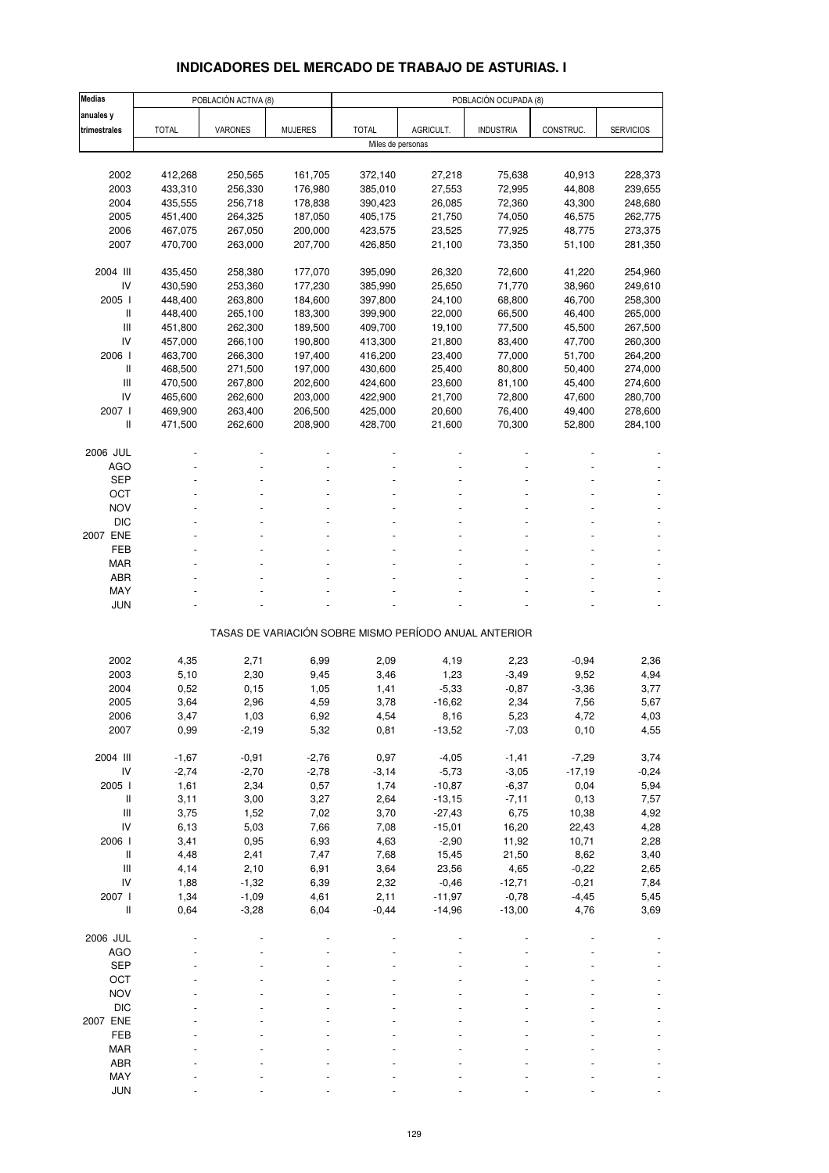# **INDICADORES DEL MERCADO DE TRABAJO DE ASTURIAS. I**

| <b>Medias</b>            |              | POBLACIÓN ACTIVA (8) |                |                                                       |                  | POBLACIÓN OCUPADA (8) |               |                  |
|--------------------------|--------------|----------------------|----------------|-------------------------------------------------------|------------------|-----------------------|---------------|------------------|
| anuales y                |              |                      |                |                                                       |                  |                       |               |                  |
| trimestrales             | <b>TOTAL</b> | <b>VARONES</b>       | <b>MUJERES</b> | <b>TOTAL</b>                                          | AGRICULT.        | <b>INDUSTRIA</b>      | CONSTRUC.     | <b>SERVICIOS</b> |
|                          |              |                      |                | Miles de personas                                     |                  |                       |               |                  |
|                          |              |                      |                |                                                       |                  |                       |               |                  |
| 2002                     | 412,268      | 250,565              | 161,705        | 372,140                                               | 27,218           | 75,638                | 40,913        | 228,373          |
| 2003                     | 433,310      | 256,330              | 176,980        | 385,010                                               | 27,553           | 72,995                | 44,808        | 239,655          |
| 2004                     | 435,555      | 256,718              | 178,838        | 390,423                                               | 26,085           | 72,360                | 43,300        | 248,680          |
| 2005                     | 451,400      | 264,325              | 187,050        | 405,175                                               | 21,750           | 74,050                | 46,575        | 262,775          |
| 2006                     | 467,075      | 267,050              | 200,000        | 423,575                                               | 23,525           | 77,925                | 48,775        | 273,375          |
| 2007                     | 470,700      | 263,000              | 207,700        | 426,850                                               | 21,100           | 73,350                | 51,100        | 281,350          |
|                          |              |                      |                |                                                       |                  |                       |               |                  |
| 2004 III                 | 435,450      | 258,380              | 177,070        | 395,090                                               | 26,320           | 72,600                | 41,220        | 254,960          |
| IV                       | 430,590      | 253,360              | 177,230        | 385,990                                               | 25,650           | 71,770                | 38,960        | 249,610          |
| 2005 l                   | 448,400      | 263,800              | 184,600        | 397,800                                               | 24,100           | 68,800                | 46,700        | 258,300          |
| $\mathsf{I}$             | 448,400      | 265,100              | 183,300        | 399,900                                               | 22,000           | 66,500                | 46,400        | 265,000          |
| $\mathsf{III}$           | 451,800      | 262,300              | 189,500        | 409,700                                               | 19,100           | 77,500                | 45,500        | 267,500          |
| IV                       | 457,000      | 266,100              | 190,800        | 413,300                                               | 21,800           | 83,400                | 47,700        | 260,300          |
| 2006 l                   | 463,700      | 266,300              | 197,400        | 416,200                                               | 23,400           | 77,000                | 51,700        | 264,200          |
| $\mathsf{I}$             | 468,500      | 271,500              | 197,000        | 430,600                                               | 25,400           | 80,800                | 50,400        | 274,000          |
| Ш                        | 470,500      | 267,800              | 202,600        | 424,600                                               | 23,600           | 81,100                | 45,400        | 274,600          |
| IV                       | 465,600      | 262,600              | 203,000        | 422,900                                               | 21,700           | 72,800                | 47,600        | 280,700          |
| 2007 l                   | 469,900      | 263,400              | 206,500        | 425,000                                               | 20,600           | 76,400                | 49,400        | 278,600          |
| Ш                        | 471,500      | 262,600              | 208,900        | 428,700                                               | 21,600           | 70,300                | 52,800        | 284,100          |
| 2006 JUL                 |              |                      |                |                                                       |                  |                       |               |                  |
| AGO                      |              |                      |                |                                                       |                  |                       |               |                  |
| <b>SEP</b>               |              |                      |                |                                                       |                  |                       |               |                  |
| OCT                      |              |                      |                |                                                       |                  |                       |               |                  |
| <b>NOV</b>               |              |                      |                |                                                       |                  |                       |               |                  |
| <b>DIC</b>               |              |                      |                |                                                       |                  |                       |               |                  |
| 2007 ENE                 |              |                      |                |                                                       |                  |                       |               |                  |
| FEB                      |              |                      |                |                                                       |                  |                       |               |                  |
| <b>MAR</b>               |              |                      |                |                                                       |                  |                       |               |                  |
| <b>ABR</b>               |              |                      |                |                                                       |                  |                       |               |                  |
| MAY                      |              |                      |                |                                                       |                  |                       |               |                  |
| <b>JUN</b>               |              |                      |                |                                                       |                  |                       |               |                  |
|                          |              |                      |                | TASAS DE VARIACIÓN SOBRE MISMO PERÍODO ANUAL ANTERIOR |                  |                       |               |                  |
|                          |              |                      |                |                                                       |                  |                       |               |                  |
| 2002                     | 4,35         | 2,71                 | 6,99           | 2,09                                                  | 4,19             | 2,23                  | $-0,94$       | 2,36             |
| 2003                     | 5,10         | 2,30                 | 9,45           | 3,46                                                  | 1,23             | $-3,49$               | 9,52          | 4,94             |
| 2004                     | 0,52         | 0, 15                | 1,05           | 1,41                                                  | $-5,33$          | $-0,87$               | $-3,36$       | 3,77             |
| 2005                     | 3,64         | 2,96                 | 4,59           | 3,78                                                  | $-16,62$         | 2,34                  | 7,56          | 5,67             |
| 2006<br>2007             | 3,47<br>0,99 | 1,03<br>$-2,19$      | 6,92<br>5,32   | 4,54<br>0,81                                          | 8,16<br>$-13,52$ | 5,23<br>$-7,03$       | 4,72<br>0, 10 | 4,03<br>4,55     |
|                          |              |                      |                |                                                       |                  |                       |               |                  |
| 2004 III                 | $-1,67$      | $-0,91$              | $-2,76$        | 0,97                                                  | $-4,05$          | $-1,41$               | $-7,29$       | 3,74             |
| IV                       | $-2,74$      | $-2,70$              | $-2,78$        | $-3,14$                                               | $-5,73$          | $-3,05$               | $-17,19$      | $-0,24$          |
| 2005 l                   | 1,61         | 2,34                 | 0,57           | 1,74                                                  | $-10,87$         | $-6,37$               | 0,04          | 5,94             |
| $\, \parallel$           | 3,11         | 3,00                 | 3,27           | 2,64                                                  | $-13,15$         | $-7,11$               | 0, 13         | 7,57             |
| $\mathsf{III}$           | 3,75         | 1,52                 | 7,02           | 3,70                                                  | $-27,43$         | 6,75                  | 10,38         | 4,92             |
| IV                       | 6,13         | 5,03                 | 7,66           | 7,08                                                  | $-15,01$         | 16,20                 | 22,43         | 4,28             |
| 2006 l                   | 3,41         | 0,95                 | 6,93           | 4,63                                                  | $-2,90$          | 11,92                 | 10,71         | 2,28             |
| $\, \parallel$           | 4,48         | 2,41                 | 7,47           | 7,68                                                  | 15,45            | 21,50                 | 8,62          | 3,40             |
| Ш                        | 4,14         | 2,10                 | 6,91           | 3,64                                                  | 23,56            | 4,65                  | $-0,22$       | 2,65             |
| IV                       | 1,88         | $-1,32$              | 6,39           | 2,32                                                  | $-0,46$          | $-12,71$              | $-0,21$       | 7,84             |
| 2007 l                   | 1,34         | $-1,09$              | 4,61           | 2,11                                                  | $-11,97$         | $-0,78$               | $-4,45$       | 5,45             |
| Ш                        | 0,64         | $-3,28$              | 6,04           | $-0,44$                                               | $-14,96$         | $-13,00$              | 4,76          | 3,69             |
| 2006 JUL                 |              |                      |                |                                                       |                  |                       |               |                  |
|                          |              |                      |                |                                                       |                  |                       |               |                  |
| <b>AGO</b><br><b>SEP</b> |              |                      |                |                                                       |                  |                       |               |                  |
| OCT                      |              |                      |                |                                                       |                  |                       |               |                  |
| <b>NOV</b>               |              |                      |                |                                                       |                  |                       |               |                  |
| <b>DIC</b>               |              |                      |                |                                                       |                  |                       |               |                  |
| 2007 ENE                 |              |                      |                |                                                       |                  |                       |               |                  |
| FEB                      |              |                      |                |                                                       |                  |                       |               |                  |
| <b>MAR</b>               |              |                      |                |                                                       |                  |                       |               |                  |
| ABR                      |              |                      |                |                                                       |                  |                       |               |                  |
| MAY                      |              |                      |                |                                                       |                  |                       |               |                  |
| <b>JUN</b>               |              |                      |                |                                                       |                  |                       |               |                  |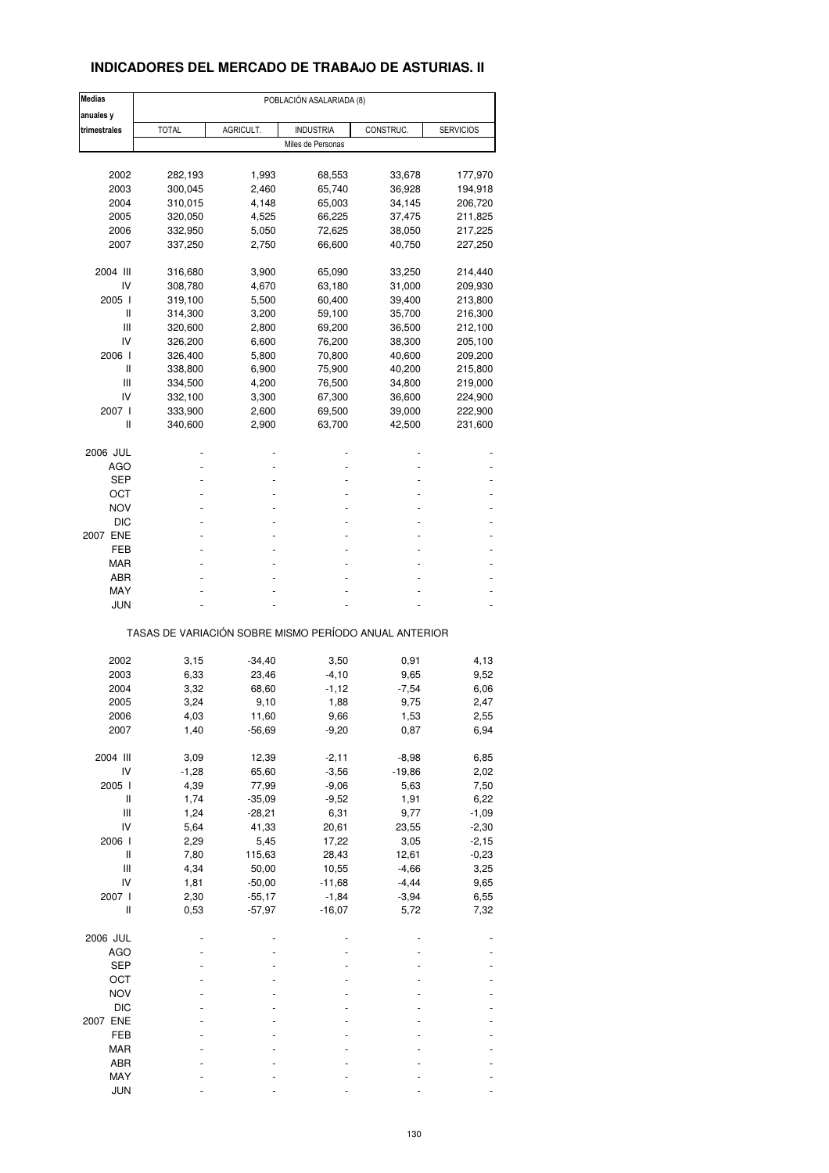## **INDICADORES DEL MERCADO DE TRABAJO DE ASTURIAS. II**

| <b>Medias</b>                      | POBLACIÓN ASALARIADA (8)                              |                      |                     |                 |                  |  |  |  |
|------------------------------------|-------------------------------------------------------|----------------------|---------------------|-----------------|------------------|--|--|--|
| anuales y                          |                                                       |                      |                     |                 |                  |  |  |  |
| trimestrales                       | <b>TOTAL</b>                                          | AGRICULT.            | <b>INDUSTRIA</b>    | CONSTRUC.       | <b>SERVICIOS</b> |  |  |  |
|                                    |                                                       |                      | Miles de Personas   |                 |                  |  |  |  |
|                                    |                                                       |                      |                     |                 |                  |  |  |  |
| 2002                               | 282,193                                               | 1,993                | 68,553              | 33,678          | 177,970          |  |  |  |
| 2003                               | 300,045                                               | 2,460                | 65,740              | 36,928          | 194,918          |  |  |  |
| 2004                               | 310,015                                               | 4,148                | 65,003              | 34,145          | 206,720          |  |  |  |
| 2005                               | 320,050                                               | 4,525                | 66,225              | 37,475          | 211,825          |  |  |  |
| 2006                               | 332,950                                               | 5,050                | 72,625              | 38,050          | 217,225          |  |  |  |
| 2007                               | 337,250                                               | 2,750                | 66,600              | 40,750          | 227,250          |  |  |  |
|                                    |                                                       |                      |                     |                 |                  |  |  |  |
| 2004 III                           | 316,680                                               | 3,900                | 65,090              | 33,250          | 214,440          |  |  |  |
| IV                                 | 308,780                                               | 4,670                | 63,180              | 31,000          | 209,930          |  |  |  |
| 2005 l                             | 319,100                                               | 5,500                | 60,400              | 39,400          | 213,800          |  |  |  |
| II                                 | 314,300                                               | 3,200                | 59,100              | 35,700          | 216,300          |  |  |  |
| Ш                                  | 320,600                                               | 2,800                | 69,200              | 36,500          | 212,100          |  |  |  |
| IV                                 | 326,200                                               | 6,600                | 76,200              | 38,300          | 205,100          |  |  |  |
| 2006 l                             | 326,400                                               | 5,800                | 70,800              | 40,600          | 209,200          |  |  |  |
| Ш                                  | 338,800                                               | 6,900                | 75,900              | 40,200          | 215,800          |  |  |  |
| Ш                                  | 334,500                                               | 4,200                | 76,500              | 34,800          | 219,000          |  |  |  |
| IV                                 | 332,100                                               | 3,300                | 67,300              | 36,600          | 224,900          |  |  |  |
| 2007 l                             | 333,900                                               | 2,600                | 69,500              | 39,000          | 222,900          |  |  |  |
| Ш                                  | 340,600                                               | 2,900                | 63,700              | 42,500          | 231,600          |  |  |  |
|                                    |                                                       |                      |                     |                 |                  |  |  |  |
| 2006 JUL                           |                                                       |                      |                     |                 |                  |  |  |  |
| AGO                                |                                                       |                      |                     |                 |                  |  |  |  |
| SEP                                |                                                       |                      |                     |                 |                  |  |  |  |
| ост                                |                                                       |                      |                     |                 |                  |  |  |  |
|                                    |                                                       |                      |                     |                 |                  |  |  |  |
| <b>NOV</b>                         |                                                       |                      |                     |                 |                  |  |  |  |
| <b>DIC</b>                         |                                                       |                      |                     |                 |                  |  |  |  |
| 2007 ENE                           |                                                       |                      |                     |                 |                  |  |  |  |
| FEB                                |                                                       |                      |                     |                 |                  |  |  |  |
| MAR                                |                                                       |                      |                     |                 |                  |  |  |  |
| ABR                                |                                                       |                      |                     |                 |                  |  |  |  |
| MAY                                |                                                       |                      |                     |                 |                  |  |  |  |
| JUN                                |                                                       |                      |                     |                 |                  |  |  |  |
|                                    | TASAS DE VARIACIÓN SOBRE MISMO PERÍODO ANUAL ANTERIOR |                      |                     |                 |                  |  |  |  |
|                                    |                                                       |                      |                     |                 |                  |  |  |  |
| 2002                               | 3,15                                                  | $-34,40$             | 3,50                | 0,91            | 4,13             |  |  |  |
| 2003                               | 6,33                                                  | 23,46                | $-4,10$             | 9,65            | 9,52             |  |  |  |
| 2004                               | 3,32                                                  | 68,60                | $-1,12$             | $-7,54$         | 6,06             |  |  |  |
| 2005                               | 3,24                                                  | 9,10                 | 1,88                | 9,75            | 2,47             |  |  |  |
| 2006                               | 4,03                                                  | 11,60                | 9,66                | 1,53            | 2,55             |  |  |  |
| 2007                               | 1,40                                                  | $-56,69$             | $-9,20$             | 0,87            | 6,94             |  |  |  |
|                                    |                                                       |                      |                     |                 |                  |  |  |  |
| 2004 III                           | 3,09                                                  | 12,39                | $-2,11$             | $-8,98$         | 6,85             |  |  |  |
| IV                                 | $-1,28$                                               | 65,60                | $-3,56$             | $-19,86$        | 2,02             |  |  |  |
| 2005 l                             | 4,39                                                  | 77,99                | $-9,06$             | 5,63            | 7,50             |  |  |  |
| Ш                                  | 1,74                                                  | $-35,09$             | $-9,52$             | 1,91            | 6,22             |  |  |  |
| Ш                                  | 1,24                                                  | $-28,21$             | 6,31                | 9,77            | $-1,09$          |  |  |  |
| IV                                 | 5,64                                                  | 41,33                | 20,61               | 23,55           | $-2,30$          |  |  |  |
| 2006 l                             | 2,29                                                  | 5,45                 | 17,22               | 3,05            | $-2,15$          |  |  |  |
| Ш                                  | 7,80                                                  | 115,63               | 28,43               | 12,61           | $-0,23$          |  |  |  |
| $\ensuremath{\mathsf{III}}\xspace$ | 4,34                                                  | 50,00                | 10,55               | $-4,66$         | 3,25             |  |  |  |
| IV                                 | 1,81                                                  | $-50,00$             | $-11,68$            | $-4,44$         | 9,65             |  |  |  |
|                                    |                                                       |                      |                     |                 |                  |  |  |  |
| 2007 l<br>Ш                        | 2,30<br>0,53                                          | $-55,17$<br>$-57,97$ | $-1,84$<br>$-16,07$ | $-3,94$<br>5,72 | 6,55<br>7,32     |  |  |  |
|                                    |                                                       |                      |                     |                 |                  |  |  |  |
| 2006 JUL                           |                                                       |                      |                     |                 |                  |  |  |  |
| <b>AGO</b>                         |                                                       |                      |                     |                 |                  |  |  |  |
|                                    |                                                       |                      |                     |                 |                  |  |  |  |
| <b>SEP</b>                         |                                                       |                      |                     |                 |                  |  |  |  |
| OCT                                |                                                       |                      |                     |                 |                  |  |  |  |
| <b>NOV</b>                         |                                                       |                      |                     |                 |                  |  |  |  |
| DIC                                |                                                       |                      |                     |                 |                  |  |  |  |
| 2007 ENE                           |                                                       |                      |                     |                 |                  |  |  |  |
| FEB                                |                                                       |                      |                     |                 |                  |  |  |  |
| MAR                                |                                                       |                      |                     |                 |                  |  |  |  |
| ABR                                |                                                       |                      |                     |                 |                  |  |  |  |
| MAY                                |                                                       |                      |                     |                 |                  |  |  |  |
| <b>JUN</b>                         |                                                       |                      |                     |                 |                  |  |  |  |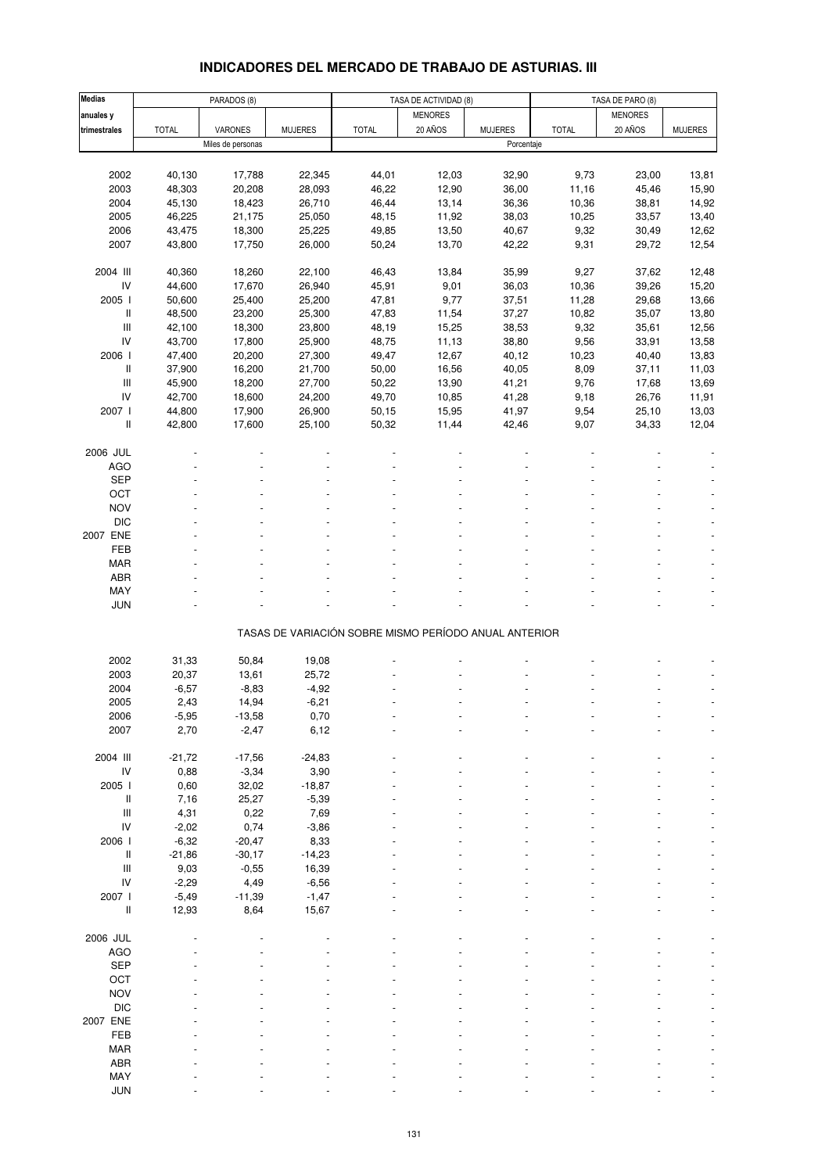# **INDICADORES DEL MERCADO DE TRABAJO DE ASTURIAS. III**

| <b>Medias</b>                      |              | PARADOS (8)       |                |                                                       | TASA DE ACTIVIDAD (8) |                |              | TASA DE PARO (8) |                          |  |
|------------------------------------|--------------|-------------------|----------------|-------------------------------------------------------|-----------------------|----------------|--------------|------------------|--------------------------|--|
| anuales y                          |              |                   |                |                                                       | <b>MENORES</b>        |                |              | <b>MENORES</b>   |                          |  |
| trimestrales                       | <b>TOTAL</b> | VARONES           | <b>MUJERES</b> | <b>TOTAL</b>                                          | 20 AÑOS               | <b>MUJERES</b> | <b>TOTAL</b> | 20 AÑOS          | <b>MUJERES</b>           |  |
|                                    |              | Miles de personas |                |                                                       |                       | Porcentaje     |              |                  |                          |  |
|                                    |              |                   |                |                                                       |                       |                |              |                  |                          |  |
| 2002                               | 40,130       | 17,788            | 22,345         | 44,01                                                 | 12,03                 | 32,90          | 9,73         | 23,00            | 13,81                    |  |
| 2003                               | 48,303       | 20,208            | 28,093         | 46,22                                                 | 12,90                 | 36,00          | 11,16        | 45,46            | 15,90                    |  |
|                                    |              |                   |                |                                                       |                       |                |              |                  |                          |  |
| 2004                               | 45,130       | 18,423            | 26,710         | 46,44                                                 | 13,14                 | 36,36          | 10,36        | 38,81            | 14,92                    |  |
| 2005                               | 46,225       | 21,175            | 25,050         | 48,15                                                 | 11,92                 | 38,03          | 10,25        | 33,57            | 13,40                    |  |
| 2006                               | 43,475       | 18,300            | 25,225         | 49,85                                                 | 13,50                 | 40,67          | 9,32         | 30,49            | 12,62                    |  |
| 2007                               | 43,800       | 17,750            | 26,000         | 50,24                                                 | 13,70                 | 42,22          | 9,31         | 29,72            | 12,54                    |  |
|                                    |              |                   |                |                                                       |                       |                |              |                  |                          |  |
| 2004 III                           | 40,360       | 18,260            | 22,100         | 46,43                                                 | 13,84                 | 35,99          | 9,27         | 37,62            | 12,48                    |  |
| ${\sf IV}$                         | 44,600       | 17,670            | 26,940         | 45,91                                                 | 9,01                  | 36,03          | 10,36        | 39,26            | 15,20                    |  |
| 2005 l                             | 50,600       | 25,400            | 25,200         | 47,81                                                 | 9,77                  | 37,51          | 11,28        | 29,68            | 13,66                    |  |
| Ш                                  | 48,500       | 23,200            | 25,300         | 47,83                                                 | 11,54                 | 37,27          | 10,82        | 35,07            | 13,80                    |  |
| $\ensuremath{\mathsf{III}}\xspace$ | 42,100       | 18,300            | 23,800         | 48,19                                                 | 15,25                 | 38,53          | 9,32         | 35,61            | 12,56                    |  |
| IV                                 | 43,700       | 17,800            | 25,900         | 48,75                                                 | 11,13                 | 38,80          | 9,56         | 33,91            | 13,58                    |  |
| 2006 l                             | 47,400       | 20,200            | 27,300         | 49,47                                                 | 12,67                 | 40,12          | 10,23        | 40,40            | 13,83                    |  |
|                                    |              |                   |                |                                                       |                       |                |              |                  |                          |  |
| Ш                                  | 37,900       | 16,200            | 21,700         | 50,00                                                 | 16,56                 | 40,05          | 8,09         | 37,11            | 11,03                    |  |
| $\ensuremath{\mathsf{III}}\xspace$ | 45,900       | 18,200            | 27,700         | 50,22                                                 | 13,90                 | 41,21          | 9,76         | 17,68            | 13,69                    |  |
| IV                                 | 42,700       | 18,600            | 24,200         | 49,70                                                 | 10,85                 | 41,28          | 9,18         | 26,76            | 11,91                    |  |
| 2007 l                             | 44,800       | 17,900            | 26,900         | 50,15                                                 | 15,95                 | 41,97          | 9,54         | 25,10            | 13,03                    |  |
| Ш                                  | 42,800       | 17,600            | 25,100         | 50,32                                                 | 11,44                 | 42,46          | 9,07         | 34,33            | 12,04                    |  |
|                                    |              |                   |                |                                                       |                       |                |              |                  |                          |  |
| 2006 JUL                           |              |                   |                |                                                       |                       |                |              |                  |                          |  |
| <b>AGO</b>                         |              |                   |                |                                                       |                       |                |              |                  |                          |  |
| <b>SEP</b>                         |              |                   |                |                                                       |                       |                |              |                  |                          |  |
| OCT                                |              |                   |                |                                                       |                       |                |              |                  |                          |  |
| <b>NOV</b>                         |              |                   |                |                                                       |                       |                |              |                  |                          |  |
|                                    |              |                   |                |                                                       |                       |                |              |                  |                          |  |
| <b>DIC</b>                         |              |                   |                |                                                       |                       |                |              |                  |                          |  |
| 2007 ENE                           |              |                   |                |                                                       |                       |                |              |                  |                          |  |
| FEB                                |              |                   |                |                                                       |                       |                |              |                  |                          |  |
| <b>MAR</b>                         |              |                   |                |                                                       |                       |                |              |                  |                          |  |
| ABR                                |              |                   |                |                                                       |                       |                |              |                  |                          |  |
| MAY                                |              |                   |                |                                                       |                       |                |              |                  |                          |  |
| <b>JUN</b>                         |              |                   |                |                                                       |                       |                |              |                  | $\overline{\phantom{a}}$ |  |
|                                    |              |                   |                |                                                       |                       |                |              |                  |                          |  |
|                                    |              |                   |                | TASAS DE VARIACIÓN SOBRE MISMO PERÍODO ANUAL ANTERIOR |                       |                |              |                  |                          |  |
|                                    |              |                   |                |                                                       |                       |                |              |                  |                          |  |
| 2002                               | 31,33        | 50,84             | 19,08          |                                                       |                       |                |              |                  |                          |  |
| 2003                               | 20,37        | 13,61             | 25,72          |                                                       |                       |                |              |                  |                          |  |
| 2004                               | $-6,57$      | $-8,83$           | $-4,92$        |                                                       |                       |                |              |                  |                          |  |
|                                    |              |                   |                |                                                       |                       |                |              |                  |                          |  |
| 2005                               | 2,43         | 14,94             | $-6,21$        |                                                       |                       |                |              |                  |                          |  |
| 2006                               | $-5,95$      | $-13,58$          | 0,70           |                                                       |                       |                |              |                  |                          |  |
| 2007                               | 2,70         | $-2,47$           | 6,12           |                                                       |                       |                |              |                  |                          |  |
|                                    |              |                   |                |                                                       |                       |                |              |                  |                          |  |
| 2004 III                           | $-21,72$     | $-17,56$          | $-24,83$       |                                                       |                       |                |              |                  |                          |  |
| ${\sf IV}$                         | 0,88         | $-3,34$           | 3,90           |                                                       |                       |                |              |                  |                          |  |
| 2005 l                             | 0,60         | 32,02             | $-18,87$       |                                                       |                       |                |              |                  |                          |  |
| $\mathop{  }$                      | 7,16         | 25,27             | $-5,39$        |                                                       |                       |                |              |                  |                          |  |
| $\ensuremath{\mathsf{III}}\xspace$ | 4,31         | 0,22              | 7,69           |                                                       |                       |                |              |                  |                          |  |
| IV                                 | $-2,02$      | 0,74              | $-3,86$        |                                                       |                       |                |              |                  |                          |  |
| 2006 l                             | $-6,32$      | $-20,47$          | 8,33           |                                                       |                       |                |              |                  |                          |  |
| $\mathop{  }$                      |              |                   | $-14,23$       |                                                       |                       |                |              |                  |                          |  |
|                                    | $-21,86$     | $-30,17$          |                |                                                       |                       |                |              |                  |                          |  |
| Ш                                  | 9,03         | $-0,55$           | 16,39          |                                                       |                       |                |              |                  |                          |  |
| IV                                 | $-2,29$      | 4,49              | $-6,56$        |                                                       |                       |                |              |                  |                          |  |
| 2007 l                             | $-5,49$      | $-11,39$          | $-1,47$        |                                                       |                       |                |              |                  |                          |  |
| Ш                                  | 12,93        | 8,64              | 15,67          |                                                       |                       |                |              |                  |                          |  |
|                                    |              |                   |                |                                                       |                       |                |              |                  |                          |  |
| 2006 JUL                           |              |                   |                |                                                       |                       |                |              |                  |                          |  |
| <b>AGO</b>                         |              |                   |                |                                                       |                       |                |              |                  |                          |  |
| <b>SEP</b>                         |              |                   |                |                                                       |                       |                |              |                  |                          |  |
| OCT                                |              |                   |                |                                                       |                       |                |              |                  |                          |  |
| <b>NOV</b>                         |              |                   |                |                                                       |                       |                |              |                  |                          |  |
| <b>DIC</b>                         |              |                   |                |                                                       |                       |                |              |                  |                          |  |
|                                    |              |                   |                |                                                       |                       |                |              |                  |                          |  |
| 2007 ENE                           |              |                   |                |                                                       |                       |                |              |                  |                          |  |
| FEB                                |              |                   |                |                                                       |                       |                |              |                  |                          |  |
| <b>MAR</b>                         |              |                   |                |                                                       |                       |                |              |                  |                          |  |
| ABR                                |              |                   |                |                                                       |                       |                |              |                  |                          |  |
| MAY                                |              |                   |                |                                                       |                       |                |              |                  |                          |  |
| <b>JUN</b>                         |              |                   |                |                                                       |                       |                |              |                  |                          |  |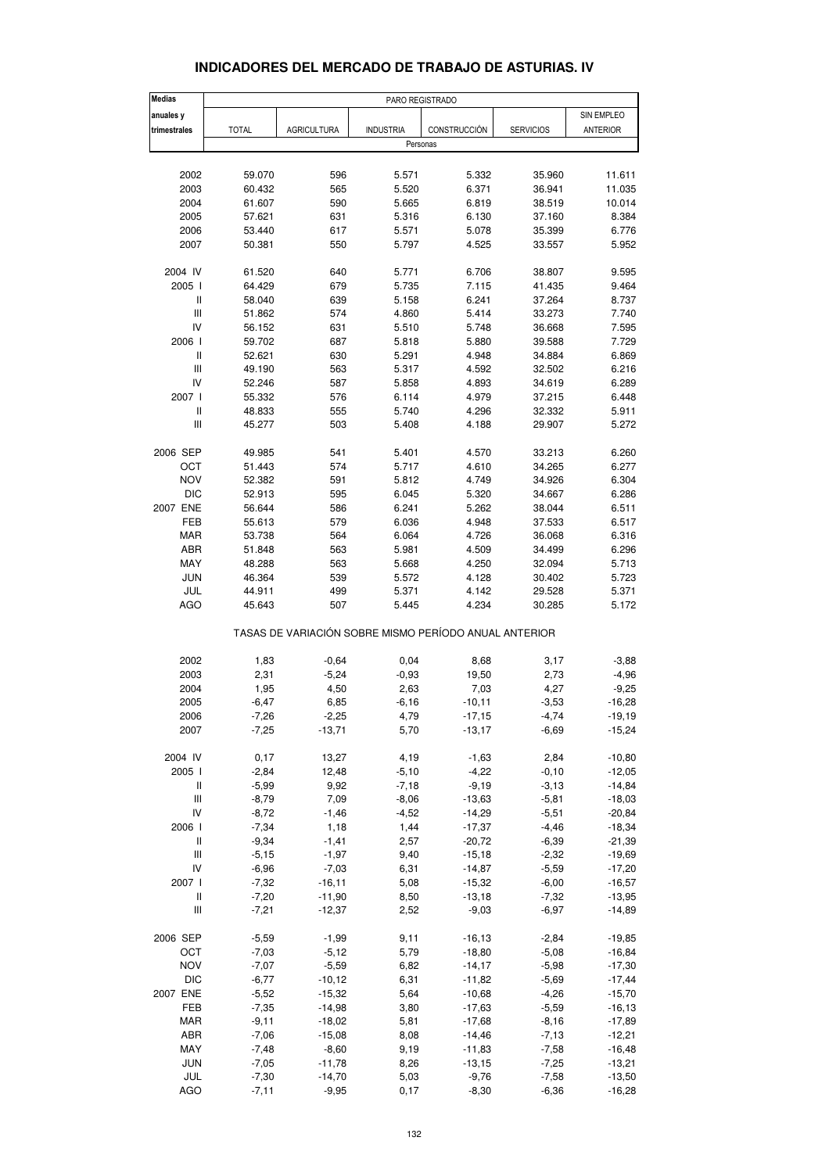## **INDICADORES DEL MERCADO DE TRABAJO DE ASTURIAS. IV**

| <b>Medias</b>                                         |              |                    | PARO REGISTRADO  |              |                  |            |  |  |
|-------------------------------------------------------|--------------|--------------------|------------------|--------------|------------------|------------|--|--|
| anuales y                                             |              |                    |                  |              |                  | SIN EMPLEO |  |  |
| trimestrales                                          | <b>TOTAL</b> | <b>AGRICULTURA</b> | <b>INDUSTRIA</b> | CONSTRUCCIÓN | <b>SERVICIOS</b> | ANTERIOR   |  |  |
|                                                       |              |                    | Personas         |              |                  |            |  |  |
|                                                       |              |                    |                  |              |                  |            |  |  |
| 2002                                                  | 59.070       | 596                | 5.571            | 5.332        | 35.960           | 11.611     |  |  |
| 2003                                                  | 60.432       | 565                | 5.520            | 6.371        | 36.941           | 11.035     |  |  |
| 2004                                                  | 61.607       | 590                | 5.665            | 6.819        | 38.519           | 10.014     |  |  |
| 2005                                                  | 57.621       | 631                | 5.316            | 6.130        | 37.160           | 8.384      |  |  |
| 2006                                                  | 53.440       | 617                | 5.571            | 5.078        | 35.399           | 6.776      |  |  |
| 2007                                                  | 50.381       | 550                | 5.797            | 4.525        | 33.557           | 5.952      |  |  |
|                                                       |              |                    |                  |              |                  |            |  |  |
| 2004 IV                                               | 61.520       | 640                | 5.771            | 6.706        | 38.807           | 9.595      |  |  |
| 2005 l                                                | 64.429       | 679                | 5.735            | 7.115        | 41.435           | 9.464      |  |  |
| Ш                                                     | 58.040       | 639                | 5.158            | 6.241        | 37.264           | 8.737      |  |  |
| Ш                                                     | 51.862       | 574                | 4.860            | 5.414        | 33.273           | 7.740      |  |  |
| IV                                                    | 56.152       | 631                | 5.510            | 5.748        | 36.668           | 7.595      |  |  |
| 2006                                                  | 59.702       | 687                | 5.818            | 5.880        | 39.588           | 7.729      |  |  |
| Ш                                                     | 52.621       | 630                | 5.291            | 4.948        | 34.884           | 6.869      |  |  |
| Ш                                                     | 49.190       | 563                | 5.317            | 4.592        | 32.502           | 6.216      |  |  |
| IV                                                    | 52.246       | 587                | 5.858            | 4.893        | 34.619           | 6.289      |  |  |
|                                                       |              |                    |                  |              |                  |            |  |  |
| 2007 l                                                | 55.332       | 576                | 6.114            | 4.979        | 37.215           | 6.448      |  |  |
| $\sf II$                                              | 48.833       | 555                | 5.740            | 4.296        | 32.332           | 5.911      |  |  |
| $\ensuremath{\mathsf{III}}\xspace$                    | 45.277       | 503                | 5.408            | 4.188        | 29.907           | 5.272      |  |  |
| 2006 SEP                                              | 49.985       | 541                | 5.401            | 4.570        | 33.213           | 6.260      |  |  |
| OCT                                                   | 51.443       | 574                | 5.717            | 4.610        | 34.265           | 6.277      |  |  |
| <b>NOV</b>                                            | 52.382       | 591                | 5.812            | 4.749        | 34.926           | 6.304      |  |  |
|                                                       |              |                    | 6.045            |              |                  |            |  |  |
| <b>DIC</b>                                            | 52.913       | 595                |                  | 5.320        | 34.667           | 6.286      |  |  |
| 2007 ENE                                              | 56.644       | 586                | 6.241            | 5.262        | 38.044           | 6.511      |  |  |
| <b>FEB</b>                                            | 55.613       | 579                | 6.036            | 4.948        | 37.533           | 6.517      |  |  |
| <b>MAR</b>                                            | 53.738       | 564                | 6.064            | 4.726        | 36.068           | 6.316      |  |  |
| ABR                                                   | 51.848       | 563                | 5.981            | 4.509        | 34.499           | 6.296      |  |  |
| MAY                                                   | 48.288       | 563                | 5.668            | 4.250        | 32.094           | 5.713      |  |  |
| JUN                                                   | 46.364       | 539                | 5.572            | 4.128        | 30.402           | 5.723      |  |  |
| JUL                                                   | 44.911       | 499                | 5.371            | 4.142        | 29.528           | 5.371      |  |  |
| <b>AGO</b>                                            | 45.643       | 507                | 5.445            | 4.234        | 30.285           | 5.172      |  |  |
| TASAS DE VARIACIÓN SOBRE MISMO PERÍODO ANUAL ANTERIOR |              |                    |                  |              |                  |            |  |  |
| 2002                                                  | 1,83         | $-0,64$            | 0,04             | 8,68         | 3,17             | $-3,88$    |  |  |
| 2003                                                  | 2,31         | $-5,24$            | $-0,93$          | 19,50        | 2,73             | $-4,96$    |  |  |
|                                                       |              |                    |                  |              |                  |            |  |  |
| 2004                                                  | 1,95         | 4,50               | 2,63             | 7,03         | 4,27             | $-9,25$    |  |  |
| 2005                                                  | $-6.47$      | 6,85               | $-6,16$          | $-10,11$     | $-3,53$          | $-16,28$   |  |  |
| 2006                                                  | $-7,26$      | $-2,25$            | 4,79             | $-17,15$     | $-4,74$          | $-19,19$   |  |  |
| 2007                                                  | $-7,25$      | $-13,71$           | 5,70             | $-13,17$     | $-6,69$          | $-15,24$   |  |  |
| 2004 IV                                               | 0,17         | 13,27              | 4,19             | $-1,63$      | 2,84             | $-10,80$   |  |  |
| 2005 l                                                | $-2,84$      | 12,48              | $-5,10$          | $-4,22$      | $-0, 10$         | $-12,05$   |  |  |
| Ш                                                     | $-5,99$      | 9,92               | $-7,18$          | $-9,19$      | $-3,13$          | $-14,84$   |  |  |
| $\ensuremath{\mathsf{III}}\xspace$                    | $-8,79$      | 7,09               | $-8,06$          | $-13,63$     | $-5,81$          | $-18,03$   |  |  |
| IV                                                    | $-8,72$      | $-1,46$            | $-4,52$          | $-14,29$     | $-5,51$          | $-20,84$   |  |  |
|                                                       |              |                    |                  |              |                  |            |  |  |
| 2006                                                  | $-7,34$      | 1,18               | 1,44             | $-17,37$     | $-4,46$          | $-18,34$   |  |  |
| Ш                                                     | $-9,34$      | $-1,41$            | 2,57             | $-20,72$     | $-6,39$          | $-21,39$   |  |  |
| Ш                                                     | $-5,15$      | $-1,97$            | 9,40             | $-15,18$     | $-2,32$          | $-19,69$   |  |  |
| IV                                                    | $-6,96$      | $-7,03$            | 6,31             | $-14,87$     | $-5,59$          | $-17,20$   |  |  |
| 2007 l                                                | $-7,32$      | $-16, 11$          | 5,08             | $-15,32$     | $-6,00$          | $-16,57$   |  |  |
| Ш                                                     | $-7,20$      | $-11,90$           | 8,50             | $-13,18$     | $-7,32$          | $-13,95$   |  |  |
| Ш                                                     | $-7,21$      | $-12,37$           | 2,52             | $-9,03$      | $-6,97$          | $-14,89$   |  |  |
|                                                       |              |                    |                  |              |                  |            |  |  |
| 2006 SEP                                              | $-5,59$      | $-1,99$            | 9,11             | $-16, 13$    | $-2,84$          | $-19,85$   |  |  |
| OCT                                                   | $-7,03$      | $-5,12$            | 5,79             | $-18,80$     | $-5,08$          | $-16,84$   |  |  |
| <b>NOV</b>                                            | $-7,07$      | $-5,59$            | 6,82             | $-14,17$     | $-5,98$          | $-17,30$   |  |  |
| DIC                                                   | $-6,77$      | $-10,12$           | 6,31             | $-11,82$     | $-5,69$          | $-17,44$   |  |  |
| 2007 ENE                                              | $-5,52$      | $-15,32$           | 5,64             | $-10,68$     | $-4,26$          | $-15,70$   |  |  |
| FEB                                                   | $-7,35$      | $-14,98$           | 3,80             | $-17,63$     | $-5,59$          | $-16, 13$  |  |  |
| <b>MAR</b>                                            | $-9,11$      | $-18,02$           | 5,81             | $-17,68$     | $-8,16$          | $-17,89$   |  |  |
| ABR                                                   | $-7,06$      | $-15,08$           | 8,08             | $-14,46$     | $-7,13$          | $-12,21$   |  |  |
| MAY                                                   | $-7,48$      | $-8,60$            | 9,19             | $-11,83$     | $-7,58$          | $-16,48$   |  |  |
| <b>JUN</b>                                            | $-7,05$      | $-11,78$           | 8,26             | $-13,15$     | $-7,25$          | $-13,21$   |  |  |
| JUL                                                   | $-7,30$      | $-14,70$           | 5,03             | $-9,76$      | $-7,58$          | $-13,50$   |  |  |
| AGO                                                   | $-7,11$      | $-9,95$            | 0,17             | $-8,30$      | $-6,36$          | $-16,28$   |  |  |
|                                                       |              |                    |                  |              |                  |            |  |  |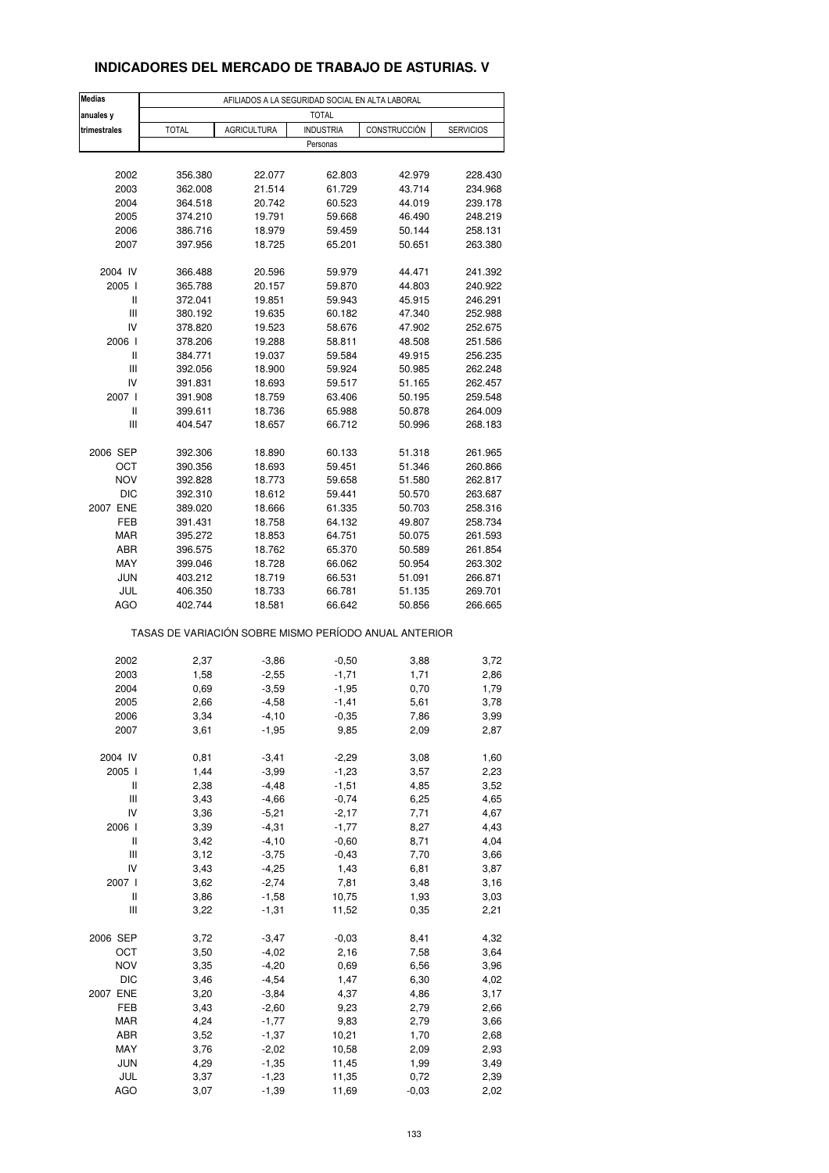## **INDICADORES DEL MERCADO DE TRABAJO DE ASTURIAS. V**

| <b>Medias</b> |                                                       | AFILIADOS A LA SEGURIDAD SOCIAL EN ALTA LABORAL |                  |              |                  |
|---------------|-------------------------------------------------------|-------------------------------------------------|------------------|--------------|------------------|
| anuales y     |                                                       |                                                 | <b>TOTAL</b>     |              |                  |
| trimestrales  | <b>TOTAL</b>                                          | <b>AGRICULTURA</b>                              | <b>INDUSTRIA</b> | CONSTRUCCIÓN | <b>SERVICIOS</b> |
|               |                                                       |                                                 | Personas         |              |                  |
|               |                                                       |                                                 |                  |              |                  |
| 2002          | 356.380                                               | 22.077                                          | 62.803           | 42.979       | 228.430          |
| 2003          | 362.008                                               | 21.514                                          | 61.729           | 43.714       | 234.968          |
| 2004          | 364.518                                               | 20.742                                          | 60.523           | 44.019       | 239.178          |
| 2005          | 374.210                                               | 19.791                                          | 59.668           | 46.490       | 248.219          |
| 2006          | 386.716                                               | 18.979                                          | 59.459           | 50.144       | 258.131          |
| 2007          | 397.956                                               | 18.725                                          | 65.201           | 50.651       | 263.380          |
| 2004 IV       | 366.488                                               | 20.596                                          | 59.979           | 44.471       | 241.392          |
| 2005 l        | 365.788                                               | 20.157                                          | 59.870           | 44.803       | 240.922          |
| Ш             | 372.041                                               | 19.851                                          | 59.943           | 45.915       | 246.291          |
| Ш             | 380.192                                               | 19.635                                          | 60.182           | 47.340       | 252.988          |
| IV            | 378.820                                               | 19.523                                          | 58.676           | 47.902       | 252.675          |
| 2006          | 378.206                                               | 19.288                                          | 58.811           | 48.508       | 251.586          |
| Ш             | 384.771                                               | 19.037                                          | 59.584           | 49.915       | 256.235          |
| Ш             | 392.056                                               | 18.900                                          | 59.924           | 50.985       | 262.248          |
| IV            | 391.831                                               | 18.693                                          | 59.517           | 51.165       | 262.457          |
| 2007 l        | 391.908                                               | 18.759                                          | 63.406           | 50.195       | 259.548          |
| Ш             | 399.611                                               | 18.736                                          | 65.988           | 50.878       | 264.009          |
| Ш             | 404.547                                               | 18.657                                          | 66.712           | 50.996       | 268.183          |
| 2006 SEP      | 392.306                                               | 18.890                                          | 60.133           | 51.318       | 261.965          |
| OCT           | 390.356                                               | 18.693                                          | 59.451           | 51.346       | 260.866          |
| <b>NOV</b>    | 392.828                                               | 18.773                                          | 59.658           | 51.580       | 262.817          |
| <b>DIC</b>    | 392.310                                               | 18.612                                          | 59.441           | 50.570       | 263.687          |
| 2007 ENE      | 389.020                                               | 18.666                                          | 61.335           | 50.703       | 258.316          |
| FEB           | 391.431                                               | 18.758                                          | 64.132           | 49.807       | 258.734          |
| <b>MAR</b>    | 395.272                                               | 18.853                                          | 64.751           | 50.075       | 261.593          |
| ABR           | 396.575                                               | 18.762                                          | 65.370           | 50.589       | 261.854          |
| MAY           | 399.046                                               | 18.728                                          | 66.062           | 50.954       | 263.302          |
| <b>JUN</b>    | 403.212                                               | 18.719                                          | 66.531           | 51.091       | 266.871          |
| JUL           | 406.350                                               | 18.733                                          | 66.781           | 51.135       | 269.701          |
| AGO           | 402.744                                               | 18.581                                          | 66.642           | 50.856       | 266.665          |
|               | TASAS DE VARIACIÓN SOBRE MISMO PERÍODO ANUAL ANTERIOR |                                                 |                  |              |                  |
| 2002          | 2,37                                                  | $-3,86$                                         | $-0,50$          | 3,88         | 3,72             |
| 2003          | 1,58                                                  | $-2,55$                                         | $-1,71$          | 1,71         | 2,86             |
| 2004          | 0,69                                                  | $-3,59$                                         | $-1,95$          | 0,70         | 1,79             |
| 2005          | 2,66                                                  | $-4,58$                                         | $-1,41$          | 5,61         | 3,78             |
| 2006          | 3,34                                                  | -4,10                                           | $-0,35$          | 7,86         | 3,99             |
| 2007          | 3,61                                                  | $-1,95$                                         | 9,85             | 2,09         | 2,87             |
| 2004 IV       | 0,81                                                  | $-3,41$                                         | $-2,29$          | 3,08         | 1,60             |
| 2005 l        | 1,44                                                  | $-3,99$                                         | $-1,23$          | 3,57         | 2,23             |
| Ш             | 2,38                                                  | $-4,48$                                         | $-1,51$          | 4,85         | 3,52             |
| Ш             | 3,43                                                  | $-4,66$                                         | $-0,74$          | 6,25         | 4,65             |
| IV            | 3,36                                                  | $-5,21$                                         | $-2,17$          | 7,71         | 4,67             |
| 2006 l        | 3,39                                                  | $-4,31$                                         | $-1,77$          | 8,27         | 4,43             |
| Ш             | 3,42                                                  | $-4,10$                                         | $-0,60$          | 8,71         | 4,04             |
| Ш             | 3,12                                                  | $-3,75$                                         | $-0,43$          | 7,70         | 3,66             |
| IV            | 3,43                                                  | $-4,25$                                         | 1,43             | 6,81         | 3,87             |
| 2007 l        | 3,62                                                  | $-2,74$                                         | 7,81             | 3,48         | 3,16             |
| Ш             | 3,86                                                  | $-1,58$                                         | 10,75            | 1,93         | 3,03             |
| Ш             | 3,22                                                  | $-1,31$                                         | 11,52            | 0,35         | 2,21             |
| 2006 SEP      | 3,72                                                  | $-3,47$                                         | $-0,03$          | 8,41         | 4,32             |
| OCT           | 3,50                                                  | $-4,02$                                         | 2,16             | 7,58         | 3,64             |
| <b>NOV</b>    | 3,35                                                  | $-4,20$                                         | 0,69             | 6,56         | 3,96             |
| <b>DIC</b>    | 3,46                                                  | $-4,54$                                         | 1,47             | 6,30         | 4,02             |
| 2007 ENE      | 3,20                                                  | $-3,84$                                         | 4,37             | 4,86         | 3,17             |
| FEB           | 3,43                                                  | $-2,60$                                         | 9,23             | 2,79         | 2,66             |
| MAR           | 4,24                                                  | $-1,77$                                         | 9,83             | 2,79         | 3,66             |
| ABR           | 3,52                                                  | $-1,37$                                         | 10,21            | 1,70         | 2,68             |
| MAY           | 3,76                                                  | $-2,02$                                         | 10,58            | 2,09         | 2,93             |
| <b>JUN</b>    | 4,29                                                  | $-1,35$                                         | 11,45            | 1,99         | 3,49             |
| JUL           | 3,37                                                  | $-1,23$                                         | 11,35            | 0,72         | 2,39             |
| AGO           | 3,07                                                  | $-1,39$                                         | 11,69            | $-0,03$      | 2,02             |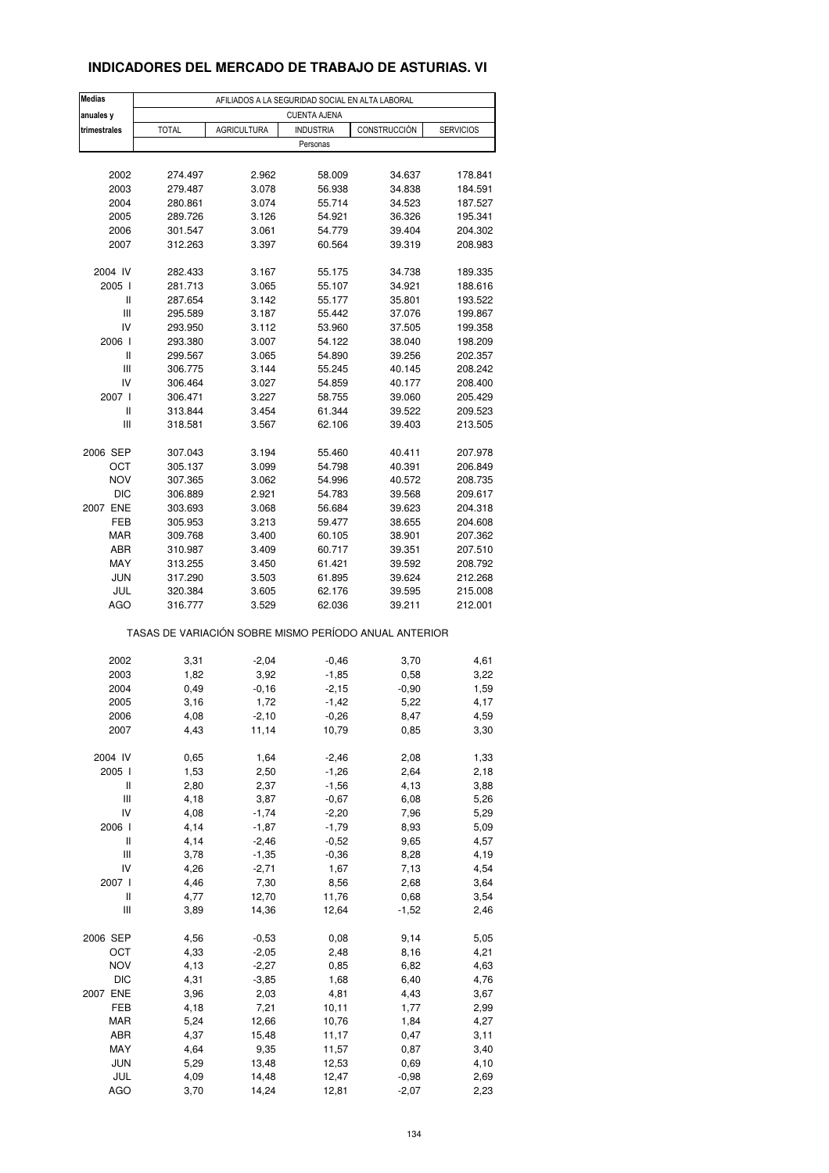### **INDICADORES DEL MERCADO DE TRABAJO DE ASTURIAS. VI**

| <b>Medias</b>                      | AFILIADOS A LA SEGURIDAD SOCIAL EN ALTA LABORAL       |                    |                     |              |                  |  |  |  |  |
|------------------------------------|-------------------------------------------------------|--------------------|---------------------|--------------|------------------|--|--|--|--|
| anuales y                          |                                                       |                    | <b>CUENTA AJENA</b> |              |                  |  |  |  |  |
| trimestrales                       | <b>TOTAL</b>                                          | <b>AGRICULTURA</b> | <b>INDUSTRIA</b>    | CONSTRUCCIÓN | <b>SERVICIOS</b> |  |  |  |  |
|                                    |                                                       |                    | Personas            |              |                  |  |  |  |  |
|                                    |                                                       |                    |                     |              |                  |  |  |  |  |
| 2002                               | 274.497                                               | 2.962              | 58.009              | 34.637       | 178.841          |  |  |  |  |
| 2003                               | 279.487                                               | 3.078              | 56.938              | 34.838       | 184.591          |  |  |  |  |
| 2004                               | 280.861                                               | 3.074              | 55.714              | 34.523       | 187.527          |  |  |  |  |
| 2005                               | 289.726                                               | 3.126              | 54.921              | 36.326       | 195.341          |  |  |  |  |
| 2006                               | 301.547                                               | 3.061              | 54.779              | 39.404       | 204.302          |  |  |  |  |
| 2007                               | 312.263                                               | 3.397              | 60.564              | 39.319       | 208.983          |  |  |  |  |
| 2004 IV                            | 282.433                                               | 3.167              | 55.175              | 34.738       | 189.335          |  |  |  |  |
| 2005                               | 281.713                                               | 3.065              | 55.107              | 34.921       | 188.616          |  |  |  |  |
| $\sf II$                           | 287.654                                               | 3.142              | 55.177              | 35.801       | 193.522          |  |  |  |  |
| $\ensuremath{\mathsf{III}}\xspace$ | 295.589                                               | 3.187              | 55.442              | 37.076       | 199.867          |  |  |  |  |
| IV                                 | 293.950                                               | 3.112              | 53.960              | 37.505       | 199.358          |  |  |  |  |
| 2006                               | 293.380                                               | 3.007              | 54.122              | 38.040       | 198.209          |  |  |  |  |
| $\sf II$                           | 299.567                                               | 3.065              | 54.890              | 39.256       | 202.357          |  |  |  |  |
| Ш                                  | 306.775                                               | 3.144              | 55.245              | 40.145       | 208.242          |  |  |  |  |
| IV                                 | 306.464                                               | 3.027              | 54.859              | 40.177       | 208.400          |  |  |  |  |
| 2007 l                             | 306.471                                               | 3.227              | 58.755              | 39.060       | 205.429          |  |  |  |  |
| Ш                                  | 313.844                                               | 3.454              | 61.344              | 39.522       | 209.523          |  |  |  |  |
| Ш                                  | 318.581                                               | 3.567              | 62.106              | 39.403       | 213.505          |  |  |  |  |
| 2006 SEP                           | 307.043                                               | 3.194              | 55.460              | 40.411       | 207.978          |  |  |  |  |
| ОСТ                                | 305.137                                               | 3.099              | 54.798              | 40.391       | 206.849          |  |  |  |  |
| <b>NOV</b>                         | 307.365                                               | 3.062              | 54.996              | 40.572       | 208.735          |  |  |  |  |
| <b>DIC</b>                         | 306.889                                               | 2.921              | 54.783              | 39.568       | 209.617          |  |  |  |  |
| 2007 ENE                           | 303.693                                               | 3.068              |                     | 39.623       | 204.318          |  |  |  |  |
| FEB                                |                                                       |                    | 56.684              |              |                  |  |  |  |  |
|                                    | 305.953                                               | 3.213              | 59.477              | 38.655       | 204.608          |  |  |  |  |
| MAR                                | 309.768                                               | 3.400              | 60.105              | 38.901       | 207.362          |  |  |  |  |
| ABR                                | 310.987                                               | 3.409              | 60.717              | 39.351       | 207.510          |  |  |  |  |
| MAY                                | 313.255                                               | 3.450              | 61.421              | 39.592       | 208.792          |  |  |  |  |
| <b>JUN</b>                         | 317.290                                               | 3.503              | 61.895              | 39.624       | 212.268          |  |  |  |  |
| JUL                                | 320.384                                               | 3.605              | 62.176              | 39.595       | 215.008          |  |  |  |  |
| <b>AGO</b>                         | 316.777                                               | 3.529              | 62.036              | 39.211       | 212.001          |  |  |  |  |
|                                    | TASAS DE VARIACIÓN SOBRE MISMO PERÍODO ANUAL ANTERIOR |                    |                     |              |                  |  |  |  |  |
| 2002                               | 3,31                                                  | $-2,04$            | $-0,46$             | 3,70         | 4,61             |  |  |  |  |
| 2003                               | 1,82                                                  | 3,92               | $-1,85$             | 0,58         | 3,22             |  |  |  |  |
| 2004                               | 0,49                                                  | $-0,16$            | $-2,15$             | $-0,90$      | 1,59             |  |  |  |  |
| 2005                               | 3,16                                                  | 1,72               | $-1,42$             | 5,22         | 4,17             |  |  |  |  |
| 2006                               | 4,08                                                  | $-2,10$            | -0,26               | 8,47         | 4,59             |  |  |  |  |
| 2007                               | 4,43                                                  | 11,14              | 10,79               | 0,85         | 3,30             |  |  |  |  |
|                                    |                                                       |                    |                     |              |                  |  |  |  |  |
| 2004 IV                            | 0,65                                                  | 1,64               | $-2,46$             | 2,08         | 1,33             |  |  |  |  |
| 2005 l                             | 1,53                                                  | 2,50               | $-1,26$             | 2,64         | 2,18             |  |  |  |  |
| Ш                                  | 2,80                                                  | 2,37               | $-1,56$             | 4,13         | 3,88             |  |  |  |  |
| Ш                                  | 4,18                                                  | 3,87               | $-0,67$             | 6,08         | 5,26             |  |  |  |  |
| IV                                 | 4,08                                                  | $-1,74$            | $-2,20$             | 7,96         | 5,29             |  |  |  |  |
| 2006                               | 4,14                                                  | $-1,87$            | $-1,79$             | 8,93         | 5,09             |  |  |  |  |
| $\sf II$                           | 4,14                                                  | $-2,46$            | $-0,52$             | 9,65         | 4,57             |  |  |  |  |
| Ш                                  | 3,78                                                  | $-1,35$            | $-0,36$             | 8,28         | 4,19             |  |  |  |  |
| IV                                 | 4,26                                                  | $-2,71$            | 1,67                | 7,13         | 4,54             |  |  |  |  |
| 2007 l                             | 4,46                                                  | 7,30               | 8,56                | 2,68         | 3,64             |  |  |  |  |
| Ш                                  | 4,77                                                  | 12,70              | 11,76               | 0,68         | 3,54             |  |  |  |  |
| $\ensuremath{\mathsf{III}}\xspace$ | 3,89                                                  | 14,36              | 12,64               | $-1,52$      | 2,46             |  |  |  |  |
| 2006 SEP                           | 4,56                                                  | $-0,53$            | 0,08                | 9,14         | 5,05             |  |  |  |  |
| OCT                                | 4,33                                                  | $-2,05$            | 2,48                | 8,16         | 4,21             |  |  |  |  |
| <b>NOV</b>                         | 4,13                                                  | $-2,27$            | 0,85                | 6,82         | 4,63             |  |  |  |  |
| <b>DIC</b>                         | 4,31                                                  | $-3,85$            | 1,68                | 6,40         | 4,76             |  |  |  |  |
| 2007 ENE                           | 3,96                                                  | 2,03               | 4,81                | 4,43         | 3,67             |  |  |  |  |
| FEB                                | 4,18                                                  | 7,21               | 10, 11              | 1,77         | 2,99             |  |  |  |  |
| MAR                                | 5,24                                                  | 12,66              | 10,76               | 1,84         | 4,27             |  |  |  |  |
| ABR                                | 4,37                                                  | 15,48              | 11,17               | 0,47         | 3,11             |  |  |  |  |
| MAY                                | 4,64                                                  | 9,35               | 11,57               | 0,87         | 3,40             |  |  |  |  |
| <b>JUN</b>                         | 5,29                                                  | 13,48              | 12,53               | 0,69         | 4,10             |  |  |  |  |
| JUL                                | 4,09                                                  | 14,48              | 12,47               | $-0,98$      | 2,69             |  |  |  |  |
| <b>AGO</b>                         | 3,70                                                  | 14,24              | 12,81               | $-2,07$      | 2,23             |  |  |  |  |
|                                    |                                                       |                    |                     |              |                  |  |  |  |  |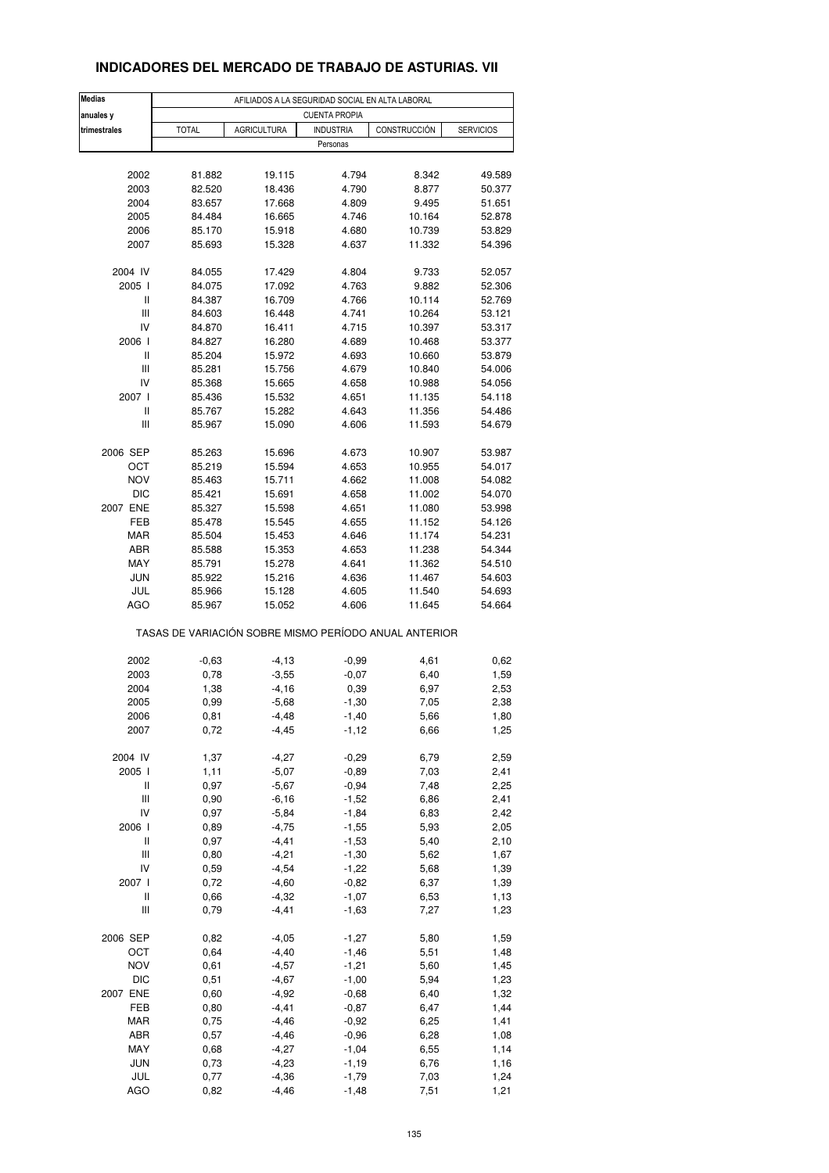| <b>Medias</b>                      | AFILIADOS A LA SEGURIDAD SOCIAL EN ALTA LABORAL |                    |                      |                                                       |                  |  |  |  |
|------------------------------------|-------------------------------------------------|--------------------|----------------------|-------------------------------------------------------|------------------|--|--|--|
| anuales y                          |                                                 |                    | <b>CUENTA PROPIA</b> |                                                       |                  |  |  |  |
| trimestrales                       | <b>TOTAL</b>                                    | <b>AGRICULTURA</b> | <b>INDUSTRIA</b>     | CONSTRUCCIÓN                                          | <b>SERVICIOS</b> |  |  |  |
|                                    |                                                 |                    | Personas             |                                                       |                  |  |  |  |
|                                    |                                                 |                    |                      |                                                       |                  |  |  |  |
| 2002                               | 81.882                                          | 19.115             | 4.794                | 8.342                                                 | 49.589           |  |  |  |
| 2003                               | 82.520                                          | 18.436             | 4.790                | 8.877                                                 | 50.377           |  |  |  |
|                                    |                                                 |                    |                      |                                                       |                  |  |  |  |
| 2004                               | 83.657                                          | 17.668             | 4.809                | 9.495                                                 | 51.651           |  |  |  |
| 2005                               | 84.484                                          | 16.665             | 4.746                | 10.164                                                | 52.878           |  |  |  |
| 2006                               | 85.170                                          | 15.918             | 4.680                | 10.739                                                | 53.829           |  |  |  |
| 2007                               | 85.693                                          | 15.328             | 4.637                | 11.332                                                | 54.396           |  |  |  |
| 2004 IV                            | 84.055                                          | 17.429             | 4.804                | 9.733                                                 | 52.057           |  |  |  |
| 2005 l                             | 84.075                                          | 17.092             | 4.763                | 9.882                                                 | 52.306           |  |  |  |
|                                    |                                                 |                    |                      |                                                       |                  |  |  |  |
| Ш                                  | 84.387                                          | 16.709             | 4.766                | 10.114                                                | 52.769           |  |  |  |
| $\ensuremath{\mathsf{III}}\xspace$ | 84.603                                          | 16.448             | 4.741                | 10.264                                                | 53.121           |  |  |  |
| IV                                 | 84.870                                          | 16.411             | 4.715                | 10.397                                                | 53.317           |  |  |  |
| 2006                               | 84.827                                          | 16.280             | 4.689                | 10.468                                                | 53.377           |  |  |  |
| $\mathbf{I}$                       | 85.204                                          | 15.972             | 4.693                | 10.660                                                | 53.879           |  |  |  |
| Ш                                  | 85.281                                          | 15.756             | 4.679                | 10.840                                                | 54.006           |  |  |  |
|                                    |                                                 |                    |                      |                                                       |                  |  |  |  |
| IV                                 | 85.368                                          | 15.665             | 4.658                | 10.988                                                | 54.056           |  |  |  |
| 2007 l                             | 85.436                                          | 15.532             | 4.651                | 11.135                                                | 54.118           |  |  |  |
| Ш                                  | 85.767                                          | 15.282             | 4.643                | 11.356                                                | 54.486           |  |  |  |
| $\ensuremath{\mathsf{III}}\xspace$ | 85.967                                          | 15.090             | 4.606                | 11.593                                                | 54.679           |  |  |  |
| 2006 SEP                           | 85.263                                          | 15.696             | 4.673                | 10.907                                                | 53.987           |  |  |  |
|                                    |                                                 |                    |                      |                                                       |                  |  |  |  |
| OCT                                | 85.219                                          | 15.594             | 4.653                | 10.955                                                | 54.017           |  |  |  |
| <b>NOV</b>                         | 85.463                                          | 15.711             | 4.662                | 11.008                                                | 54.082           |  |  |  |
| DIC                                | 85.421                                          | 15.691             | 4.658                | 11.002                                                | 54.070           |  |  |  |
| 2007 ENE                           | 85.327                                          | 15.598             | 4.651                | 11.080                                                | 53.998           |  |  |  |
| FEB                                | 85.478                                          | 15.545             | 4.655                | 11.152                                                | 54.126           |  |  |  |
| <b>MAR</b>                         | 85.504                                          | 15.453             | 4.646                | 11.174                                                | 54.231           |  |  |  |
|                                    |                                                 |                    |                      |                                                       |                  |  |  |  |
| ABR                                | 85.588                                          | 15.353             | 4.653                | 11.238                                                | 54.344           |  |  |  |
| MAY                                | 85.791                                          | 15.278             | 4.641                | 11.362                                                | 54.510           |  |  |  |
| <b>JUN</b>                         | 85.922                                          | 15.216             | 4.636                | 11.467                                                | 54.603           |  |  |  |
| JUL                                | 85.966                                          | 15.128             | 4.605                | 11.540                                                | 54.693           |  |  |  |
| <b>AGO</b>                         | 85.967                                          | 15.052             | 4.606                | 11.645                                                | 54.664           |  |  |  |
|                                    |                                                 |                    |                      | TASAS DE VARIACIÓN SOBRE MISMO PERÍODO ANUAL ANTERIOR |                  |  |  |  |
|                                    |                                                 |                    |                      |                                                       |                  |  |  |  |
| 2002                               | $-0,63$                                         | $-4, 13$           | $-0,99$              | 4,61                                                  | 0,62             |  |  |  |
| 2003                               | 0,78                                            | $-3,55$            | $-0,07$              | 6,40                                                  | 1,59             |  |  |  |
| 2004                               | 1,38                                            | $-4,16$            | 0,39                 | 6,97                                                  | 2,53             |  |  |  |
| 2005                               | 0,99                                            | $-5,68$            | $-1,30$              | 7,05                                                  | 2,38             |  |  |  |
| 2006                               | 0,81                                            | $-4,48$            | $-1,40$              | 5,66                                                  | 1,80             |  |  |  |
| 2007                               | 0,72                                            | $-4,45$            | $-1,12$              | 6,66                                                  | 1,25             |  |  |  |
|                                    |                                                 |                    |                      |                                                       |                  |  |  |  |
| 2004 IV                            | 1,37                                            | $-4,27$            | $-0,29$              | 6,79                                                  | 2,59             |  |  |  |
| 2005                               | 1,11                                            | $-5,07$            | $-0.89$              | 7,03                                                  | 2,41             |  |  |  |
| Ш                                  | 0,97                                            | $-5,67$            | $-0,94$              | 7,48                                                  | 2,25             |  |  |  |
| Ш                                  | 0,90                                            | $-6,16$            | $-1,52$              | 6,86                                                  | 2,41             |  |  |  |
| IV                                 | 0,97                                            | $-5,84$            | $-1,84$              | 6,83                                                  | 2,42             |  |  |  |
| 2006                               | 0,89                                            | $-4,75$            | $-1,55$              | 5,93                                                  | 2,05             |  |  |  |
|                                    |                                                 |                    |                      |                                                       |                  |  |  |  |
| Ш                                  | 0,97                                            | $-4,41$            | $-1,53$              | 5,40                                                  | 2,10             |  |  |  |
| $\ensuremath{\mathsf{III}}\xspace$ | 0,80                                            | $-4,21$            | $-1,30$              | 5,62                                                  | 1,67             |  |  |  |
| IV                                 | 0,59                                            | $-4,54$            | $-1,22$              | 5,68                                                  | 1,39             |  |  |  |
| 2007 l                             | 0,72                                            | $-4,60$            | $-0,82$              | 6,37                                                  | 1,39             |  |  |  |
| Ш                                  | 0,66                                            | $-4,32$            | $-1,07$              | 6,53                                                  | 1,13             |  |  |  |
| Ш                                  | 0,79                                            | $-4,41$            | $-1,63$              | 7,27                                                  | 1,23             |  |  |  |
|                                    |                                                 |                    |                      |                                                       |                  |  |  |  |
| 2006 SEP                           | 0,82                                            | $-4,05$            | $-1,27$              | 5,80                                                  | 1,59             |  |  |  |
| OCT                                | 0,64                                            | $-4,40$            | $-1,46$              | 5,51                                                  | 1,48             |  |  |  |
| <b>NOV</b>                         | 0,61                                            | $-4,57$            | $-1,21$              | 5,60                                                  | 1,45             |  |  |  |
| DIC                                | 0,51                                            | $-4,67$            | $-1,00$              | 5,94                                                  | 1,23             |  |  |  |
| 2007 ENE                           | 0,60                                            | $-4,92$            | $-0,68$              | 6,40                                                  | 1,32             |  |  |  |
|                                    |                                                 |                    |                      |                                                       |                  |  |  |  |
| FEB                                | 0,80                                            | $-4,41$            | $-0,87$              | 6,47                                                  | 1,44             |  |  |  |
| <b>MAR</b>                         | 0,75                                            | $-4,46$            | $-0,92$              | 6,25                                                  | 1,41             |  |  |  |
| ABR                                | 0,57                                            | $-4,46$            | $-0,96$              | 6,28                                                  | 1,08             |  |  |  |
| MAY                                | 0,68                                            | $-4,27$            | $-1,04$              | 6,55                                                  | 1,14             |  |  |  |
| <b>JUN</b>                         | 0,73                                            | $-4,23$            | $-1,19$              | 6,76                                                  | 1,16             |  |  |  |
| JUL                                | 0,77                                            | $-4,36$            | $-1,79$              | 7,03                                                  | 1,24             |  |  |  |
|                                    |                                                 |                    |                      |                                                       |                  |  |  |  |
| <b>AGO</b>                         | 0,82                                            | $-4,46$            | $-1,48$              | 7,51                                                  | 1,21             |  |  |  |

### **INDICADORES DEL MERCADO DE TRABAJO DE ASTURIAS. VII**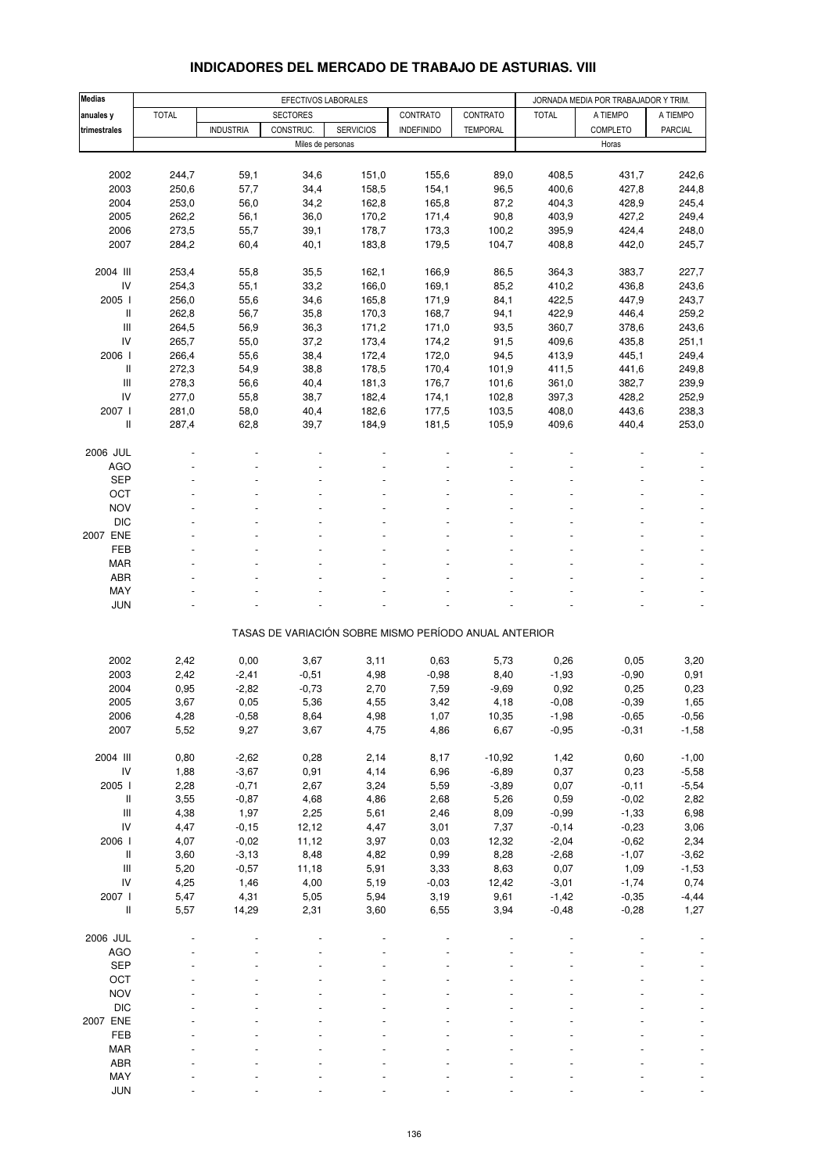| Medias                                                                    |              |                  | EFECTIVOS LABORALES                                   |                  |                   |                 |                  | JORNADA MEDIA POR TRABAJADOR Y TRIM. |                |
|---------------------------------------------------------------------------|--------------|------------------|-------------------------------------------------------|------------------|-------------------|-----------------|------------------|--------------------------------------|----------------|
| anuales y                                                                 | <b>TOTAL</b> |                  | <b>SECTORES</b>                                       |                  | CONTRATO          | CONTRATO        | <b>TOTAL</b>     | A TIEMPO                             | A TIEMPO       |
| trimestrales                                                              |              | <b>INDUSTRIA</b> | CONSTRUC.                                             | <b>SERVICIOS</b> | <b>INDEFINIDO</b> | <b>TEMPORAL</b> |                  | COMPLETO                             | <b>PARCIAL</b> |
|                                                                           |              |                  | Miles de personas                                     |                  |                   |                 |                  | Horas                                |                |
|                                                                           |              |                  |                                                       |                  |                   |                 |                  |                                      |                |
|                                                                           |              |                  |                                                       |                  |                   |                 |                  |                                      |                |
| 2002                                                                      | 244,7        | 59,1             | 34,6                                                  | 151,0            | 155,6             | 89,0            | 408,5            | 431,7                                | 242,6          |
| 2003                                                                      | 250,6        | 57,7             | 34,4                                                  | 158,5            | 154,1             | 96,5            | 400,6            | 427,8                                | 244,8          |
| 2004                                                                      | 253,0        | 56,0             | 34,2                                                  | 162,8            | 165,8             | 87,2            | 404,3            | 428,9                                | 245,4          |
| 2005                                                                      | 262,2        | 56,1             | 36,0                                                  | 170,2            | 171,4             | 90,8            | 403,9            | 427,2                                | 249,4          |
| 2006                                                                      | 273,5        | 55,7             | 39,1                                                  | 178,7            | 173,3             | 100,2           | 395,9            | 424,4                                | 248,0          |
| 2007                                                                      | 284,2        | 60,4             | 40,1                                                  | 183,8            | 179,5             | 104,7           | 408,8            | 442,0                                | 245,7          |
|                                                                           |              |                  |                                                       |                  |                   |                 |                  |                                      |                |
| 2004 III                                                                  | 253,4        | 55,8             | 35,5                                                  | 162,1            | 166,9             | 86,5            | 364,3            | 383,7                                | 227,7          |
| IV                                                                        | 254,3        | 55,1             | 33,2                                                  | 166,0            | 169,1             | 85,2            | 410,2            | 436,8                                | 243,6          |
| 2005 l                                                                    | 256,0        | 55,6             | 34,6                                                  | 165,8            | 171,9             | 84,1            | 422,5            | 447,9                                | 243,7          |
|                                                                           |              |                  |                                                       |                  |                   |                 |                  |                                      |                |
| Ш                                                                         | 262,8        | 56,7             | 35,8                                                  | 170,3            | 168,7             | 94,1            | 422,9            | 446,4                                | 259,2          |
| $\mathbf{III}$                                                            | 264,5        | 56,9             | 36,3                                                  | 171,2            | 171,0             | 93,5            | 360,7            | 378,6                                | 243,6          |
| IV                                                                        | 265,7        | 55,0             | 37,2                                                  | 173,4            | 174,2             | 91,5            | 409,6            | 435,8                                | 251,1          |
| 2006                                                                      | 266,4        | 55,6             | 38,4                                                  | 172,4            | 172,0             | 94,5            | 413,9            | 445,1                                | 249,4          |
| Ш                                                                         | 272,3        | 54,9             | 38,8                                                  | 178,5            | 170,4             | 101,9           | 411,5            | 441,6                                | 249,8          |
| $\mathbf{III}$                                                            | 278,3        | 56,6             | 40,4                                                  | 181,3            | 176,7             | 101,6           | 361,0            | 382,7                                | 239,9          |
| IV                                                                        | 277,0        | 55,8             | 38,7                                                  | 182,4            | 174,1             | 102,8           | 397,3            | 428,2                                | 252,9          |
| 2007 l                                                                    | 281,0        | 58,0             | 40,4                                                  | 182,6            | 177,5             | 103,5           | 408,0            | 443,6                                | 238,3          |
| $\label{eq:1} \prod_{i=1}^n \left\{ \prod_{i=1}^n \frac{1}{n_i} \right\}$ | 287,4        | 62,8             | 39,7                                                  | 184,9            | 181,5             | 105,9           | 409,6            | 440,4                                | 253,0          |
|                                                                           |              |                  |                                                       |                  |                   |                 |                  |                                      |                |
|                                                                           |              |                  |                                                       |                  |                   |                 |                  |                                      |                |
| 2006 JUL                                                                  |              |                  |                                                       |                  |                   |                 |                  |                                      |                |
| <b>AGO</b>                                                                |              |                  |                                                       |                  |                   |                 |                  |                                      |                |
| <b>SEP</b>                                                                |              |                  |                                                       |                  |                   |                 |                  |                                      |                |
| OCT                                                                       |              |                  |                                                       |                  |                   |                 |                  |                                      |                |
| <b>NOV</b>                                                                |              |                  |                                                       |                  |                   |                 |                  |                                      |                |
| <b>DIC</b>                                                                |              |                  |                                                       |                  |                   |                 |                  |                                      |                |
| 2007 ENE                                                                  |              |                  |                                                       |                  |                   |                 |                  |                                      |                |
| FEB                                                                       |              |                  |                                                       |                  |                   |                 |                  |                                      |                |
| <b>MAR</b>                                                                |              |                  |                                                       |                  |                   |                 |                  |                                      |                |
|                                                                           |              |                  |                                                       |                  |                   |                 |                  |                                      |                |
| ABR                                                                       |              |                  |                                                       |                  |                   |                 |                  |                                      |                |
| MAY                                                                       |              |                  |                                                       |                  |                   |                 |                  |                                      |                |
| <b>JUN</b>                                                                |              |                  |                                                       |                  |                   |                 |                  |                                      |                |
|                                                                           |              |                  |                                                       |                  |                   |                 |                  |                                      |                |
|                                                                           |              |                  | TASAS DE VARIACIÓN SOBRE MISMO PERÍODO ANUAL ANTERIOR |                  |                   |                 |                  |                                      |                |
|                                                                           |              |                  |                                                       |                  |                   |                 |                  |                                      |                |
| 2002                                                                      | 2,42         | 0,00             | 3,67                                                  | 3,11             | 0,63              | 5,73            | 0,26             | 0,05                                 | 3,20           |
| 2003                                                                      | 2,42         | $-2,41$          | $-0,51$                                               | 4,98             | $-0,98$           | 8,40            | $-1,93$          | $-0,90$                              | 0,91           |
| 2004                                                                      | 0,95         | $-2,82$          | $-0,73$                                               | 2,70             | 7,59              | $-9,69$         | 0,92             | 0,25                                 | 0,23           |
| 2005                                                                      | 3,67         | 0,05             | 5,36                                                  | 4,55             | 3,42              | 4,18            | $-0,08$          | $-0,39$                              | 1,65           |
| 2006                                                                      | 4,28         | $-0,58$          |                                                       |                  | 1,07              | 10,35           |                  | $-0,65$                              | $-0,56$        |
| 2007                                                                      | 5,52         | 9,27             | 8,64<br>3,67                                          | 4,98<br>4,75     | 4,86              | 6,67            | -1,98<br>$-0,95$ | $-0,31$                              |                |
|                                                                           |              |                  |                                                       |                  |                   |                 |                  |                                      | $-1,58$        |
|                                                                           |              |                  |                                                       |                  |                   |                 |                  |                                      |                |
| 2004 III                                                                  | 0,80         | $-2,62$          | 0,28                                                  | 2,14             | 8,17              | $-10,92$        | 1,42             | 0,60                                 | $-1,00$        |
| ${\sf IV}$                                                                | 1,88         | $-3,67$          | 0,91                                                  | 4,14             | 6,96              | $-6,89$         | 0,37             | 0,23                                 | $-5,58$        |
| 2005 l                                                                    | 2,28         | $-0,71$          | 2,67                                                  | 3,24             | 5,59              | $-3,89$         | 0,07             | $-0,11$                              | $-5,54$        |
| $\, \parallel$                                                            | 3,55         | $-0,87$          | 4,68                                                  | 4,86             | 2,68              | 5,26            | 0,59             | $-0,02$                              | 2,82           |
| $\ensuremath{\mathsf{III}}\xspace$                                        | 4,38         | 1,97             | 2,25                                                  | 5,61             | 2,46              | 8,09            | $-0,99$          | $-1,33$                              | 6,98           |
| IV                                                                        | 4,47         | $-0, 15$         | 12,12                                                 | 4,47             | 3,01              | 7,37            | $-0,14$          | $-0,23$                              | 3,06           |
| 2006                                                                      | 4,07         | $-0,02$          | 11,12                                                 | 3,97             | 0,03              | 12,32           | $-2,04$          | $-0,62$                              | 2,34           |
| $\, \parallel$                                                            | 3,60         | $-3,13$          | 8,48                                                  | 4,82             | 0,99              | 8,28            | $-2,68$          | $-1,07$                              | $-3,62$        |
|                                                                           |              |                  |                                                       |                  |                   |                 |                  |                                      |                |
| $\mathsf{III}$                                                            | 5,20         | $-0,57$          | 11,18                                                 | 5,91             | 3,33              | 8,63            | 0,07             | 1,09                                 | $-1,53$        |
| IV                                                                        | 4,25         | 1,46             | 4,00                                                  | 5,19             | $-0,03$           | 12,42           | $-3,01$          | $-1,74$                              | 0,74           |
| 2007 l                                                                    | 5,47         | 4,31             | 5,05                                                  | 5,94             | 3,19              | 9,61            | $-1,42$          | $-0,35$                              | $-4,44$        |
| $\, \parallel$                                                            | 5,57         | 14,29            | 2,31                                                  | 3,60             | 6,55              | 3,94            | $-0,48$          | $-0,28$                              | 1,27           |
|                                                                           |              |                  |                                                       |                  |                   |                 |                  |                                      |                |
| 2006 JUL                                                                  |              |                  |                                                       |                  |                   |                 |                  |                                      |                |
| <b>AGO</b>                                                                |              |                  |                                                       |                  |                   |                 |                  |                                      |                |
| <b>SEP</b>                                                                |              |                  |                                                       |                  |                   |                 |                  |                                      |                |
| OCT                                                                       |              |                  |                                                       |                  |                   |                 |                  |                                      |                |
| <b>NOV</b>                                                                |              |                  |                                                       |                  |                   |                 |                  |                                      |                |
|                                                                           |              |                  |                                                       |                  |                   |                 |                  |                                      |                |
| $DIC$                                                                     |              |                  |                                                       |                  |                   |                 |                  |                                      |                |
| 2007 ENE                                                                  |              |                  |                                                       |                  |                   |                 |                  |                                      |                |
| FEB                                                                       |              |                  |                                                       |                  |                   |                 |                  |                                      |                |
| MAR                                                                       |              |                  |                                                       |                  |                   |                 |                  |                                      |                |
| ABR                                                                       |              |                  |                                                       |                  |                   |                 |                  |                                      |                |
| MAY                                                                       |              |                  |                                                       |                  |                   |                 |                  |                                      |                |

### **INDICADORES DEL MERCADO DE TRABAJO DE ASTURIAS. VIII**

JUN - - - - - - - - -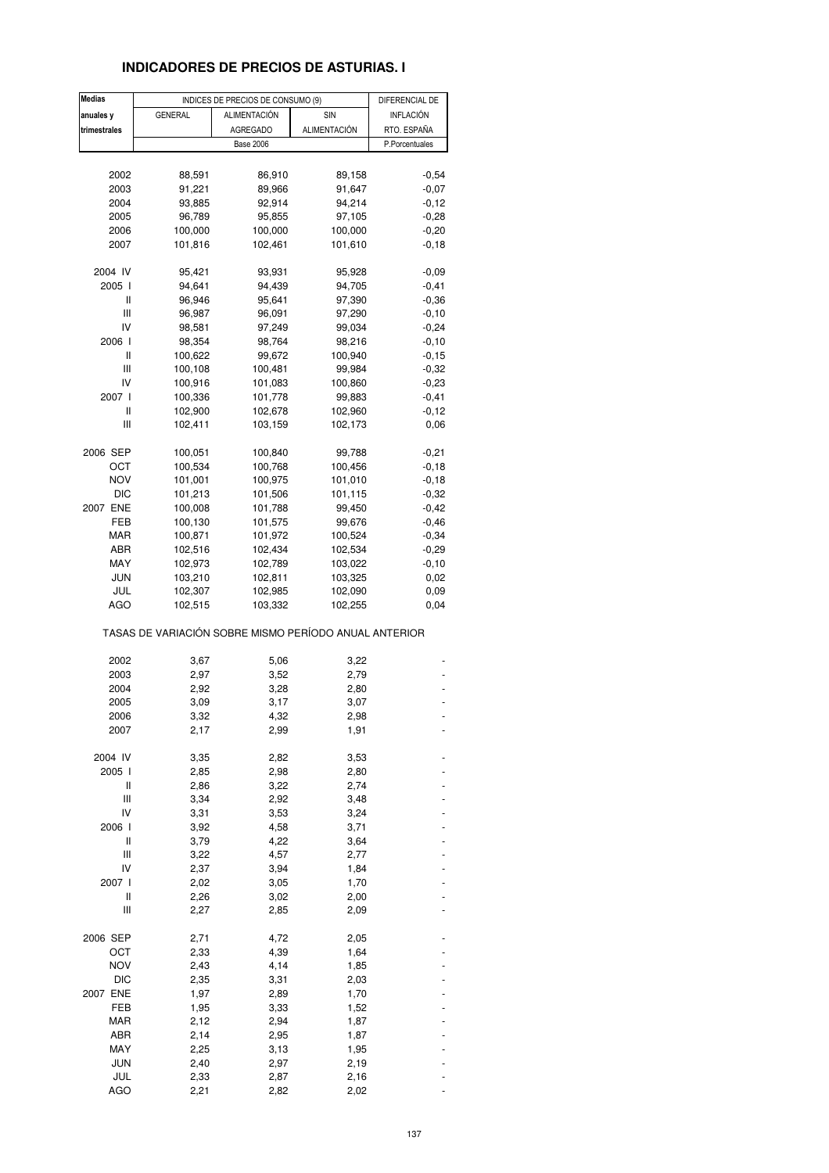## **INDICADORES DE PRECIOS DE ASTURIAS. I**

| <b>Medias</b> |                                                       | INDICES DE PRECIOS DE CONSUMO (9) |              | DIFERENCIAL DE |
|---------------|-------------------------------------------------------|-----------------------------------|--------------|----------------|
| anuales y     | <b>GENERAL</b>                                        | ALIMENTACIÓN                      | SIN          | INFLACIÓN      |
| trimestrales  |                                                       | <b>AGREGADO</b>                   | ALIMENTACIÓN | RTO. ESPAÑA    |
|               |                                                       | <b>Base 2006</b>                  |              | P.Porcentuales |
|               |                                                       |                                   |              |                |
| 2002          | 88,591                                                | 86,910                            | 89,158       | $-0,54$        |
| 2003          | 91,221                                                | 89,966                            | 91,647       | $-0,07$        |
|               |                                                       | 92,914                            |              | $-0,12$        |
| 2004          | 93,885                                                |                                   | 94,214       |                |
| 2005          | 96,789                                                | 95,855                            | 97,105       | $-0,28$        |
| 2006          | 100,000                                               | 100,000                           | 100,000      | $-0,20$        |
| 2007          | 101,816                                               | 102,461                           | 101,610      | $-0,18$        |
| 2004 IV       | 95,421                                                | 93,931                            | 95,928       | $-0,09$        |
| 2005 l        | 94,641                                                | 94,439                            | 94,705       | $-0,41$        |
| Ш             | 96,946                                                | 95,641                            | 97,390       | $-0,36$        |
| Ш             | 96,987                                                | 96,091                            | 97,290       | $-0,10$        |
| IV            | 98,581                                                | 97,249                            | 99,034       | $-0,24$        |
| 2006 l        | 98,354                                                | 98,764                            | 98,216       | $-0, 10$       |
|               |                                                       |                                   |              |                |
| Ш             | 100,622                                               | 99,672                            | 100,940      | $-0,15$        |
| Ш             | 100,108                                               | 100,481                           | 99,984       | $-0,32$        |
| IV            | 100,916                                               | 101,083                           | 100,860      | $-0,23$        |
| 2007 l        | 100,336                                               | 101,778                           | 99,883       | $-0,41$        |
| Ш             | 102,900                                               | 102,678                           | 102,960      | $-0,12$        |
| Ш             | 102,411                                               | 103,159                           | 102,173      | 0,06           |
| 2006 SEP      | 100,051                                               | 100,840                           | 99,788       | $-0,21$        |
|               | 100,534                                               |                                   |              | $-0,18$        |
| ост           |                                                       | 100,768                           | 100,456      |                |
| <b>NOV</b>    | 101,001                                               | 100,975                           | 101,010      | $-0,18$        |
| <b>DIC</b>    | 101,213                                               | 101,506                           | 101,115      | $-0,32$        |
| 2007 ENE      | 100,008                                               | 101,788                           | 99,450       | $-0,42$        |
| FEB           | 100,130                                               | 101,575                           | 99,676       | $-0,46$        |
| MAR           | 100,871                                               | 101,972                           | 100,524      | $-0,34$        |
| ABR           | 102,516                                               | 102,434                           | 102,534      | $-0,29$        |
| MAY           | 102,973                                               | 102,789                           | 103,022      | $-0,10$        |
| JUN           | 103,210                                               | 102,811                           | 103,325      | 0,02           |
| JUL           | 102,307                                               | 102,985                           | 102,090      | 0,09           |
| <b>AGO</b>    | 102,515                                               | 103,332                           | 102,255      | 0,04           |
|               | TASAS DE VARIACIÓN SOBRE MISMO PERÍODO ANUAL ANTERIOR |                                   |              |                |
| 2002          | 3,67                                                  | 5,06                              | 3,22         |                |
| 2003          | 2,97                                                  | 3,52                              | 2,79         |                |
| 2004          | 2,92                                                  | 3,28                              | 2,80         |                |
| 2005          | 3,09                                                  | 3,17                              | 3,07         |                |
| 2006          | 3,32                                                  | 4,32                              | 2,98         |                |
| 2007          | 2,17                                                  | 2,99                              | 1,91         |                |
|               |                                                       |                                   |              |                |
| 2004 IV       | 3,35                                                  | 2,82                              | 3,53         |                |
| 2005 l        | 2,85                                                  | 2,98                              | 2,80         |                |
| Ш             | 2,86                                                  | 3,22                              | 2,74         |                |
| Ш             | 3,34                                                  | 2,92                              | 3,48         |                |
| IV            | 3,31                                                  | 3,53                              | 3,24         |                |
| 2006 l        | 3,92                                                  | 4,58                              | 3,71         |                |
| Ш             | 3,79                                                  | 4,22                              | 3,64         |                |
| Ш             | 3,22                                                  | 4,57                              | 2,77         |                |
| $\mathsf{IV}$ | 2,37                                                  | 3,94                              | 1,84         |                |
| 2007 l        | 2,02                                                  | 3,05                              | 1,70         |                |
| Ш             | 2,26                                                  | 3,02                              | 2,00         |                |
| Ш             | 2,27                                                  | 2,85                              | 2,09         |                |
|               |                                                       |                                   |              |                |
| 2006 SEP      | 2,71                                                  | 4,72                              | 2,05         |                |
| OCT           | 2,33                                                  | 4,39                              | 1,64         |                |
| NOV           | 2,43                                                  | 4,14                              | 1,85         |                |
| DIC           | 2,35                                                  | 3,31                              | 2,03         |                |
| 2007 ENE      | 1,97                                                  | 2,89                              | 1,70         |                |
| FEB           | 1,95                                                  | 3,33                              | 1,52         |                |
| <b>MAR</b>    | 2,12                                                  | 2,94                              | 1,87         |                |
| ABR           | 2,14                                                  | 2,95                              | 1,87         |                |
| MAY           | 2,25                                                  | 3,13                              | 1,95         |                |
| <b>JUN</b>    | 2,40                                                  | 2,97                              | 2,19         |                |
| JUL           | 2,33                                                  | 2,87                              | 2,16         |                |
| <b>AGO</b>    | 2,21                                                  | 2,82                              | 2,02         |                |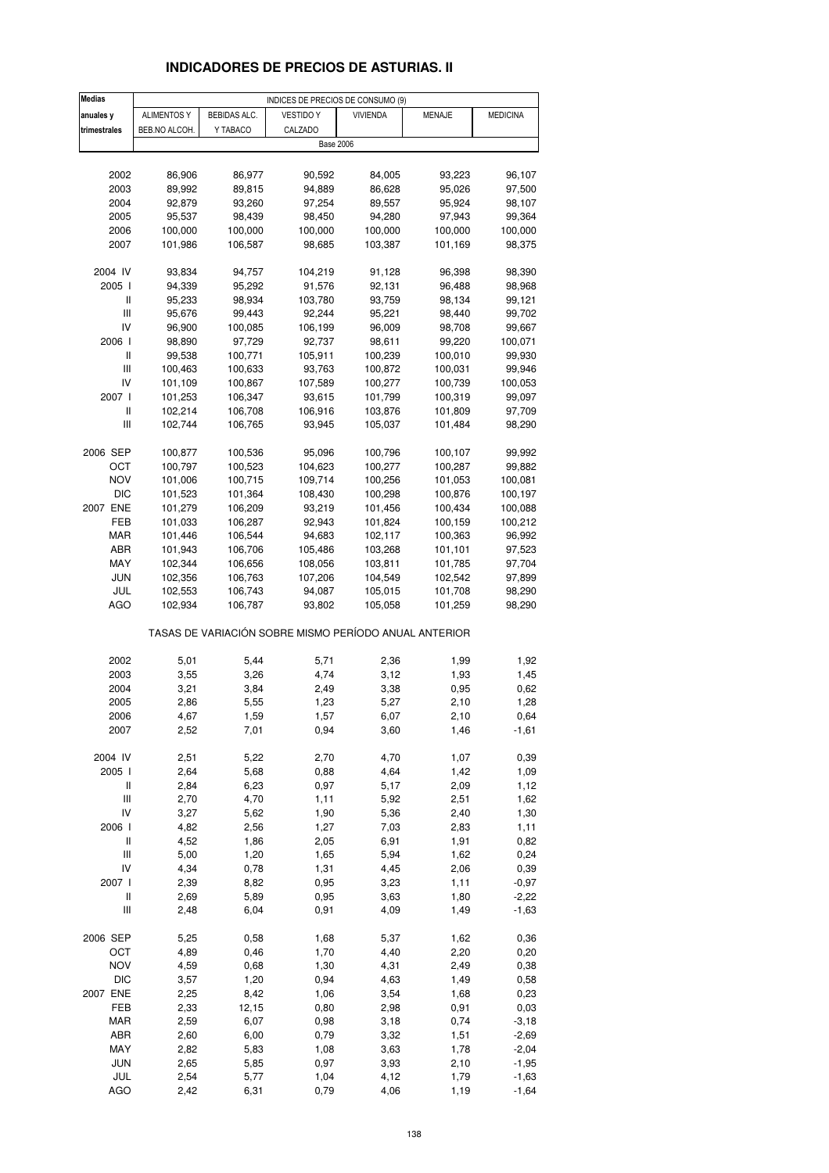# **INDICADORES DE PRECIOS DE ASTURIAS. II**

| <b>Medias</b>                      |                    |              | INDICES DE PRECIOS DE CONSUMO (9)                     |                 |               |                    |
|------------------------------------|--------------------|--------------|-------------------------------------------------------|-----------------|---------------|--------------------|
| anuales y                          | <b>ALIMENTOS Y</b> | BEBIDAS ALC. | <b>VESTIDO Y</b>                                      | <b>VIVIENDA</b> | <b>MENAJE</b> | <b>MEDICINA</b>    |
| trimestrales                       | BEB.NO ALCOH.      | Y TABACO     | CALZADO                                               |                 |               |                    |
|                                    |                    |              | <b>Base 2006</b>                                      |                 |               |                    |
|                                    |                    |              |                                                       |                 |               |                    |
| 2002                               | 86,906             | 86,977       | 90,592                                                | 84,005          | 93,223        | 96,107             |
| 2003                               | 89,992             | 89,815       | 94,889                                                | 86,628          | 95,026        | 97,500             |
| 2004                               | 92,879             | 93,260       | 97,254                                                | 89,557          | 95,924        | 98,107             |
| 2005                               | 95,537             | 98,439       | 98,450                                                | 94,280          | 97,943        | 99,364             |
| 2006                               | 100,000            | 100,000      | 100,000                                               | 100,000         | 100,000       | 100,000            |
| 2007                               | 101,986            | 106,587      | 98,685                                                | 103,387         | 101,169       | 98,375             |
|                                    |                    |              |                                                       |                 |               |                    |
| 2004 IV                            | 93,834             | 94,757       | 104,219                                               | 91,128          | 96,398        | 98,390             |
| 2005 l                             | 94,339             | 95,292       | 91,576                                                | 92,131          | 96,488        | 98,968             |
| Ш                                  | 95,233             | 98,934       | 103,780                                               | 93,759          | 98,134        | 99,121             |
| Ш                                  | 95,676             | 99,443       | 92,244                                                | 95,221          | 98,440        | 99,702             |
| IV                                 | 96,900             | 100,085      | 106,199                                               | 96,009          | 98,708        | 99,667             |
| 2006                               | 98,890             | 97,729       | 92,737                                                | 98,611          | 99,220        | 100,071            |
| Ш                                  | 99,538             | 100,771      | 105,911                                               | 100,239         | 100,010       | 99,930             |
| Ш                                  | 100,463            | 100,633      | 93,763                                                | 100,872         | 100,031       | 99,946             |
| IV                                 | 101,109            | 100,867      | 107,589                                               | 100,277         | 100,739       | 100,053            |
| 2007 l                             | 101,253            | 106,347      | 93,615                                                | 101,799         | 100,319       | 99,097             |
| Ш                                  | 102,214            | 106,708      | 106,916                                               | 103,876         | 101,809       | 97,709             |
| $\mathbf{III}$                     | 102,744            | 106,765      | 93,945                                                | 105,037         | 101,484       | 98,290             |
|                                    |                    |              |                                                       |                 |               |                    |
| 2006 SEP                           | 100,877            | 100,536      | 95,096                                                | 100,796         | 100,107       | 99,992             |
| ОСТ                                | 100,797            | 100,523      | 104,623                                               | 100,277         | 100,287       | 99,882             |
| <b>NOV</b>                         | 101,006            | 100,715      | 109,714                                               | 100,256         | 101,053       | 100,081            |
| <b>DIC</b>                         | 101,523            | 101,364      | 108,430                                               | 100,298         | 100,876       | 100,197            |
| 2007 ENE                           | 101,279            | 106,209      | 93,219                                                | 101,456         | 100,434       | 100,088            |
| FEB                                | 101,033            | 106,287      | 92,943                                                | 101,824         | 100,159       | 100,212            |
| MAR                                | 101,446            | 106,544      | 94,683                                                | 102,117         | 100,363       | 96,992             |
| ABR                                | 101,943            | 106,706      | 105,486                                               | 103,268         | 101,101       | 97,523             |
| MAY                                | 102,344            | 106,656      | 108,056                                               | 103,811         | 101,785       | 97,704             |
| JUN                                | 102,356            | 106,763      | 107,206                                               | 104,549         | 102,542       | 97,899             |
| JUL                                | 102,553            | 106,743      | 94,087                                                | 105,015         | 101,708       | 98,290             |
| AGO                                | 102,934            | 106,787      | 93,802                                                | 105,058         | 101,259       | 98,290             |
|                                    |                    |              | TASAS DE VARIACIÓN SOBRE MISMO PERÍODO ANUAL ANTERIOR |                 |               |                    |
| 2002                               | 5,01               | 5,44         | 5,71                                                  | 2,36            | 1,99          | 1,92               |
| 2003                               | 3,55               | 3,26         | 4,74                                                  | 3,12            | 1,93          | 1,45               |
| 2004                               | 3,21               | 3,84         | 2,49                                                  | 3,38            | 0,95          | 0,62               |
| 2005                               | 2,86               | 5,55         | 1,23                                                  | 5,27            | 2,10          | 1,28               |
| 2006                               | 4,67               | 1,59         | 1,57                                                  | 6,07            | 2,10          | 0,64               |
| 2007                               | 2,52               | 7,01         | 0,94                                                  | 3,60            | 1,46          | $-1,61$            |
|                                    |                    |              |                                                       |                 |               |                    |
| 2004 IV                            | 2,51               | 5,22         | 2,70                                                  | 4,70            | 1,07          | 0,39               |
| 2005 l                             | 2,64               | 5,68         | 0,88                                                  | 4,64            | 1,42          | 1,09               |
| Ш                                  | 2,84               | 6,23         | 0,97                                                  | 5,17            | 2,09          | 1,12               |
| Ш                                  | 2,70               | 4,70         | 1, 11                                                 | 5,92            | 2,51          | 1,62               |
| IV                                 | 3,27               | 5,62         | 1,90                                                  | 5,36            | 2,40          | 1,30               |
| 2006 l                             | 4,82               | 2,56         | 1,27                                                  | 7,03            | 2,83          | 1,11               |
| Ш                                  | 4,52               | 1,86         | 2,05                                                  | 6,91            | 1,91          | 0,82               |
| $\ensuremath{\mathsf{III}}\xspace$ | 5,00               | 1,20         | 1,65                                                  | 5,94            | 1,62          | 0,24               |
| IV                                 | 4,34               | 0,78         | 1,31                                                  | 4,45            | 2,06          | 0,39               |
| 2007 l                             | 2,39               | 8,82         | 0,95                                                  | 3,23            | 1,11          | $-0,97$            |
| $\sf II$                           | 2,69               | 5,89         | 0,95                                                  | 3,63            | 1,80          | $-2,22$            |
| Ш                                  | 2,48               | 6,04         | 0,91                                                  | 4,09            | 1,49          | $-1,63$            |
| 2006 SEP                           | 5,25               | 0,58         | 1,68                                                  | 5,37            | 1,62          | 0,36               |
| ОСТ                                | 4,89               | 0,46         | 1,70                                                  | 4,40            | 2,20          | 0,20               |
| <b>NOV</b>                         | 4,59               | 0,68         | 1,30                                                  | 4,31            | 2,49          | 0,38               |
| <b>DIC</b>                         | 3,57               | 1,20         | 0,94                                                  | 4,63            | 1,49          | 0,58               |
| 2007 ENE                           | 2,25               | 8,42         | 1,06                                                  | 3,54            | 1,68          | 0,23               |
| FEB                                | 2,33               | 12,15        | 0,80                                                  | 2,98            | 0,91          | 0,03               |
| <b>MAR</b>                         | 2,59               | 6,07         | 0,98                                                  | 3,18            | 0,74          | $-3,18$            |
| ABR                                | 2,60               | 6,00         | 0,79                                                  | 3,32            | 1,51          | $-2,69$            |
| MAY                                | 2,82               | 5,83         | 1,08                                                  | 3,63            | 1,78          | $-2,04$            |
| JUN<br>JUL                         | 2,65<br>2,54       | 5,85         | 0,97<br>1,04                                          | 3,93<br>4,12    | 2,10<br>1,79  | $-1,95$            |
| <b>AGO</b>                         |                    | 5,77<br>6,31 | 0,79                                                  |                 |               | $-1,63$<br>$-1,64$ |
|                                    | 2,42               |              |                                                       | 4,06            | 1,19          |                    |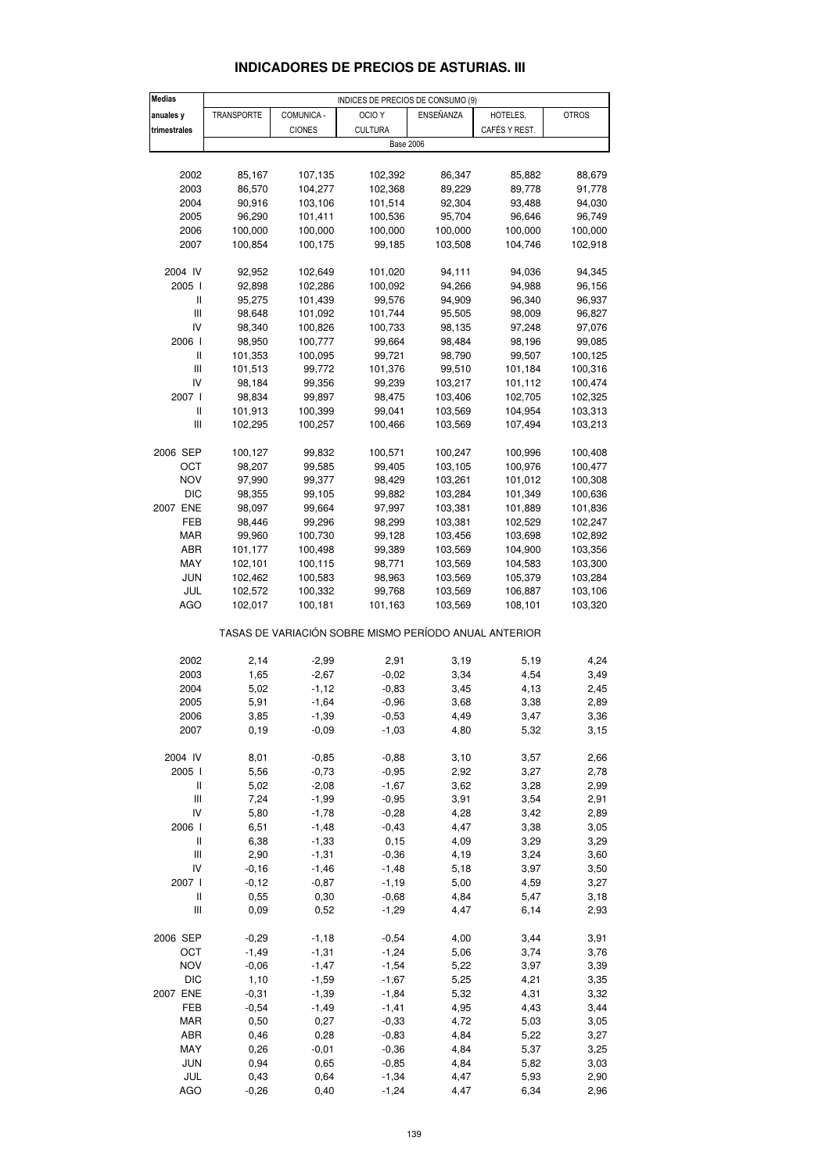| <b>Medias</b>                         |                   |               | INDICES DE PRECIOS DE CONSUMO (9)                     |           |               |              |
|---------------------------------------|-------------------|---------------|-------------------------------------------------------|-----------|---------------|--------------|
| anuales y                             | <b>TRANSPORTE</b> | COMUNICA -    | OCIO <sub>Y</sub>                                     | ENSEÑANZA | HOTELES,      | <b>OTROS</b> |
| trimestrales                          |                   | <b>CIONES</b> | <b>CULTURA</b>                                        |           | CAFÉS Y REST. |              |
|                                       |                   |               | <b>Base 2006</b>                                      |           |               |              |
|                                       |                   |               |                                                       |           |               |              |
| 2002                                  | 85,167            | 107,135       | 102,392                                               | 86,347    | 85,882        | 88,679       |
| 2003                                  | 86,570            | 104,277       | 102,368                                               | 89,229    | 89,778        | 91,778       |
| 2004                                  | 90,916            | 103,106       | 101,514                                               | 92,304    | 93,488        | 94,030       |
| 2005                                  | 96,290            | 101,411       | 100,536                                               | 95,704    | 96,646        | 96,749       |
| 2006                                  | 100,000           | 100,000       | 100,000                                               | 100,000   | 100,000       | 100,000      |
|                                       |                   |               |                                                       | 103,508   |               |              |
| 2007                                  | 100,854           | 100,175       | 99,185                                                |           | 104,746       | 102,918      |
| 2004 IV                               | 92,952            | 102,649       | 101,020                                               | 94,111    | 94,036        | 94,345       |
| 2005 l                                | 92,898            | 102,286       | 100,092                                               | 94,266    | 94,988        | 96,156       |
| Ш                                     | 95,275            | 101,439       | 99,576                                                | 94,909    | 96,340        | 96,937       |
| $\begin{array}{c} \hline \end{array}$ | 98,648            | 101,092       | 101,744                                               | 95,505    | 98,009        | 96,827       |
| IV                                    | 98,340            | 100,826       | 100,733                                               | 98,135    | 97,248        | 97,076       |
| 2006                                  | 98,950            | 100,777       | 99,664                                                | 98,484    | 98,196        | 99,085       |
| Ш                                     | 101,353           | 100,095       | 99,721                                                | 98,790    | 99,507        | 100,125      |
| $\mathop{\rm III}\nolimits$           | 101,513           | 99,772        | 101,376                                               | 99,510    | 101,184       | 100,316      |
| IV                                    | 98,184            | 99,356        | 99,239                                                | 103,217   | 101,112       | 100,474      |
| 2007 l                                | 98,834            |               |                                                       |           | 102,705       | 102,325      |
|                                       |                   | 99,897        | 98,475                                                | 103,406   |               |              |
| Ш                                     | 101,913           | 100,399       | 99,041                                                | 103,569   | 104,954       | 103,313      |
| $\mathop{\rm III}\nolimits$           | 102,295           | 100,257       | 100,466                                               | 103,569   | 107,494       | 103,213      |
| 2006 SEP                              | 100,127           | 99,832        | 100,571                                               | 100,247   | 100,996       | 100,408      |
| OCT                                   | 98,207            | 99,585        | 99,405                                                | 103,105   | 100,976       | 100,477      |
| <b>NOV</b>                            | 97,990            | 99,377        | 98,429                                                | 103,261   | 101,012       | 100,308      |
| DIC                                   | 98,355            | 99,105        | 99,882                                                | 103,284   | 101,349       | 100,636      |
| 2007 ENE                              | 98,097            | 99,664        | 97,997                                                | 103,381   | 101,889       | 101,836      |
| FEB                                   | 98,446            | 99,296        | 98,299                                                | 103,381   | 102,529       | 102,247      |
| MAR                                   | 99,960            | 100,730       | 99,128                                                | 103,456   | 103,698       | 102,892      |
|                                       |                   |               |                                                       |           |               |              |
| ABR                                   | 101,177           | 100,498       | 99,389                                                | 103,569   | 104,900       | 103,356      |
| MAY                                   | 102,101           | 100,115       | 98,771                                                | 103,569   | 104,583       | 103,300      |
| <b>JUN</b>                            | 102,462           | 100,583       | 98,963                                                | 103,569   | 105,379       | 103,284      |
| JUL                                   | 102,572           | 100,332       | 99,768                                                | 103,569   | 106,887       | 103,106      |
| <b>AGO</b>                            | 102,017           | 100,181       | 101,163                                               | 103,569   | 108,101       | 103,320      |
|                                       |                   |               | TASAS DE VARIACIÓN SOBRE MISMO PERÍODO ANUAL ANTERIOR |           |               |              |
| 2002                                  | 2,14              | $-2,99$       | 2,91                                                  | 3,19      | 5,19          | 4,24         |
| 2003                                  | 1,65              | $-2,67$       | $-0,02$                                               | 3,34      | 4,54          | 3,49         |
| 2004                                  | 5,02              | $-1,12$       | $-0,83$                                               | 3,45      | 4,13          | 2,45         |
| 2005                                  | 5,91              | $-1,64$       | $-0,96$                                               | 3,68      | 3,38          | 2,89         |
| 2006                                  | 3,85              | $-1,39$       | $-0,53$                                               | 4,49      | 3,47          | 3,36         |
| 2007                                  | 0, 19             | $-0,09$       | $-1,03$                                               | 4,80      | 5,32          | 3,15         |
|                                       |                   |               |                                                       |           |               |              |
| 2004 IV                               | 8,01              | $-0,85$       | $-0,88$                                               | 3,10      | 3,57          | 2,66         |
| 2005 l                                | 5,56              | $-0,73$       | $-0,95$                                               | 2,92      | 3,27          | 2,78         |
| Ш                                     | 5,02              | $-2,08$       | $-1,67$                                               | 3,62      | 3,28          | 2,99         |
| Ш                                     | 7,24              | $-1,99$       | $-0,95$                                               | 3,91      | 3,54          | 2,91         |
| IV                                    | 5,80              | $-1,78$       | $-0,28$                                               | 4,28      | 3,42          | 2,89         |
| 2006                                  | 6,51              | $-1,48$       | $-0,43$                                               | 4,47      | 3,38          | 3,05         |
| Ш                                     | 6,38              | $-1,33$       | 0, 15                                                 | 4,09      | 3,29          | 3,29         |
| $\mathop{\rm III}\nolimits$           | 2,90              | $-1,31$       | $-0,36$                                               | 4,19      | 3,24          | 3,60         |
| IV                                    | $-0,16$           | $-1,46$       | $-1,48$                                               | 5,18      | 3,97          | 3,50         |
| 2007 l                                | $-0,12$           | $-0,87$       | $-1,19$                                               | 5,00      | 4,59          | 3,27         |
| Ш                                     | 0,55              | 0,30          | $-0,68$                                               | 4,84      | 5,47          | 3,18         |
| Ш                                     | 0,09              | 0,52          | $-1,29$                                               | 4,47      | 6,14          | 2,93         |
|                                       |                   |               |                                                       |           |               |              |
| 2006 SEP                              | $-0,29$           | $-1,18$       | $-0,54$                                               | 4,00      | 3,44          | 3,91         |
| OCT                                   | $-1,49$           | $-1,31$       | $-1,24$                                               | 5,06      | 3,74          | 3,76         |
| <b>NOV</b>                            | $-0,06$           | $-1,47$       | $-1,54$                                               | 5,22      | 3,97          | 3,39         |
| <b>DIC</b>                            | 1,10              | $-1,59$       | $-1,67$                                               | 5,25      | 4,21          | 3,35         |
| 2007 ENE                              | $-0,31$           | $-1,39$       | $-1,84$                                               | 5,32      | 4,31          | 3,32         |
| FEB                                   | $-0,54$           | $-1,49$       | $-1,41$                                               | 4,95      | 4,43          | 3,44         |
| MAR                                   | 0,50              | 0,27          | $-0,33$                                               | 4,72      | 5,03          | 3,05         |
| ABR                                   | 0,46              | 0,28          | $-0,83$                                               | 4,84      | 5,22          | 3,27         |
| MAY                                   | 0,26              | $-0,01$       | $-0,36$                                               | 4,84      | 5,37          | 3,25         |
| <b>JUN</b>                            | 0,94              | 0,65          | $-0,85$                                               | 4,84      | 5,82          | 3,03         |
| JUL                                   | 0,43              | 0,64          | $-1,34$                                               | 4,47      | 5,93          | 2,90         |

## **INDICADORES DE PRECIOS DE ASTURIAS. III**

AGO -0,26 0,40 -1,24 4,47 6,34 2,96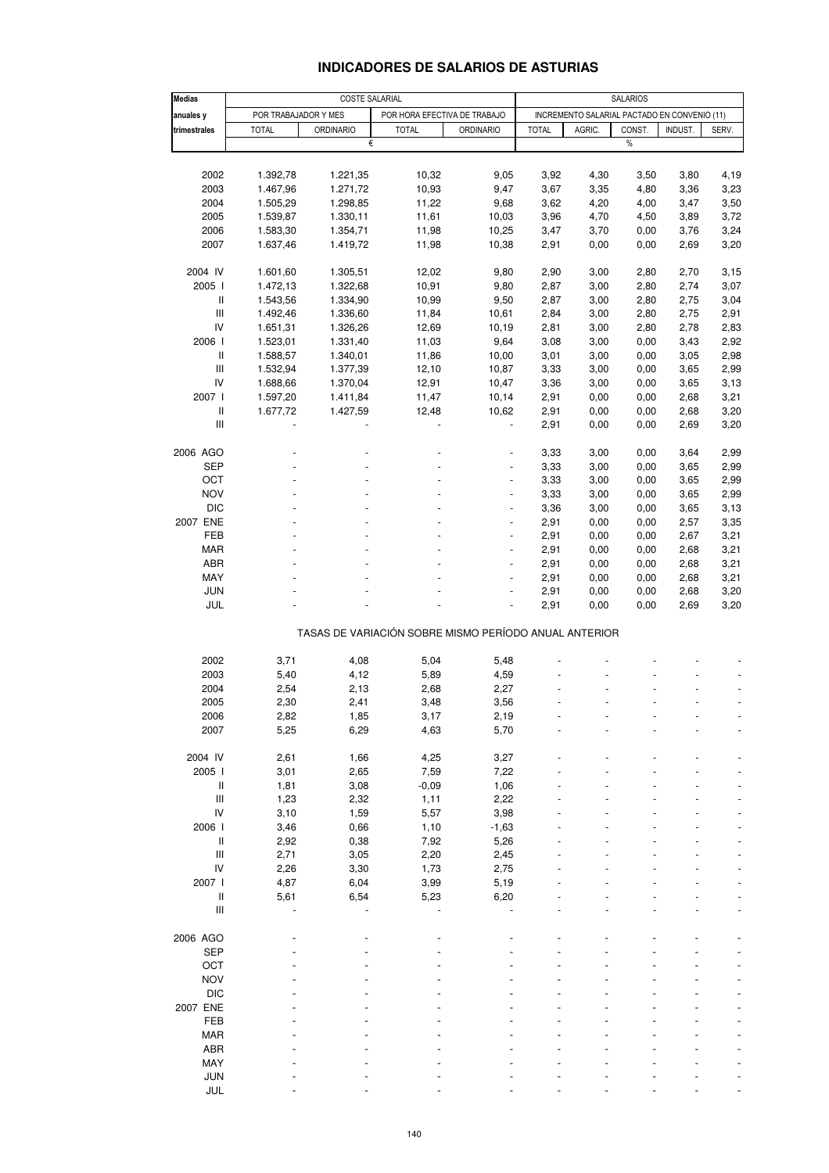## **INDICADORES DE SALARIOS DE ASTURIAS**

| <b>Medias</b>               | <b>SALARIOS</b><br><b>COSTE SALARIAL</b> |                  |                                                       |                  |              |                                              |        |         |       |
|-----------------------------|------------------------------------------|------------------|-------------------------------------------------------|------------------|--------------|----------------------------------------------|--------|---------|-------|
| anuales y                   | POR TRABAJADOR Y MES                     |                  | POR HORA EFECTIVA DE TRABAJO                          |                  |              | INCREMENTO SALARIAL PACTADO EN CONVENIO (11) |        |         |       |
| trimestrales                | <b>TOTAL</b>                             | <b>ORDINARIO</b> | <b>TOTAL</b>                                          | <b>ORDINARIO</b> | <b>TOTAL</b> | AGRIC.                                       | CONST. | INDUST. | SERV. |
|                             |                                          | €                |                                                       |                  |              |                                              | $\%$   |         |       |
|                             |                                          |                  |                                                       |                  |              |                                              |        |         |       |
| 2002                        | 1.392,78                                 | 1.221,35         | 10,32                                                 | 9,05             | 3,92         | 4,30                                         | 3,50   | 3,80    | 4,19  |
| 2003                        | 1.467,96                                 | 1.271,72         | 10,93                                                 | 9,47             | 3,67         | 3,35                                         | 4,80   | 3,36    | 3,23  |
| 2004                        | 1.505,29                                 | 1.298,85         | 11,22                                                 | 9,68             | 3,62         | 4,20                                         | 4,00   | 3,47    | 3,50  |
| 2005                        | 1.539,87                                 | 1.330,11         | 11,61                                                 | 10,03            | 3,96         | 4,70                                         | 4,50   | 3,89    | 3,72  |
| 2006                        | 1.583,30                                 | 1.354,71         | 11,98                                                 | 10,25            | 3,47         | 3,70                                         | 0,00   | 3,76    | 3,24  |
| 2007                        | 1.637,46                                 | 1.419,72         | 11,98                                                 | 10,38            | 2,91         | 0,00                                         | 0,00   | 2,69    | 3,20  |
|                             |                                          |                  |                                                       |                  |              |                                              |        |         |       |
| 2004 IV                     | 1.601,60                                 | 1.305,51         | 12,02                                                 | 9,80             | 2,90         | 3,00                                         | 2,80   | 2,70    | 3,15  |
| 2005                        | 1.472,13                                 | 1.322,68         | 10,91                                                 | 9,80             | 2,87         | 3,00                                         | 2,80   | 2,74    | 3,07  |
| Ш                           | 1.543,56                                 | 1.334,90         | 10,99                                                 | 9,50             | 2,87         | 3,00                                         | 2,80   | 2,75    | 3,04  |
| $\mathbf{III}$              | 1.492,46                                 | 1.336,60         | 11,84                                                 | 10,61            | 2,84         | 3,00                                         | 2,80   | 2,75    | 2,91  |
| IV                          | 1.651,31                                 | 1.326,26         | 12,69                                                 | 10,19            | 2,81         | 3,00                                         | 2,80   | 2,78    | 2,83  |
| 2006                        | 1.523,01                                 | 1.331,40         | 11,03                                                 | 9,64             | 3,08         | 3,00                                         | 0,00   | 3,43    | 2,92  |
| Ш                           | 1.588,57                                 | 1.340,01         | 11,86                                                 | 10,00            | 3,01         | 3,00                                         | 0,00   | 3,05    | 2,98  |
| $\mathop{\rm III}\nolimits$ | 1.532,94                                 | 1.377,39         | 12,10                                                 | 10,87            | 3,33         | 3,00                                         | 0,00   | 3,65    | 2,99  |
| IV                          | 1.688,66                                 | 1.370,04         | 12,91                                                 | 10,47            | 3,36         | 3,00                                         | 0,00   | 3,65    | 3,13  |
| 2007                        | 1.597,20                                 | 1.411,84         | 11,47                                                 | 10,14            | 2,91         | 0,00                                         | 0,00   | 2,68    | 3,21  |
| $\sf II$                    | 1.677,72                                 | 1.427,59         | 12,48                                                 | 10,62            | 2,91         | 0,00                                         | 0,00   | 2,68    | 3,20  |
| $\mathop{\rm III}\nolimits$ |                                          |                  |                                                       |                  | 2,91         | 0,00                                         | 0,00   | 2,69    | 3,20  |
|                             |                                          |                  |                                                       |                  |              |                                              |        |         |       |
| 2006 AGO                    |                                          |                  |                                                       |                  | 3,33         | 3,00                                         | 0,00   | 3,64    | 2,99  |
| SEP                         |                                          |                  |                                                       |                  | 3,33         | 3,00                                         | 0,00   | 3,65    | 2,99  |
| OCT                         |                                          |                  |                                                       |                  | 3,33         | 3,00                                         | 0,00   | 3,65    | 2,99  |
| <b>NOV</b>                  |                                          |                  |                                                       | ÷,               | 3,33         | 3,00                                         | 0,00   | 3,65    | 2,99  |
| <b>DIC</b>                  |                                          |                  |                                                       |                  | 3,36         | 3,00                                         | 0,00   | 3,65    | 3,13  |
| 2007 ENE                    |                                          |                  |                                                       | L,               | 2,91         | 0,00                                         | 0,00   | 2,57    | 3,35  |
| FEB                         |                                          |                  |                                                       | ÷,               | 2,91         | 0,00                                         | 0,00   | 2,67    | 3,21  |
| <b>MAR</b>                  |                                          |                  |                                                       |                  | 2,91         | 0,00                                         | 0,00   | 2,68    | 3,21  |
| ABR                         |                                          |                  |                                                       | L,               | 2,91         | 0,00                                         | 0,00   | 2,68    | 3,21  |
| MAY                         |                                          |                  |                                                       | ÷,               | 2,91         | 0,00                                         | 0,00   | 2,68    | 3,21  |
| <b>JUN</b>                  |                                          |                  |                                                       |                  | 2,91         | 0,00                                         | 0,00   | 2,68    | 3,20  |
| JUL                         |                                          |                  |                                                       | L,               | 2,91         | 0,00                                         | 0,00   | 2,69    | 3,20  |
|                             |                                          |                  | TASAS DE VARIACIÓN SOBRE MISMO PERÍODO ANUAL ANTERIOR |                  |              |                                              |        |         |       |
|                             |                                          |                  |                                                       |                  |              |                                              |        |         |       |
| 2002                        | 3,71                                     | 4,08             | 5,04                                                  | 5,48             |              |                                              |        |         |       |
| 2003                        | 5,40                                     | 4,12             | 5,89                                                  | 4,59             |              |                                              |        |         |       |
| 2004                        | 2,54                                     | 2,13             | 2,68                                                  | 2,27             |              |                                              |        |         |       |
| 2005                        | 2,30                                     | 2,41             | 3,48                                                  | 3,56             |              |                                              |        |         |       |
| 2006                        | 2,82                                     | 1,85             | 3,17                                                  | 2,19             |              |                                              |        |         |       |
| 2007                        | 5,25                                     | 6,29             | 4,63                                                  | 5,70             |              |                                              |        |         |       |
| 2004 IV                     | 2,61                                     |                  | 4,25                                                  | 3,27             |              |                                              |        |         |       |
| 2005 l                      |                                          | 1,66             |                                                       |                  |              |                                              |        |         |       |
|                             | 3,01                                     | 2,65             | 7,59                                                  | 7,22             |              |                                              |        |         |       |
| Ш<br>Ш                      | 1,81<br>1,23                             | 3,08<br>2,32     | $-0,09$<br>1,11                                       | 1,06<br>2,22     |              |                                              |        |         |       |
| IV                          | 3,10                                     | 1,59             | 5,57                                                  | 3,98             |              |                                              |        |         |       |
| 2006                        | 3,46                                     | 0,66             | 1,10                                                  | $-1,63$          |              |                                              |        |         |       |
| $\sf II$                    | 2,92                                     | 0,38             | 7,92                                                  | 5,26             |              |                                              |        |         |       |
| Ш                           | 2,71                                     | 3,05             | 2,20                                                  | 2,45             |              |                                              |        |         |       |
| IV                          |                                          |                  |                                                       |                  |              |                                              |        |         |       |
| 2007 l                      | 2,26<br>4,87                             | 3,30<br>6,04     | 1,73<br>3,99                                          | 2,75<br>5,19     |              |                                              |        |         |       |
| $\sf II$                    | 5,61                                     | 6,54             | 5,23                                                  | 6,20             |              |                                              |        |         |       |
| $\mathbf{III}$              |                                          |                  |                                                       |                  |              |                                              |        |         |       |
|                             |                                          |                  |                                                       |                  |              |                                              |        |         |       |
| 2006 AGO                    |                                          |                  |                                                       |                  |              |                                              |        |         |       |
| <b>SEP</b>                  |                                          |                  |                                                       |                  |              |                                              |        |         |       |
| OCT                         |                                          |                  |                                                       |                  |              |                                              |        |         |       |
| <b>NOV</b>                  |                                          |                  |                                                       |                  |              |                                              |        |         |       |
| <b>DIC</b>                  |                                          |                  |                                                       |                  |              |                                              |        |         |       |
| 2007 ENE                    |                                          |                  |                                                       |                  |              |                                              |        |         |       |
| FEB                         |                                          |                  |                                                       |                  |              |                                              |        |         |       |
| <b>MAR</b>                  |                                          |                  |                                                       |                  |              |                                              |        |         |       |
| ABR                         |                                          |                  |                                                       |                  |              |                                              |        |         |       |
| MAY                         |                                          |                  |                                                       |                  |              |                                              |        |         |       |
| <b>JUN</b>                  |                                          |                  |                                                       |                  |              |                                              |        |         |       |
| JUL                         |                                          |                  |                                                       |                  |              |                                              |        |         |       |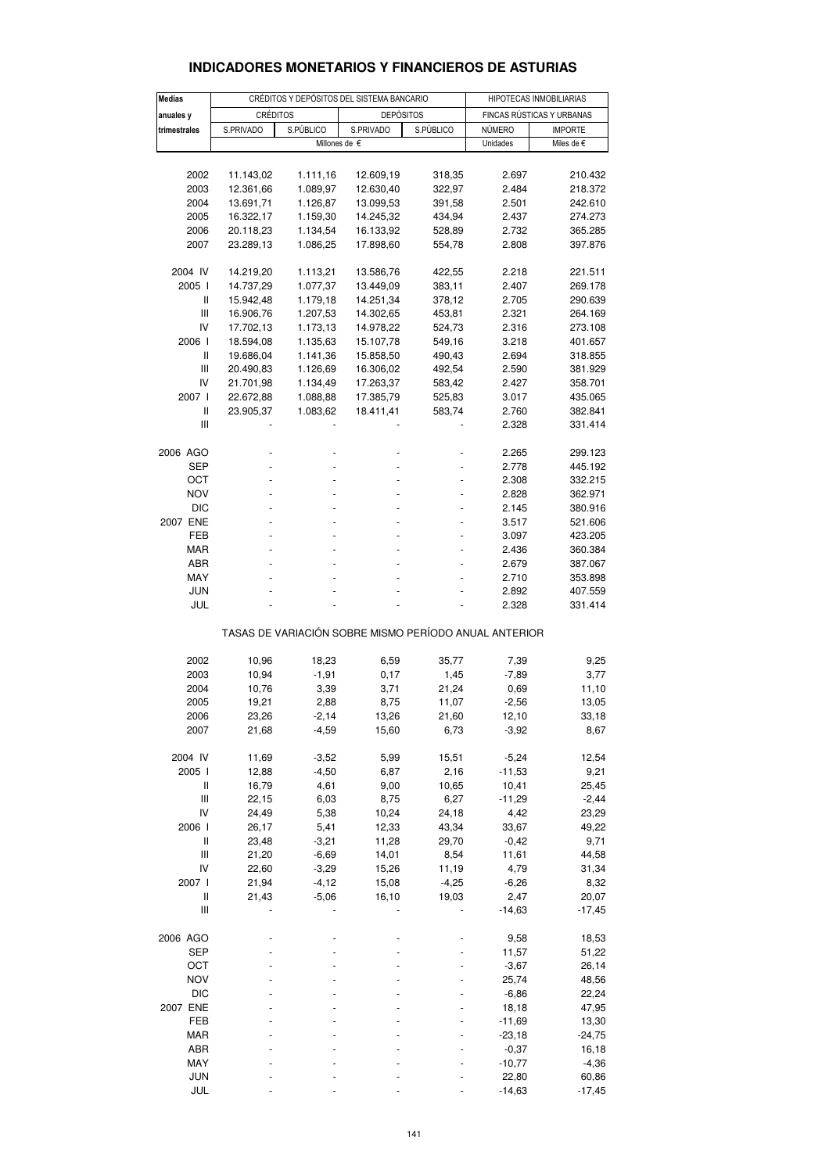| <b>Medias</b>                         |                 | CRÉDITOS Y DEPÓSITOS DEL SISTEMA BANCARIO | HIPOTECAS INMOBILIARIAS                               |           |                           |                |  |
|---------------------------------------|-----------------|-------------------------------------------|-------------------------------------------------------|-----------|---------------------------|----------------|--|
| anuales y                             | <b>CRÉDITOS</b> |                                           | <b>DEPÓSITOS</b>                                      |           | FINCAS RÚSTICAS Y URBANAS |                |  |
| trimestrales                          | S.PRIVADO       | S.PÚBLICO                                 | S.PRIVADO                                             | S.PÚBLICO | <b>NÚMERO</b>             | <b>IMPORTE</b> |  |
|                                       |                 |                                           | Millones de $\epsilon$                                |           | Unidades                  | Miles de €     |  |
|                                       |                 |                                           |                                                       |           |                           |                |  |
| 2002                                  | 11.143,02       | 1.111,16                                  | 12.609,19                                             | 318,35    | 2.697                     | 210.432        |  |
| 2003                                  | 12.361,66       | 1.089,97                                  | 12.630,40                                             | 322,97    | 2.484                     | 218.372        |  |
| 2004                                  | 13.691,71       | 1.126,87                                  | 13.099,53                                             | 391,58    | 2.501                     | 242.610        |  |
| 2005                                  | 16.322,17       | 1.159,30                                  | 14.245,32                                             | 434,94    | 2.437                     | 274.273        |  |
| 2006                                  | 20.118,23       | 1.134,54                                  | 16.133,92                                             | 528,89    | 2.732                     | 365.285        |  |
| 2007                                  | 23.289,13       | 1.086,25                                  | 17.898,60                                             | 554,78    | 2.808                     | 397.876        |  |
| 2004 IV                               | 14.219,20       | 1.113,21                                  | 13.586,76                                             | 422,55    | 2.218                     | 221.511        |  |
| 2005 l                                | 14.737,29       | 1.077,37                                  | 13.449,09                                             | 383,11    | 2.407                     | 269.178        |  |
| Ш                                     | 15.942,48       | 1.179,18                                  | 14.251,34                                             | 378,12    | 2.705                     | 290.639        |  |
| Ш                                     | 16.906,76       | 1.207,53                                  | 14.302,65                                             | 453,81    | 2.321                     | 264.169        |  |
| IV                                    | 17.702,13       | 1.173,13                                  | 14.978,22                                             | 524,73    | 2.316                     | 273.108        |  |
| 2006 l                                | 18.594,08       | 1.135,63                                  | 15.107,78                                             | 549,16    | 3.218                     | 401.657        |  |
| Ш                                     | 19.686,04       | 1.141,36                                  | 15.858,50                                             | 490,43    | 2.694                     | 318.855        |  |
| Ш                                     | 20.490,83       | 1.126,69                                  | 16.306,02                                             | 492,54    | 2.590                     | 381.929        |  |
| IV                                    | 21.701,98       | 1.134,49                                  | 17.263,37                                             | 583,42    | 2.427                     | 358.701        |  |
| 2007 l                                | 22.672,88       | 1.088,88                                  | 17.385,79                                             | 525,83    | 3.017                     | 435.065        |  |
| $\mathsf{I}$                          | 23.905,37       | 1.083,62                                  | 18.411,41                                             | 583,74    | 2.760                     | 382.841        |  |
| Ш                                     |                 |                                           |                                                       |           | 2.328                     | 331.414        |  |
| 2006 AGO                              |                 |                                           |                                                       |           | 2.265                     | 299.123        |  |
| SEP                                   |                 |                                           |                                                       |           | 2.778                     | 445.192        |  |
| OCT                                   |                 |                                           |                                                       |           | 2.308                     | 332.215        |  |
| <b>NOV</b>                            |                 |                                           |                                                       |           | 2.828                     | 362.971        |  |
| <b>DIC</b>                            |                 |                                           |                                                       |           | 2.145                     | 380.916        |  |
| 2007 ENE                              |                 |                                           |                                                       |           | 3.517                     | 521.606        |  |
| FEB                                   |                 |                                           |                                                       |           | 3.097                     | 423.205        |  |
| <b>MAR</b>                            |                 |                                           |                                                       |           | 2.436                     | 360.384        |  |
| ABR                                   |                 |                                           |                                                       |           | 2.679                     | 387.067        |  |
| MAY                                   |                 |                                           |                                                       |           | 2.710                     | 353.898        |  |
| <b>JUN</b>                            |                 |                                           |                                                       |           | 2.892                     | 407.559        |  |
| JUL                                   |                 |                                           |                                                       |           | 2.328                     | 331.414        |  |
|                                       |                 |                                           | TASAS DE VARIACIÓN SOBRE MISMO PERÍODO ANUAL ANTERIOR |           |                           |                |  |
| 2002                                  | 10,96           | 18,23                                     | 6,59                                                  | 35,77     | 7,39                      | 9,25           |  |
| 2003                                  | 10,94           | $-1,91$                                   | 0,17                                                  | 1,45      | $-7,89$                   | 3,77           |  |
| 2004                                  | 10,76           | 3,39                                      | 3,71                                                  | 21,24     | 0,69                      | 11,10          |  |
| 2005                                  | 19,21           | 2,88                                      | 8,75                                                  | 11,07     | $-2,56$                   | 13,05          |  |
| 2006                                  | 23,26           | $-2,14$                                   | 13,26                                                 | 21,60     | 12,10                     | 33,18          |  |
| 2007                                  | 21,68           | $-4,59$                                   | 15,60                                                 | 6,73      | $-3,92$                   | 8,67           |  |
| 2004 IV                               | 11,69           | $-3,52$                                   | 5,99                                                  | 15,51     | $-5,24$                   | 12,54          |  |
| 2005 l                                | 12,88           | $-4,50$                                   | 6,87                                                  | 2,16      | $-11,53$                  | 9,21           |  |
| Ш                                     | 16,79           | 4,61                                      | 9,00                                                  | 10,65     | 10,41                     | 25,45          |  |
| $\begin{array}{c} \hline \end{array}$ | 22,15           | 6,03                                      | 8,75                                                  | 6,27      | $-11,29$                  | $-2,44$        |  |
| IV                                    | 24,49           | 5,38                                      | 10,24                                                 | 24,18     | 4,42                      | 23,29          |  |
| 2006 l                                | 26,17           | 5,41                                      | 12,33                                                 | 43,34     | 33,67                     | 49,22          |  |
| Ш                                     | 23,48           | $-3,21$                                   | 11,28                                                 | 29,70     | $-0,42$                   | 9,71           |  |
| $\begin{array}{c} \hline \end{array}$ | 21,20           | $-6,69$                                   | 14,01                                                 | 8,54      | 11,61                     | 44,58          |  |
| IV                                    | 22,60           | $-3,29$                                   | 15,26                                                 | 11,19     | 4,79                      | 31,34          |  |
| 2007 l                                | 21,94           | $-4, 12$                                  | 15,08                                                 | $-4,25$   | $-6,26$                   | 8,32           |  |
| $\sf II$                              | 21,43           | $-5,06$                                   | 16,10                                                 | 19,03     | 2,47                      | 20,07          |  |
| $\begin{array}{c} \hline \end{array}$ |                 |                                           |                                                       |           | $-14,63$                  | $-17,45$       |  |
| 2006 AGO                              |                 |                                           |                                                       |           | 9,58                      | 18,53          |  |
| <b>SEP</b>                            |                 |                                           |                                                       |           | 11,57                     | 51,22          |  |
| OCT                                   |                 |                                           |                                                       |           | $-3,67$                   | 26,14          |  |
| <b>NOV</b>                            |                 |                                           |                                                       |           | 25,74                     | 48,56          |  |
| <b>DIC</b>                            |                 |                                           |                                                       |           | $-6,86$                   | 22,24          |  |
| 2007 ENE                              |                 |                                           |                                                       |           | 18,18                     | 47,95          |  |
| FEB                                   |                 |                                           |                                                       |           | $-11,69$                  | 13,30          |  |
| MAR                                   |                 |                                           |                                                       |           | $-23,18$                  | $-24,75$       |  |
| ABR                                   |                 |                                           |                                                       |           | $-0,37$                   | 16,18          |  |
| MAY                                   |                 |                                           |                                                       |           | $-10,77$                  | $-4,36$        |  |

### **INDICADORES MONETARIOS Y FINANCIEROS DE ASTURIAS**

 JUN - - - - 22,80 60,86 JUL - - - - -14,63 -17,45